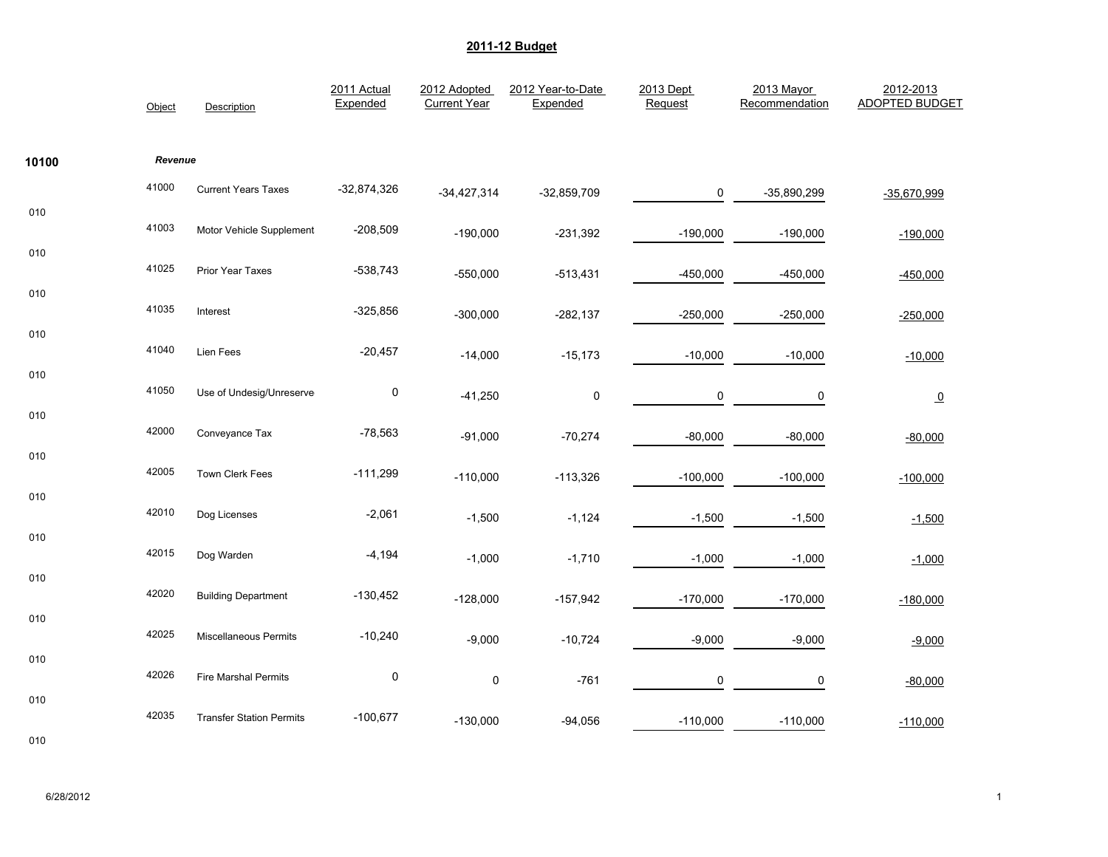|       | Object  | Description                     | 2011 Actual<br>Expended | 2012 Adopted<br><b>Current Year</b> | 2012 Year-to-Date<br>Expended | 2013 Dept<br>Request | 2013 Mayor<br>Recommendation | 2012-2013<br><b>ADOPTED BUDGET</b> |
|-------|---------|---------------------------------|-------------------------|-------------------------------------|-------------------------------|----------------------|------------------------------|------------------------------------|
| 10100 | Revenue |                                 |                         |                                     |                               |                      |                              |                                    |
|       | 41000   | <b>Current Years Taxes</b>      | $-32,874,326$           | $-34,427,314$                       | $-32,859,709$                 | 0                    | -35,890,299                  | $-35,670,999$                      |
| 010   | 41003   | Motor Vehicle Supplement        | $-208,509$              | $-190,000$                          | $-231,392$                    | $-190,000$           | $-190,000$                   | $-190,000$                         |
| 010   | 41025   | Prior Year Taxes                | $-538,743$              | $-550,000$                          | $-513,431$                    | $-450,000$           | $-450,000$                   | $-450,000$                         |
| 010   | 41035   | Interest                        | $-325,856$              | $-300,000$                          | $-282,137$                    | $-250,000$           | $-250,000$                   | $-250,000$                         |
| 010   | 41040   | Lien Fees                       | $-20,457$               |                                     |                               |                      |                              |                                    |
| 010   | 41050   |                                 |                         | $-14,000$                           | $-15,173$                     | $-10,000$            | $-10,000$                    | $-10,000$                          |
| 010   |         | Use of Undesig/Unreserve        | $\pmb{0}$               | $-41,250$                           | $\pmb{0}$                     | $\pmb{0}$            | $\pmb{0}$                    | $\overline{\mathbf{0}}$            |
| 010   | 42000   | Conveyance Tax                  | $-78,563$               | $-91,000$                           | $-70,274$                     | $-80,000$            | $-80,000$                    | $-80,000$                          |
|       | 42005   | Town Clerk Fees                 | $-111,299$              | $-110,000$                          | $-113,326$                    | $-100,000$           | $-100,000$                   | $-100,000$                         |
| 010   | 42010   | Dog Licenses                    | $-2,061$                | $-1,500$                            | $-1,124$                      | $-1,500$             | $-1,500$                     | $-1,500$                           |
| 010   | 42015   | Dog Warden                      | $-4,194$                | $-1,000$                            | $-1,710$                      | $-1,000$             | $-1,000$                     | $-1,000$                           |
| 010   | 42020   | <b>Building Department</b>      | $-130,452$              | $-128,000$                          | $-157,942$                    | $-170,000$           | $-170,000$                   | $-180,000$                         |
| 010   | 42025   | <b>Miscellaneous Permits</b>    | $-10,240$               |                                     |                               |                      |                              |                                    |
| 010   |         |                                 |                         | $-9,000$                            | $-10,724$                     | $-9,000$             | $-9,000$                     | $-9,000$                           |
| 010   | 42026   | Fire Marshal Permits            | $\pmb{0}$               | $\pmb{0}$                           | $-761$                        | $\mathbf 0$          | 0                            | $-80,000$                          |
|       | 42035   | <b>Transfer Station Permits</b> | $-100,677$              | $-130,000$                          | $-94,056$                     | $-110,000$           | $-110,000$                   | $-110,000$                         |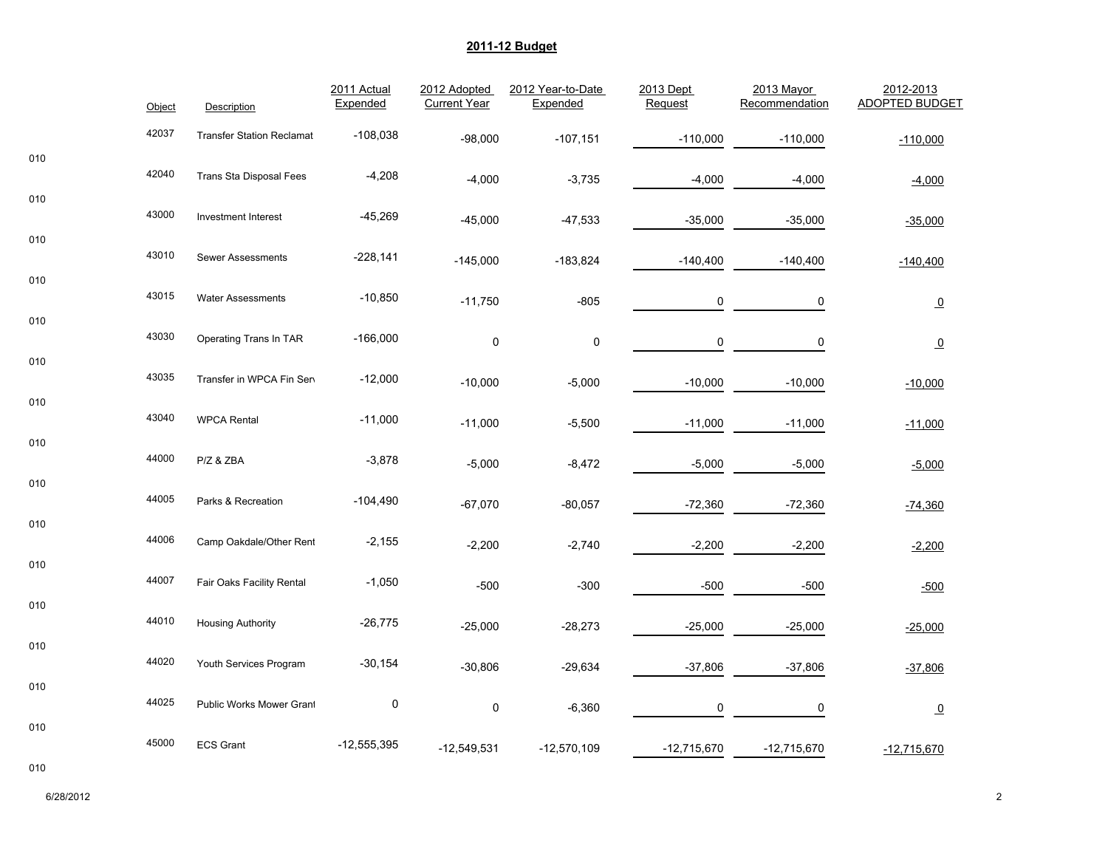|     | Object | Description                      | 2011 Actual<br>Expended | 2012 Adopted<br><b>Current Year</b> | 2012 Year-to-Date<br>Expended | 2013 Dept<br>Request | 2013 Mayor<br>Recommendation | 2012-2013<br><b>ADOPTED BUDGET</b> |
|-----|--------|----------------------------------|-------------------------|-------------------------------------|-------------------------------|----------------------|------------------------------|------------------------------------|
|     | 42037  | <b>Transfer Station Reclamat</b> | $-108,038$              | $-98,000$                           | $-107,151$                    | $-110,000$           | $-110,000$                   | $-110,000$                         |
| 010 | 42040  |                                  |                         |                                     |                               |                      |                              |                                    |
| 010 |        | <b>Trans Sta Disposal Fees</b>   | $-4,208$                | $-4,000$                            | $-3,735$                      | $-4,000$             | $-4,000$                     | $-4,000$                           |
|     | 43000  | <b>Investment Interest</b>       | $-45,269$               | $-45,000$                           | $-47,533$                     | $-35,000$            | $-35,000$                    | $-35,000$                          |
| 010 | 43010  | <b>Sewer Assessments</b>         | $-228,141$              | $-145,000$                          | -183,824                      | $-140,400$           | $-140,400$                   | $-140,400$                         |
| 010 | 43015  | <b>Water Assessments</b>         | $-10,850$               | $-11,750$                           | $-805$                        | 0                    | $\mathbf 0$                  | $\overline{0}$                     |
| 010 | 43030  | Operating Trans In TAR           | $-166,000$              |                                     |                               |                      |                              |                                    |
| 010 |        |                                  |                         | $\pmb{0}$                           | $\pmb{0}$                     | 0                    | $\mathbf 0$                  | $\overline{0}$                     |
| 010 | 43035  | Transfer in WPCA Fin Sen         | $-12,000$               | $-10,000$                           | $-5,000$                      | $-10,000$            | $-10,000$                    | $-10,000$                          |
|     | 43040  | <b>WPCA Rental</b>               | $-11,000$               | $-11,000$                           | $-5,500$                      | $-11,000$            | $-11,000$                    | $-11,000$                          |
| 010 | 44000  | P/Z & ZBA                        | $-3,878$                | $-5,000$                            | $-8,472$                      | $-5,000$             | $-5,000$                     | $-5,000$                           |
| 010 | 44005  | Parks & Recreation               | $-104,490$              | $-67,070$                           | $-80,057$                     | $-72,360$            | $-72,360$                    | -74,360                            |
| 010 | 44006  | Camp Oakdale/Other Rent          | $-2,155$                | $-2,200$                            | $-2,740$                      | $-2,200$             | $-2,200$                     | $-2,200$                           |
| 010 |        |                                  |                         |                                     |                               |                      |                              |                                    |
|     | 44007  | Fair Oaks Facility Rental        | $-1,050$                | $-500$                              | $-300$                        | $-500$               | -500                         | $-500$                             |
| 010 | 44010  | <b>Housing Authority</b>         | $-26,775$               | $-25,000$                           | $-28,273$                     | $-25,000$            | $-25,000$                    | $-25,000$                          |
| 010 | 44020  | Youth Services Program           | $-30,154$               | $-30,806$                           | $-29,634$                     | $-37,806$            | $-37,806$                    | $-37,806$                          |
| 010 | 44025  | Public Works Mower Grant         | $\pmb{0}$               | $\mathsf 0$                         | $-6,360$                      | 0                    | 0                            | $\overline{0}$                     |
| 010 |        |                                  |                         |                                     |                               |                      |                              |                                    |
|     | 45000  | <b>ECS Grant</b>                 | $-12,555,395$           | $-12,549,531$                       | $-12,570,109$                 | $-12,715,670$        | $-12,715,670$                | $-12,715,670$                      |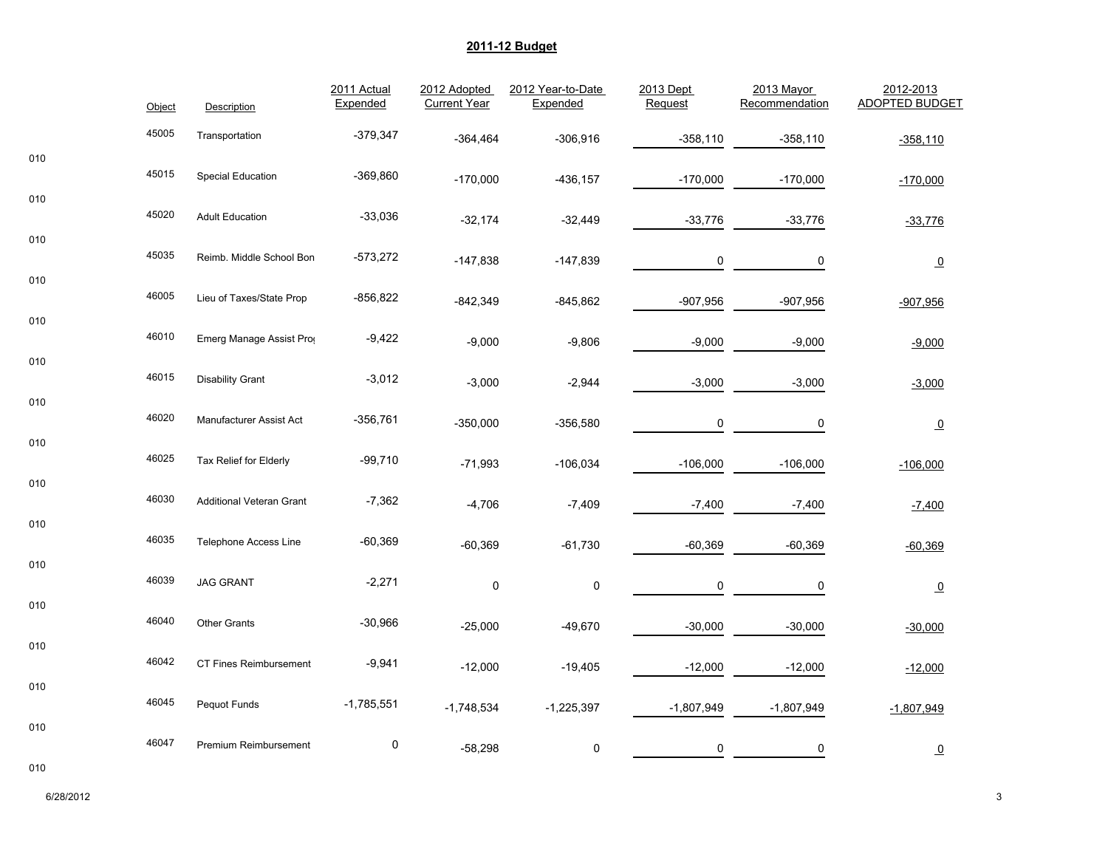| 45005<br>$-379,347$<br>Transportation<br>$-358,110$<br>$-364,464$<br>$-306,916$<br>$-358,110$<br>010<br>45015<br>$-369,860$<br><b>Special Education</b><br>$-170,000$<br>$-436, 157$<br>$-170,000$<br>$-170,000$<br>010<br>45020<br>$-33,036$<br><b>Adult Education</b><br>$-33,776$<br>$-32,174$<br>$-32,449$<br>$-33,776$<br>010<br>45035<br>$-573,272$<br>Reimb. Middle School Bon<br>$-147,838$<br>$-147,839$<br>0<br>0<br>010<br>46005<br>Lieu of Taxes/State Prop<br>-856,822<br>$-907,956$<br>$-842,349$<br>$-845,862$<br>$-907,956$<br>010<br>46010<br>Emerg Manage Assist Pro<br>$-9,422$<br>$-9,000$<br>$-9,000$<br>$-9,806$<br>$-9,000$<br>010<br>46015<br>$-3,012$<br><b>Disability Grant</b><br>$-3,000$<br>$-3,000$<br>$-2,944$<br>$-3,000$<br>010<br>46020<br>$-356,761$<br>Manufacturer Assist Act<br>$-350,000$<br>$-356,580$<br>0<br>0<br>010<br>46025<br>$-99,710$<br>Tax Relief for Elderly<br>$-71,993$<br>$-106,034$<br>$-106,000$<br>$-106,000$<br>010<br>46030<br>$-7,362$<br><b>Additional Veteran Grant</b><br>$-4,706$<br>$-7,400$<br>$-7,409$<br>$-7,400$<br>010<br>46035<br>$-60,369$<br><b>Telephone Access Line</b><br>$-60,369$<br>$-61,730$<br>$-60,369$<br>$-60,369$<br>010<br>46039<br>$-2,271$<br><b>JAG GRANT</b><br>$\pmb{0}$<br>$\pmb{0}$<br>0<br>0<br>010<br>46040<br>$-30,966$<br><b>Other Grants</b><br>$-25,000$<br>$-49,670$<br>$-30,000$<br>$-30,000$ |                         | 2012-2013 |  | <b>ADOPTED BUDGET</b> |  | 2013 Mayor<br>Recommendation | 2013 Dept<br>Request | 2012 Year-to-Date<br>Expended | 2012 Adopted<br><b>Current Year</b> | 2011 Actual<br>Expended | Description | Object |  |
|----------------------------------------------------------------------------------------------------------------------------------------------------------------------------------------------------------------------------------------------------------------------------------------------------------------------------------------------------------------------------------------------------------------------------------------------------------------------------------------------------------------------------------------------------------------------------------------------------------------------------------------------------------------------------------------------------------------------------------------------------------------------------------------------------------------------------------------------------------------------------------------------------------------------------------------------------------------------------------------------------------------------------------------------------------------------------------------------------------------------------------------------------------------------------------------------------------------------------------------------------------------------------------------------------------------------------------------------------------------------------------------------------|-------------------------|-----------|--|-----------------------|--|------------------------------|----------------------|-------------------------------|-------------------------------------|-------------------------|-------------|--------|--|
|                                                                                                                                                                                                                                                                                                                                                                                                                                                                                                                                                                                                                                                                                                                                                                                                                                                                                                                                                                                                                                                                                                                                                                                                                                                                                                                                                                                                    | $-358,110$              |           |  |                       |  |                              |                      |                               |                                     |                         |             |        |  |
|                                                                                                                                                                                                                                                                                                                                                                                                                                                                                                                                                                                                                                                                                                                                                                                                                                                                                                                                                                                                                                                                                                                                                                                                                                                                                                                                                                                                    | $-170,000$              |           |  |                       |  |                              |                      |                               |                                     |                         |             |        |  |
|                                                                                                                                                                                                                                                                                                                                                                                                                                                                                                                                                                                                                                                                                                                                                                                                                                                                                                                                                                                                                                                                                                                                                                                                                                                                                                                                                                                                    | $-33,776$               |           |  |                       |  |                              |                      |                               |                                     |                         |             |        |  |
|                                                                                                                                                                                                                                                                                                                                                                                                                                                                                                                                                                                                                                                                                                                                                                                                                                                                                                                                                                                                                                                                                                                                                                                                                                                                                                                                                                                                    | $\overline{\mathbf{0}}$ |           |  |                       |  |                              |                      |                               |                                     |                         |             |        |  |
|                                                                                                                                                                                                                                                                                                                                                                                                                                                                                                                                                                                                                                                                                                                                                                                                                                                                                                                                                                                                                                                                                                                                                                                                                                                                                                                                                                                                    | $-907,956$              |           |  |                       |  |                              |                      |                               |                                     |                         |             |        |  |
|                                                                                                                                                                                                                                                                                                                                                                                                                                                                                                                                                                                                                                                                                                                                                                                                                                                                                                                                                                                                                                                                                                                                                                                                                                                                                                                                                                                                    | $-9,000$                |           |  |                       |  |                              |                      |                               |                                     |                         |             |        |  |
|                                                                                                                                                                                                                                                                                                                                                                                                                                                                                                                                                                                                                                                                                                                                                                                                                                                                                                                                                                                                                                                                                                                                                                                                                                                                                                                                                                                                    | $-3,000$                |           |  |                       |  |                              |                      |                               |                                     |                         |             |        |  |
|                                                                                                                                                                                                                                                                                                                                                                                                                                                                                                                                                                                                                                                                                                                                                                                                                                                                                                                                                                                                                                                                                                                                                                                                                                                                                                                                                                                                    | $\overline{0}$          |           |  |                       |  |                              |                      |                               |                                     |                         |             |        |  |
|                                                                                                                                                                                                                                                                                                                                                                                                                                                                                                                                                                                                                                                                                                                                                                                                                                                                                                                                                                                                                                                                                                                                                                                                                                                                                                                                                                                                    | $-106,000$              |           |  |                       |  |                              |                      |                               |                                     |                         |             |        |  |
|                                                                                                                                                                                                                                                                                                                                                                                                                                                                                                                                                                                                                                                                                                                                                                                                                                                                                                                                                                                                                                                                                                                                                                                                                                                                                                                                                                                                    | $-7,400$                |           |  |                       |  |                              |                      |                               |                                     |                         |             |        |  |
|                                                                                                                                                                                                                                                                                                                                                                                                                                                                                                                                                                                                                                                                                                                                                                                                                                                                                                                                                                                                                                                                                                                                                                                                                                                                                                                                                                                                    | $-60,369$               |           |  |                       |  |                              |                      |                               |                                     |                         |             |        |  |
|                                                                                                                                                                                                                                                                                                                                                                                                                                                                                                                                                                                                                                                                                                                                                                                                                                                                                                                                                                                                                                                                                                                                                                                                                                                                                                                                                                                                    | $\overline{\mathbf{0}}$ |           |  |                       |  |                              |                      |                               |                                     |                         |             |        |  |
|                                                                                                                                                                                                                                                                                                                                                                                                                                                                                                                                                                                                                                                                                                                                                                                                                                                                                                                                                                                                                                                                                                                                                                                                                                                                                                                                                                                                    | $-30,000$               |           |  |                       |  |                              |                      |                               |                                     |                         |             |        |  |
| 010<br>46042<br>$-9,941$<br>CT Fines Reimbursement<br>$-12,000$<br>$-12,000$<br>$-19,405$<br>$-12,000$                                                                                                                                                                                                                                                                                                                                                                                                                                                                                                                                                                                                                                                                                                                                                                                                                                                                                                                                                                                                                                                                                                                                                                                                                                                                                             | $-12,000$               |           |  |                       |  |                              |                      |                               |                                     |                         |             |        |  |
| 010<br>46045<br>$-1,785,551$<br>Pequot Funds<br>$-1,748,534$<br>$-1,225,397$<br>$-1,807,949$<br>$-1,807,949$                                                                                                                                                                                                                                                                                                                                                                                                                                                                                                                                                                                                                                                                                                                                                                                                                                                                                                                                                                                                                                                                                                                                                                                                                                                                                       | $-1,807,949$            |           |  |                       |  |                              |                      |                               |                                     |                         |             |        |  |
| 010<br>46047<br>$\pmb{0}$<br>Premium Reimbursement<br>$-58,298$<br>0<br>0<br>0                                                                                                                                                                                                                                                                                                                                                                                                                                                                                                                                                                                                                                                                                                                                                                                                                                                                                                                                                                                                                                                                                                                                                                                                                                                                                                                     | $\overline{\mathbf{0}}$ |           |  |                       |  |                              |                      |                               |                                     |                         |             |        |  |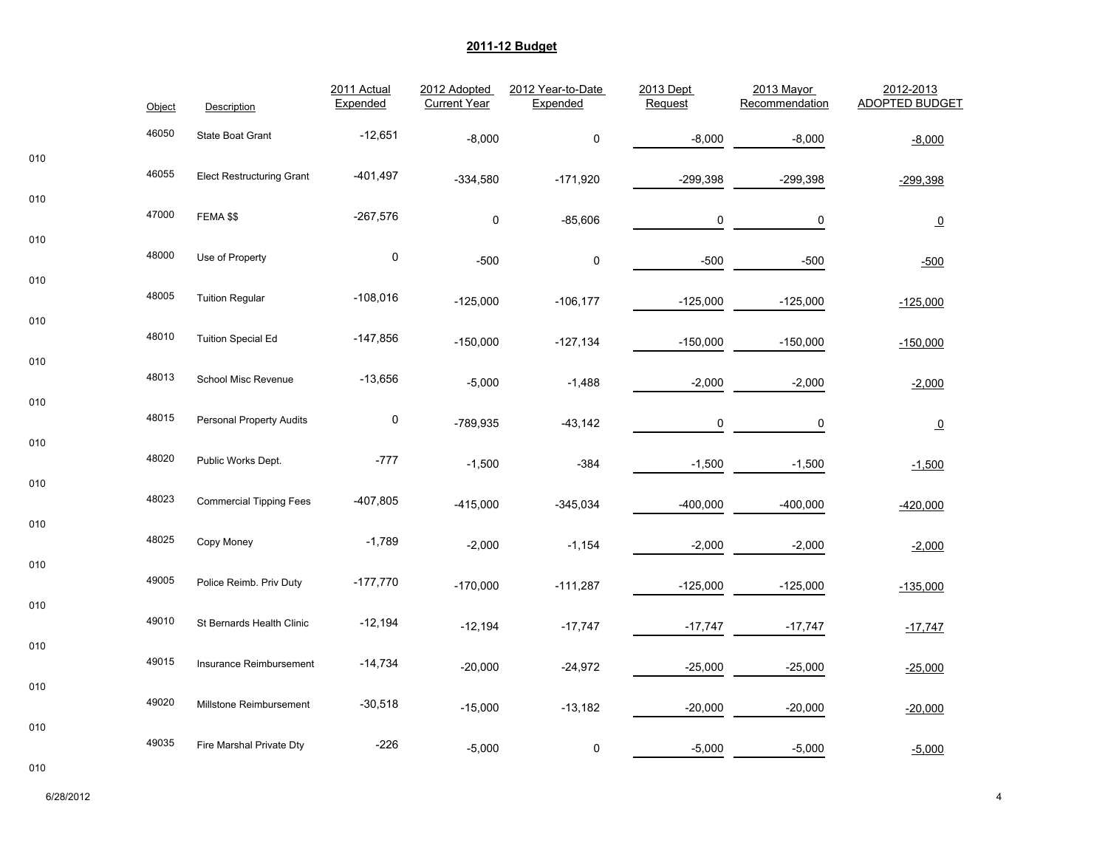|     | Object | Description                      | 2011 Actual<br>Expended | 2012 Adopted<br><b>Current Year</b> | 2012 Year-to-Date<br>Expended | 2013 Dept<br>Request | 2013 Mayor<br>Recommendation | 2012-2013<br><b>ADOPTED BUDGET</b> |
|-----|--------|----------------------------------|-------------------------|-------------------------------------|-------------------------------|----------------------|------------------------------|------------------------------------|
|     | 46050  | State Boat Grant                 | $-12,651$               | $-8,000$                            | $\pmb{0}$                     | $-8,000$             | $-8,000$                     | $-8,000$                           |
| 010 | 46055  | <b>Elect Restructuring Grant</b> | $-401,497$              | $-334,580$                          | $-171,920$                    | $-299,398$           | $-299,398$                   | $-299,398$                         |
| 010 | 47000  | FEMA \$\$                        | $-267,576$              | $\pmb{0}$                           | $-85,606$                     | 0                    | 0                            | $\underline{\mathbf{0}}$           |
| 010 | 48000  | Use of Property                  | $\mathbf 0$             | $-500$                              | 0                             | $-500$               | $-500$                       | $-500$                             |
| 010 | 48005  | <b>Tuition Regular</b>           | $-108,016$              | $-125,000$                          | $-106, 177$                   | $-125,000$           | $-125,000$                   | $-125,000$                         |
| 010 | 48010  | <b>Tuition Special Ed</b>        | $-147,856$              | $-150,000$                          | $-127,134$                    | $-150,000$           | $-150,000$                   | $-150,000$                         |
| 010 | 48013  | School Misc Revenue              | $-13,656$               | $-5,000$                            | $-1,488$                      | $-2,000$             | $-2,000$                     | $-2,000$                           |
| 010 | 48015  | <b>Personal Property Audits</b>  | $\pmb{0}$               | -789,935                            | $-43,142$                     | 0                    | 0                            | $\overline{0}$                     |
| 010 | 48020  | Public Works Dept.               | $-777$                  | $-1,500$                            | $-384$                        | $-1,500$             | $-1,500$                     | $-1,500$                           |
| 010 | 48023  | <b>Commercial Tipping Fees</b>   | $-407,805$              | $-415,000$                          | $-345,034$                    | $-400,000$           | $-400,000$                   | $-420,000$                         |
| 010 | 48025  | Copy Money                       | $-1,789$                | $-2,000$                            | $-1,154$                      | $-2,000$             | $-2,000$                     | $-2,000$                           |
| 010 | 49005  | Police Reimb. Priv Duty          | $-177,770$              | $-170,000$                          | $-111,287$                    | $-125,000$           | $-125,000$                   | $-135,000$                         |
| 010 | 49010  | St Bernards Health Clinic        | $-12,194$               | $-12,194$                           | $-17,747$                     | $-17,747$            | $-17,747$                    | $-17,747$                          |
| 010 | 49015  | Insurance Reimbursement          | $-14,734$               | $-20,000$                           | $-24,972$                     | $-25,000$            | $-25,000$                    | $-25,000$                          |
| 010 | 49020  | Millstone Reimbursement          | $-30,518$               | $-15,000$                           | $-13,182$                     | $-20,000$            | $-20,000$                    | $-20,000$                          |
| 010 | 49035  | Fire Marshal Private Dty         | $-226$                  | $-5,000$                            | $\pmb{0}$                     | $-5,000$             | $-5,000$                     | $-5,000$                           |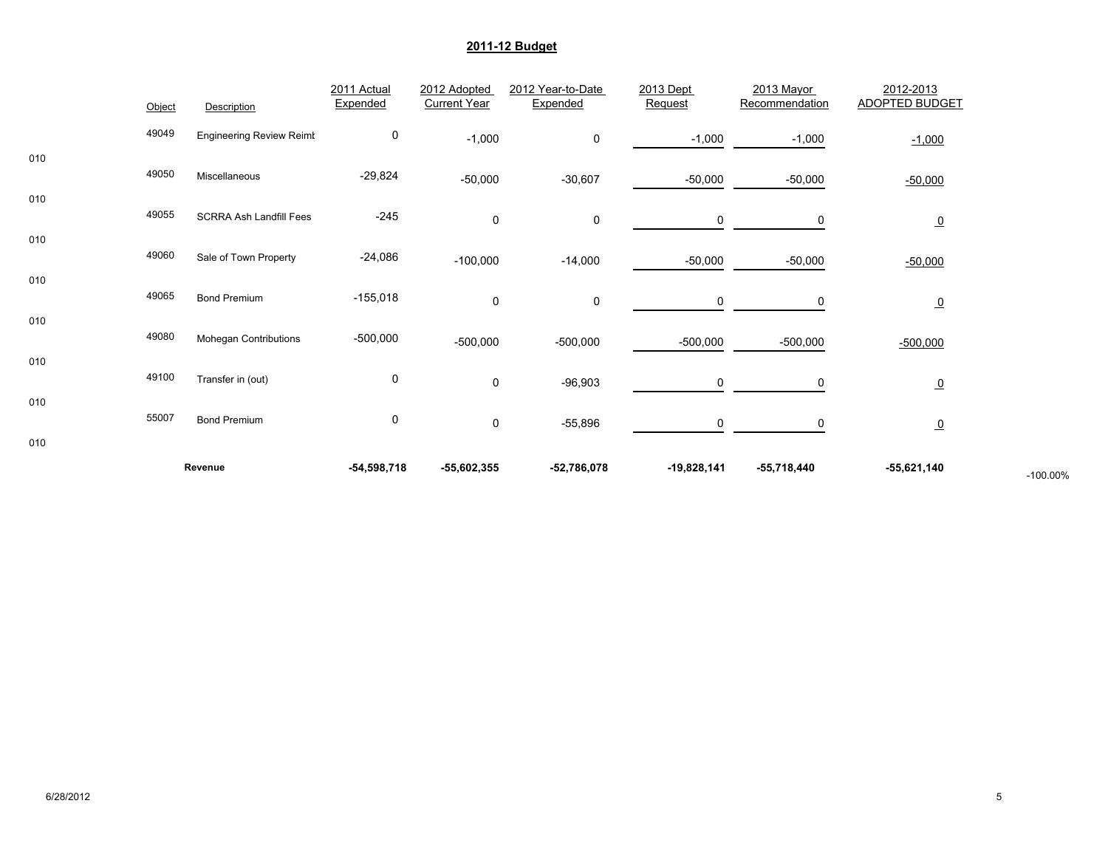|     |        | Revenue                         | $-54,598,718$ | -55,602,355         | $-52,786,078$     | $-19,828,141$ | -55,718,440    | -55,621,140           | $-100.00%$ |
|-----|--------|---------------------------------|---------------|---------------------|-------------------|---------------|----------------|-----------------------|------------|
| 010 |        |                                 |               |                     |                   |               |                |                       |            |
| 010 | 55007  | <b>Bond Premium</b>             | 0             | $\mathbf 0$         | $-55,896$         | 0             | 0              | $\overline{0}$        |            |
|     | 49100  | Transfer in (out)               | 0             | 0                   | $-96,903$         | 0             | 0              | $\overline{0}$        |            |
| 010 | 49080  | Mohegan Contributions           | $-500,000$    | $-500,000$          | $-500,000$        | $-500,000$    | $-500,000$     | $-500,000$            |            |
| 010 |        |                                 |               |                     |                   |               |                |                       |            |
| 010 | 49065  | <b>Bond Premium</b>             | $-155,018$    | $\mathbf 0$         | 0                 | 0             | 0              | $\overline{0}$        |            |
|     | 49060  | Sale of Town Property           | $-24,086$     | $-100,000$          | $-14,000$         | $-50,000$     | $-50,000$      | $-50,000$             |            |
| 010 | 49055  | <b>SCRRA Ash Landfill Fees</b>  | $-245$        | $\mathbf 0$         | 0                 | $\mathsf{O}$  | 0              | $\overline{0}$        |            |
| 010 |        |                                 |               | $-50,000$           | $-30,607$         | $-50,000$     | $-50,000$      | $-50,000$             |            |
| 010 | 49050  | Miscellaneous                   | $-29,824$     |                     |                   |               |                |                       |            |
|     | 49049  | <b>Engineering Review Reimt</b> | 0             | $-1,000$            | 0                 | $-1,000$      | $-1,000$       | $-1,000$              |            |
|     | Object | Description                     | Expended      | <b>Current Year</b> | Expended          | Request       | Recommendation | <b>ADOPTED BUDGET</b> |            |
|     |        |                                 | 2011 Actual   | 2012 Adopted        | 2012 Year-to-Date | 2013 Dept     | 2013 Mayor     | 2012-2013             |            |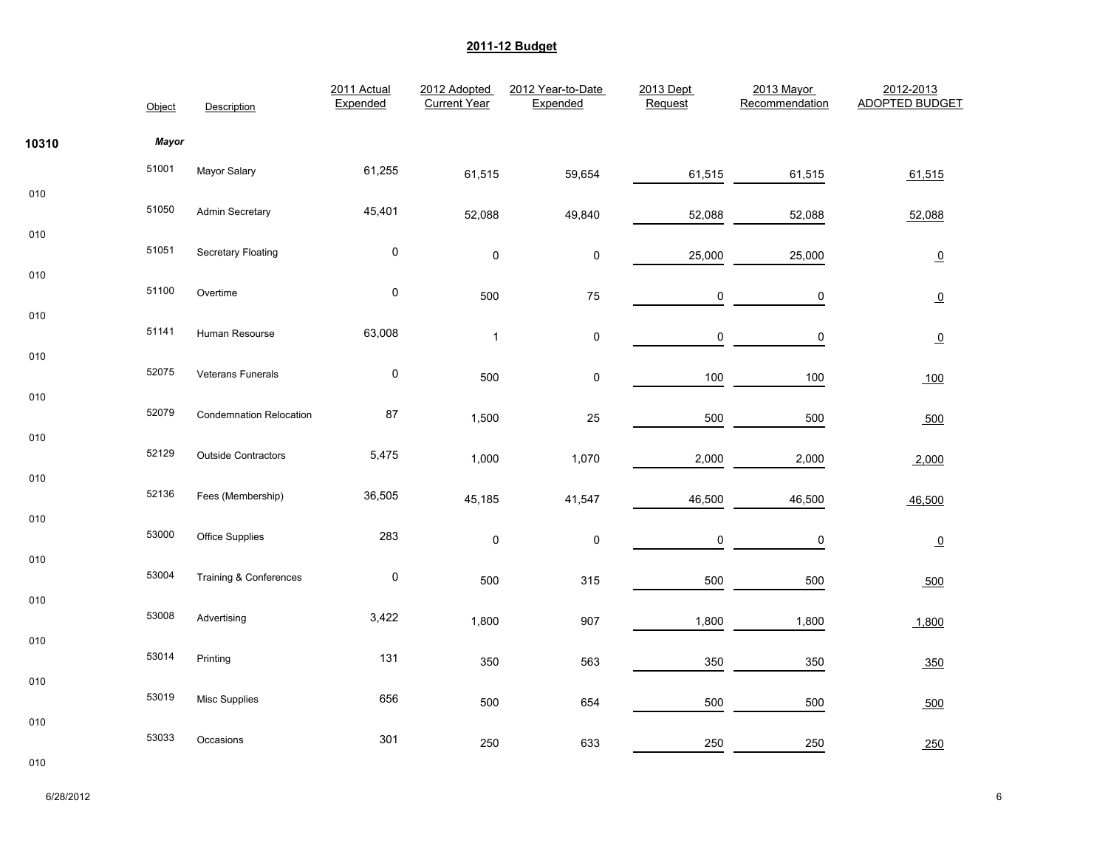|       | Object | Description                    | 2011 Actual<br>Expended | 2012 Adopted<br><b>Current Year</b> | 2012 Year-to-Date<br>Expended | 2013 Dept<br>Request | 2013 Mayor<br>Recommendation | 2012-2013<br><b>ADOPTED BUDGET</b> |
|-------|--------|--------------------------------|-------------------------|-------------------------------------|-------------------------------|----------------------|------------------------------|------------------------------------|
| 10310 | Mayor  |                                |                         |                                     |                               |                      |                              |                                    |
|       | 51001  | Mayor Salary                   | 61,255                  | 61,515                              | 59,654                        | 61,515               | 61,515                       | 61,515                             |
| 010   | 51050  | Admin Secretary                | 45,401                  | 52,088                              | 49,840                        | 52,088               | 52,088                       | 52,088                             |
| 010   | 51051  | <b>Secretary Floating</b>      | $\pmb{0}$               | $\pmb{0}$                           | $\pmb{0}$                     | 25,000               | 25,000                       | $\Omega$                           |
| 010   | 51100  | Overtime                       | $\pmb{0}$               | 500                                 | ${\bf 75}$                    | 0                    | $\pmb{0}$                    | $\Omega$                           |
| 010   | 51141  | Human Resourse                 | 63,008                  | $\mathbf{1}$                        | $\pmb{0}$                     | $\pmb{0}$            | $\pmb{0}$                    | $\overline{0}$                     |
| 010   | 52075  | Veterans Funerals              | $\pmb{0}$               | 500                                 | $\pmb{0}$                     | 100                  | 100                          | 100                                |
| 010   | 52079  | <b>Condemnation Relocation</b> | 87                      | 1,500                               | 25                            | 500                  | 500                          | 500                                |
| 010   | 52129  | <b>Outside Contractors</b>     | 5,475                   | 1,000                               | 1,070                         | 2,000                | 2,000                        | 2,000                              |
| 010   | 52136  | Fees (Membership)              | 36,505                  | 45,185                              | 41,547                        | 46,500               | 46,500                       | 46,500                             |
| 010   | 53000  | Office Supplies                | 283                     | $\pmb{0}$                           | $\pmb{0}$                     | 0                    | 0                            |                                    |
| 010   | 53004  | Training & Conferences         | $\pmb{0}$               |                                     |                               |                      |                              | $\Omega$                           |
| 010   | 53008  |                                |                         | 500                                 | 315                           | 500                  | 500                          | 500                                |
| 010   |        | Advertising                    | 3,422                   | 1,800                               | 907                           | 1,800                | 1,800                        | 1,800                              |
|       | 53014  | Printing                       | 131                     | 350                                 | 563                           | 350                  | 350                          | 350                                |
| 010   | 53019  | <b>Misc Supplies</b>           | 656                     | 500                                 | 654                           | 500                  | 500                          | 500                                |
| 010   | 53033  | Occasions                      | 301                     | 250                                 | 633                           | 250                  | 250                          | 250                                |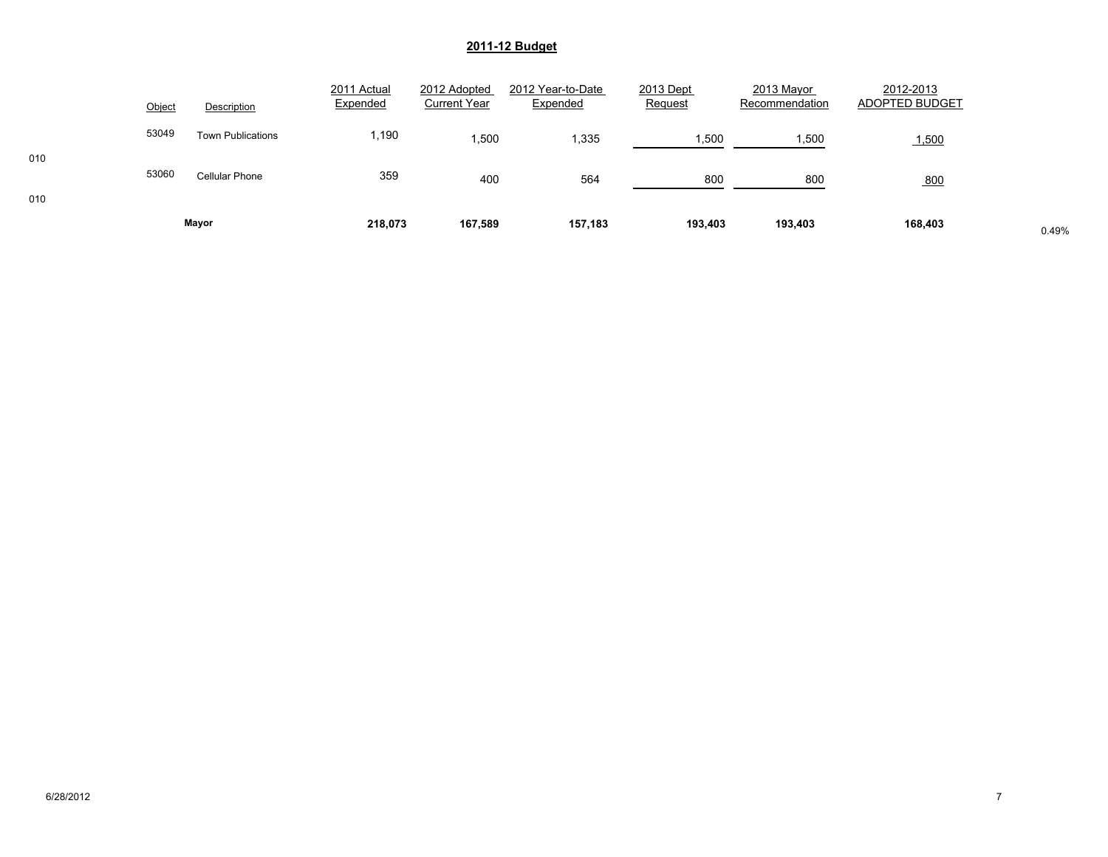|            | Object | Description              | 2011 Actual<br>Expended | 2012 Adopted<br><b>Current Year</b> | 2012 Year-to-Date<br>Expended | 2013 Dept<br>Request | 2013 Mayor<br>Recommendation | 2012-2013<br>ADOPTED BUDGET |       |
|------------|--------|--------------------------|-------------------------|-------------------------------------|-------------------------------|----------------------|------------------------------|-----------------------------|-------|
|            | 53049  | <b>Town Publications</b> | .190                    | .500                                | .335                          | 1,500                | 1,500                        | 1,500                       |       |
| 010<br>010 | 53060  | <b>Cellular Phone</b>    | 359                     | 400                                 | 564                           | 800                  | 800                          | 800                         |       |
|            |        | Mayor                    | 218,073                 | 167,589                             | 157,183                       | 193,403              | 193,403                      | 168,403                     | 0.49% |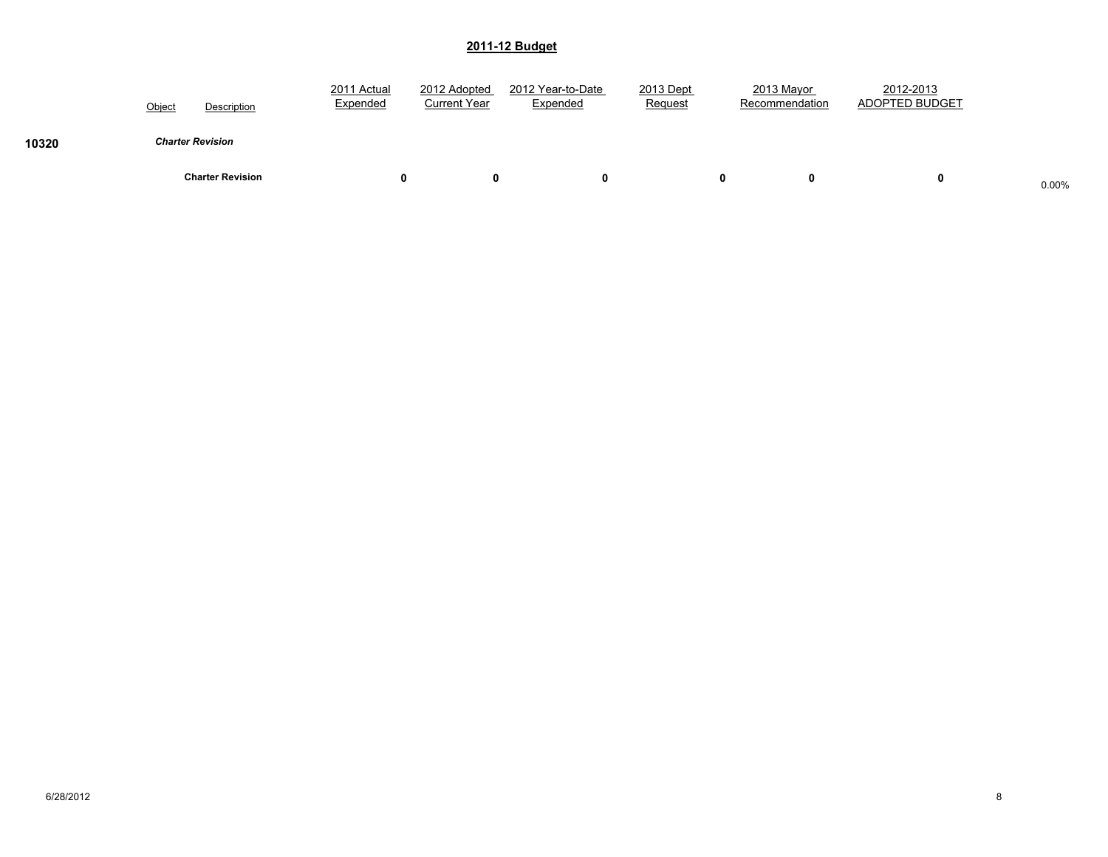|       | Description<br>Object   | 2011 Actual<br>Expended | 2012 Adopted<br><b>Current Year</b> | 2012 Year-to-Date<br>Expended | 2013 Dept<br>Request | 2013 Mayor<br>Recommendation | 2012-2013<br>ADOPTED BUDGET |       |
|-------|-------------------------|-------------------------|-------------------------------------|-------------------------------|----------------------|------------------------------|-----------------------------|-------|
| 10320 | <b>Charter Revision</b> |                         |                                     |                               |                      |                              |                             |       |
|       | <b>Charter Revision</b> |                         | 0                                   |                               |                      | 0<br>0                       | 0                           | 0.00% |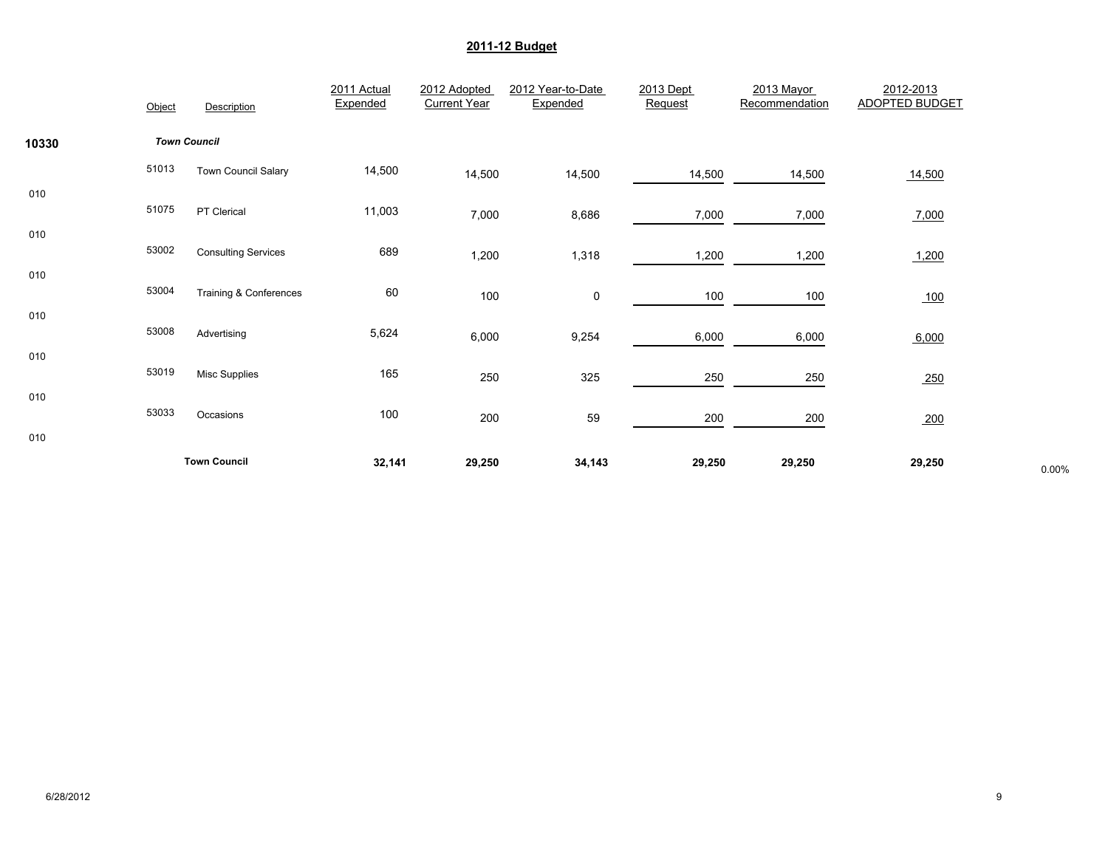|            | Object | Description                       | 2011 Actual<br>Expended | 2012 Adopted<br><b>Current Year</b> | 2012 Year-to-Date<br>Expended | 2013 Dept<br>Request | 2013 Mayor<br>Recommendation | 2012-2013<br><b>ADOPTED BUDGET</b> |       |
|------------|--------|-----------------------------------|-------------------------|-------------------------------------|-------------------------------|----------------------|------------------------------|------------------------------------|-------|
| 10330      |        | <b>Town Council</b>               |                         |                                     |                               |                      |                              |                                    |       |
|            | 51013  | Town Council Salary               | 14,500                  | 14,500                              | 14,500                        | 14,500               | 14,500                       | 14,500                             |       |
| 010        | 51075  | PT Clerical                       | 11,003                  | 7,000                               | 8,686                         | 7,000                | 7,000                        | 7,000                              |       |
| 010<br>010 | 53002  | <b>Consulting Services</b>        | 689                     | 1,200                               | 1,318                         | 1,200                | 1,200                        | 1,200                              |       |
|            | 53004  | <b>Training &amp; Conferences</b> | 60                      | 100                                 | 0                             | 100                  | 100                          | 100                                |       |
| 010        | 53008  | Advertising                       | 5,624                   | 6,000                               | 9,254                         | 6,000                | 6,000                        | 6,000                              |       |
| 010        | 53019  | <b>Misc Supplies</b>              | 165                     | 250                                 | 325                           | 250                  | 250                          | 250                                |       |
| 010        | 53033  | Occasions                         | 100                     | 200                                 | 59                            | 200                  | 200                          | 200                                |       |
| 010        |        | <b>Town Council</b>               | 32,141                  | 29,250                              | 34,143                        | 29,250               | 29,250                       | 29,250                             | 0.00% |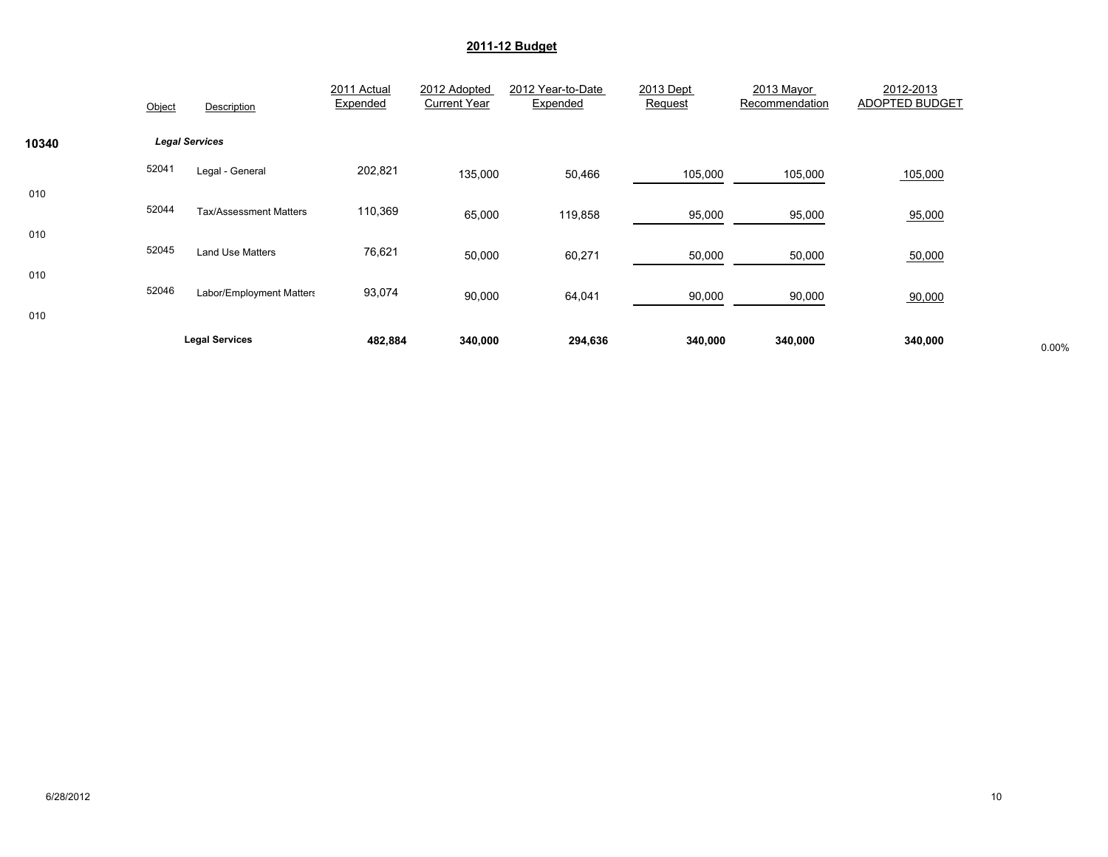|            | Object | Description                   | 2011 Actual<br>Expended | 2012 Adopted<br><b>Current Year</b> | 2012 Year-to-Date<br>Expended | 2013 Dept<br>Request | 2013 Mayor<br>Recommendation | 2012-2013<br>ADOPTED BUDGET |       |
|------------|--------|-------------------------------|-------------------------|-------------------------------------|-------------------------------|----------------------|------------------------------|-----------------------------|-------|
| 10340      |        | <b>Legal Services</b>         |                         |                                     |                               |                      |                              |                             |       |
|            | 52041  | Legal - General               | 202,821                 | 135,000                             | 50,466                        | 105,000              | 105,000                      | 105,000                     |       |
| 010<br>010 | 52044  | <b>Tax/Assessment Matters</b> | 110,369                 | 65,000                              | 119,858                       | 95,000               | 95,000                       | 95,000                      |       |
|            | 52045  | Land Use Matters              | 76,621                  | 50,000                              | 60,271                        | 50,000               | 50,000                       | 50,000                      |       |
| 010<br>010 | 52046  | Labor/Employment Matters      | 93,074                  | 90,000                              | 64,041                        | 90,000               | 90,000                       | 90,000                      |       |
|            |        | <b>Legal Services</b>         | 482,884                 | 340,000                             | 294,636                       | 340,000              | 340,000                      | 340,000                     | 0.00% |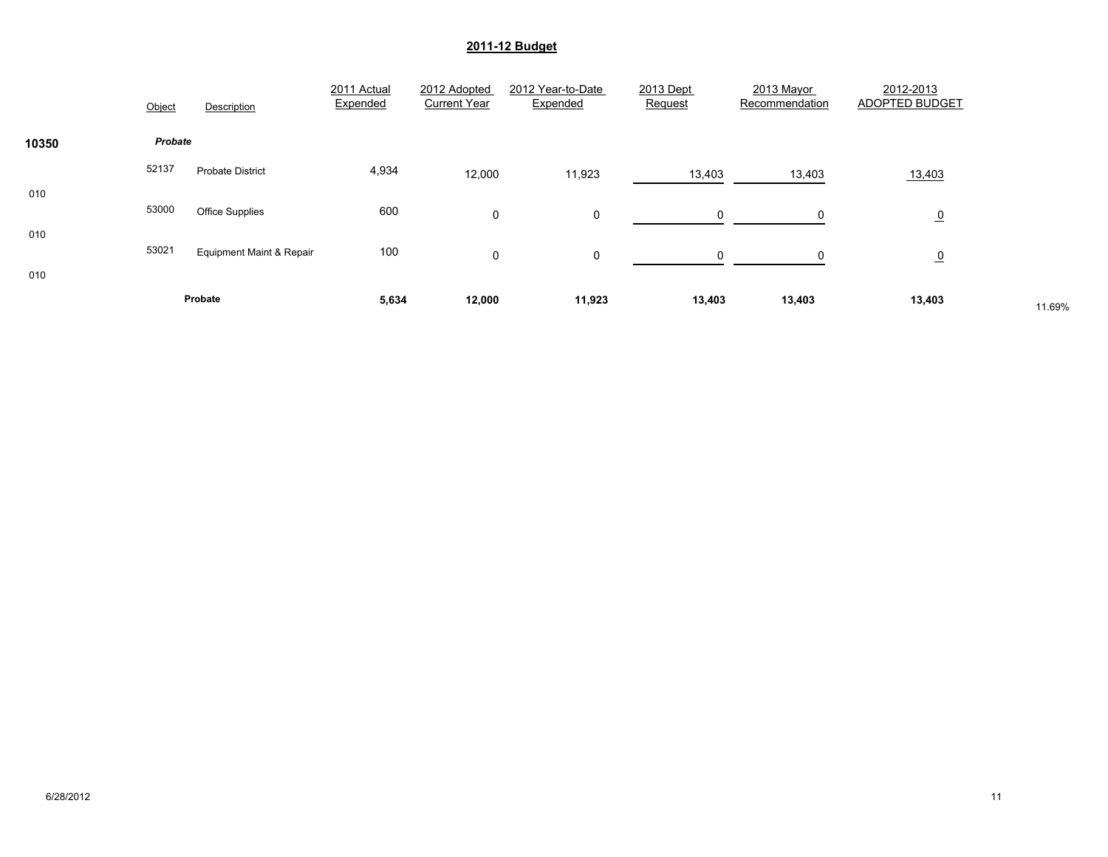|            | Object  | Description                         | 2011 Actual<br>Expended | 2012 Adopted<br><b>Current Year</b> | 2012 Year-to-Date<br>Expended | 2013 Dept<br>Request | 2013 Mayor<br>Recommendation | 2012-2013<br>ADOPTED BUDGET |        |
|------------|---------|-------------------------------------|-------------------------|-------------------------------------|-------------------------------|----------------------|------------------------------|-----------------------------|--------|
| 10350      | Probate |                                     |                         |                                     |                               |                      |                              |                             |        |
|            | 52137   | <b>Probate District</b>             | 4,934                   | 12,000                              | 11,923                        | 13,403               | 13,403                       | 13,403                      |        |
| 010        | 53000   | <b>Office Supplies</b>              | 600                     | $\mathbf 0$                         | 0                             | $\Omega$             | 0                            | $\overline{0}$              |        |
| 010<br>010 | 53021   | <b>Equipment Maint &amp; Repair</b> | 100                     | $\mathbf 0$                         | 0                             | $\Omega$             | $\Omega$                     | $\overline{0}$              |        |
|            |         | Probate                             | 5,634                   | 12,000                              | 11,923                        | 13,403               | 13,403                       | 13,403                      | 11.69% |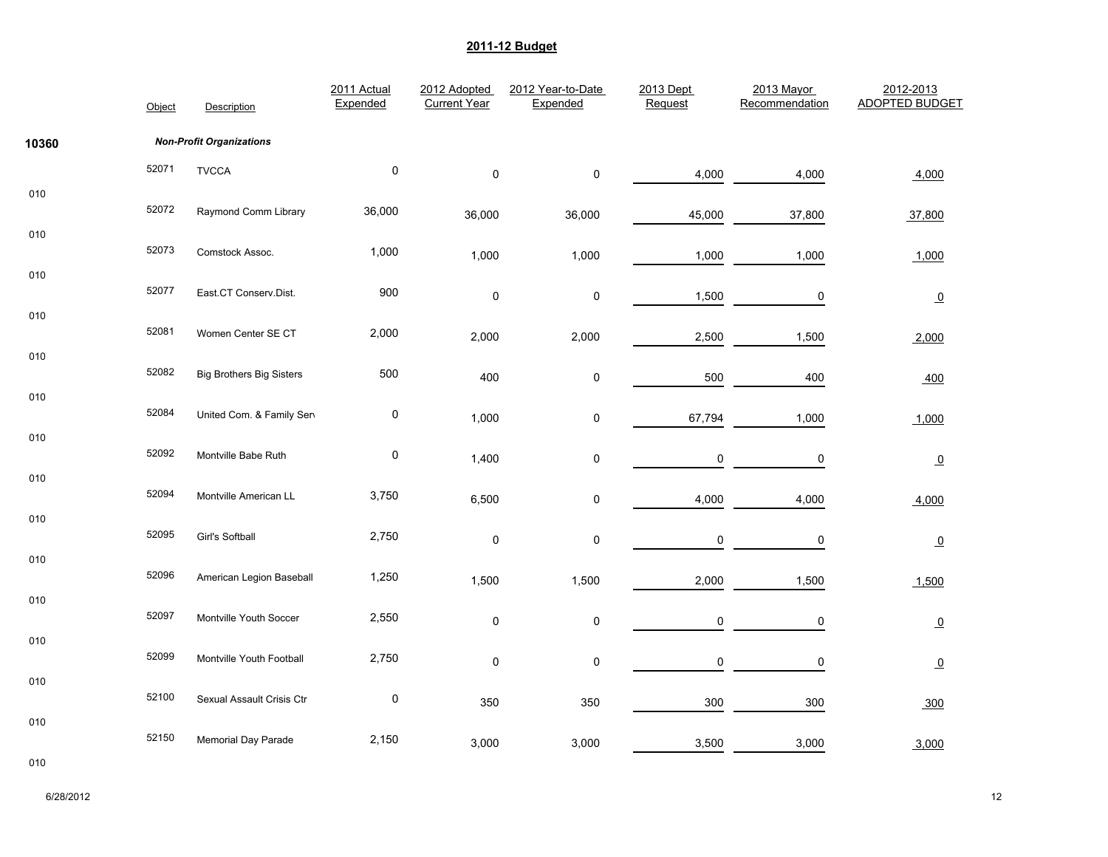|       | Object | Description                     | 2011 Actual<br>Expended | 2012 Adopted<br><b>Current Year</b> | 2012 Year-to-Date<br>Expended | 2013 Dept<br>Request | 2013 Mayor<br>Recommendation | 2012-2013<br><b>ADOPTED BUDGET</b> |
|-------|--------|---------------------------------|-------------------------|-------------------------------------|-------------------------------|----------------------|------------------------------|------------------------------------|
| 10360 |        | <b>Non-Profit Organizations</b> |                         |                                     |                               |                      |                              |                                    |
|       | 52071  | <b>TVCCA</b>                    | $\pmb{0}$               | $\pmb{0}$                           | $\pmb{0}$                     | 4,000                | 4,000                        | 4,000                              |
| 010   | 52072  | Raymond Comm Library            | 36,000                  | 36,000                              | 36,000                        | 45,000               | 37,800                       | 37,800                             |
| 010   | 52073  | Comstock Assoc.                 | 1,000                   | 1,000                               | 1,000                         | 1,000                | 1,000                        | 1,000                              |
| 010   | 52077  | East.CT Conserv.Dist.           | 900                     | 0                                   | 0                             | 1,500                | $\pmb{0}$                    | $\overline{0}$                     |
| 010   | 52081  | Women Center SE CT              | 2,000                   | 2,000                               | 2,000                         | 2,500                | 1,500                        | 2,000                              |
| 010   | 52082  | <b>Big Brothers Big Sisters</b> | 500                     | 400                                 | 0                             | 500                  | 400                          | 400                                |
| 010   | 52084  | United Com. & Family Sen        | 0                       | 1,000                               | 0                             | 67,794               | 1,000                        | 1,000                              |
| 010   | 52092  | Montville Babe Ruth             | $\pmb{0}$               | 1,400                               | 0                             | $\mathsf 0$          | $\pmb{0}$                    | $\overline{0}$                     |
| 010   | 52094  | Montville American LL           | 3,750                   | 6,500                               | $\pmb{0}$                     | 4,000                | 4,000                        | 4,000                              |
| 010   | 52095  | Girl's Softball                 | 2,750                   | $\pmb{0}$                           | 0                             | 0                    | $\pmb{0}$                    | $\overline{0}$                     |
| 010   | 52096  | American Legion Baseball        | 1,250                   | 1,500                               | 1,500                         | 2,000                | 1,500                        | 1,500                              |
| 010   | 52097  | Montville Youth Soccer          | 2,550                   | $\pmb{0}$                           | $\pmb{0}$                     | $\mathsf{O}\xspace$  | $\pmb{0}$                    | $\overline{0}$                     |
| 010   | 52099  | Montville Youth Football        | 2,750                   | $\pmb{0}$                           | $\pmb{0}$                     | 0                    | $\pmb{0}$                    | $\overline{0}$                     |
| 010   | 52100  | Sexual Assault Crisis Ctr       | $\pmb{0}$               | 350                                 | 350                           | 300                  | 300                          | 300                                |
| 010   | 52150  | Memorial Day Parade             | 2,150                   | 3,000                               | 3,000                         | 3,500                | 3,000                        | 3,000                              |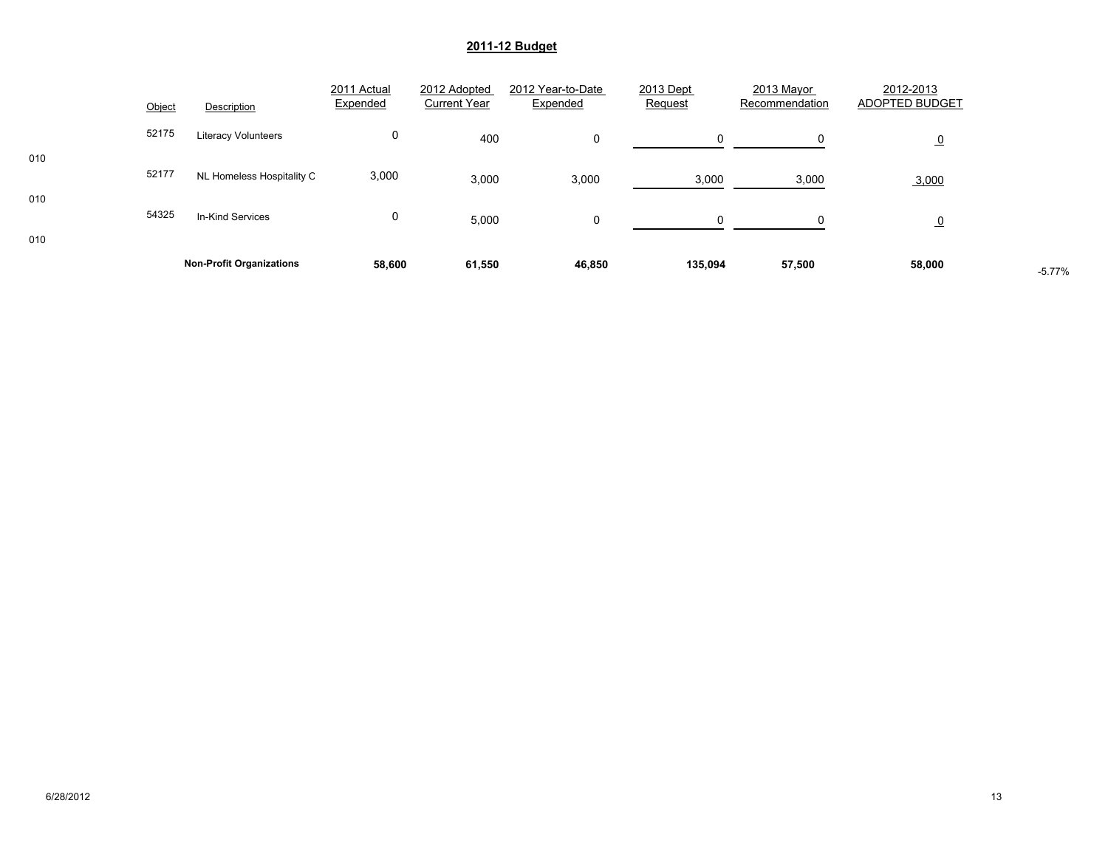|     | 52175 |                                 | 0      |        |        |          |        |                |          |
|-----|-------|---------------------------------|--------|--------|--------|----------|--------|----------------|----------|
| 010 |       | <b>Literacy Volunteers</b>      |        | 400    | 0      | $\Omega$ |        | $\overline{0}$ |          |
| 010 | 52177 | NL Homeless Hospitality C       | 3,000  | 3,000  | 3,000  | 3,000    | 3,000  | 3,000          |          |
| 010 | 54325 | In-Kind Services                | 0      | 5,000  | 0      | $\Omega$ |        | <u>_0</u>      |          |
|     |       | <b>Non-Profit Organizations</b> | 58,600 | 61,550 | 46,850 | 135,094  | 57,500 | 58,000         | $-5.77%$ |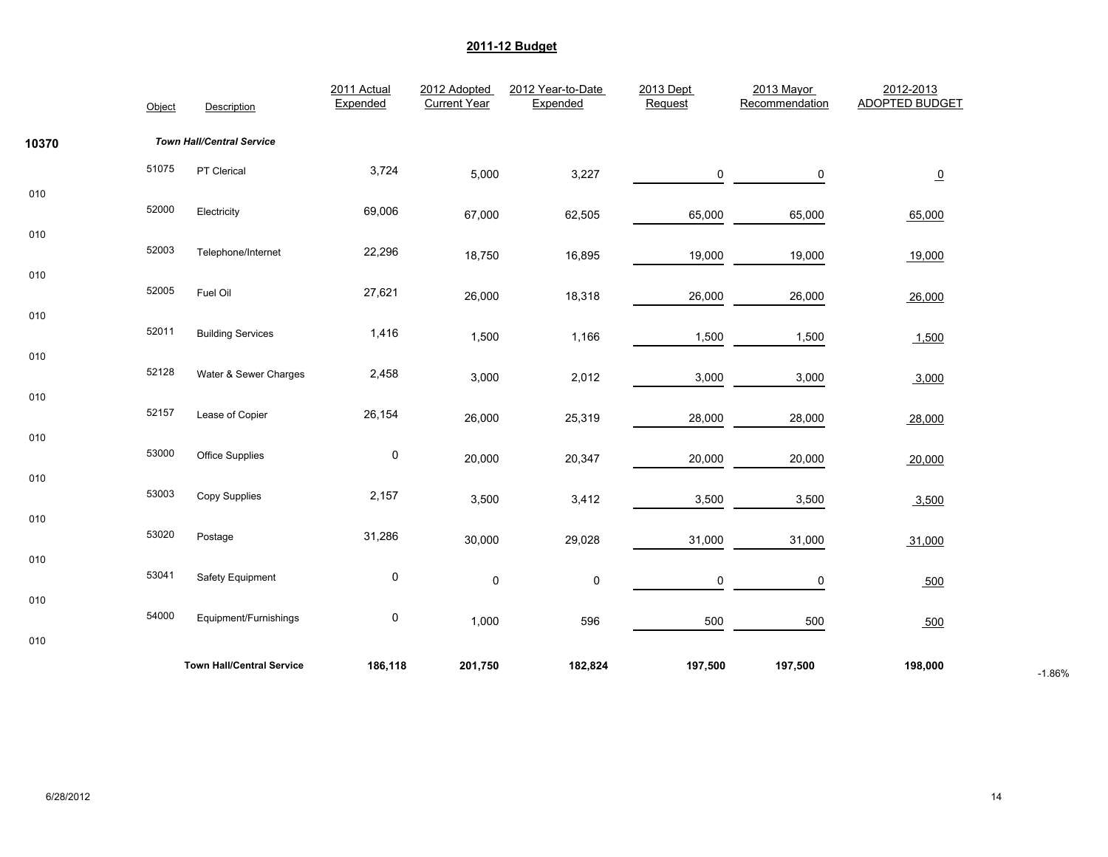|       | Object | Description                      | 2011 Actual<br>Expended | 2012 Adopted<br><b>Current Year</b> | 2012 Year-to-Date<br>Expended | 2013 Dept<br>Request | 2013 Mayor<br>Recommendation | 2012-2013<br><b>ADOPTED BUDGET</b> |          |
|-------|--------|----------------------------------|-------------------------|-------------------------------------|-------------------------------|----------------------|------------------------------|------------------------------------|----------|
| 10370 |        | <b>Town Hall/Central Service</b> |                         |                                     |                               |                      |                              |                                    |          |
|       | 51075  | PT Clerical                      | 3,724                   | 5,000                               | 3,227                         | 0                    | 0                            | $\underline{\mathbf{0}}$           |          |
| 010   | 52000  | Electricity                      | 69,006                  | 67,000                              | 62,505                        | 65,000               | 65,000                       | 65,000                             |          |
| 010   | 52003  | Telephone/Internet               | 22,296                  | 18,750                              | 16,895                        | 19,000               | 19,000                       | 19,000                             |          |
| 010   | 52005  | Fuel Oil                         | 27,621                  | 26,000                              | 18,318                        | 26,000               | 26,000                       | 26,000                             |          |
| 010   | 52011  | <b>Building Services</b>         | 1,416                   | 1,500                               | 1,166                         | 1,500                | 1,500                        | 1,500                              |          |
| 010   | 52128  | Water & Sewer Charges            | 2,458                   | 3,000                               | 2,012                         | 3,000                | 3,000                        | 3,000                              |          |
| 010   | 52157  | Lease of Copier                  | 26,154                  | 26,000                              | 25,319                        | 28,000               | 28,000                       | 28,000                             |          |
| 010   | 53000  | Office Supplies                  | $\pmb{0}$               | 20,000                              | 20,347                        | 20,000               | 20,000                       | 20,000                             |          |
| 010   | 53003  | Copy Supplies                    | 2,157                   | 3,500                               | 3,412                         | 3,500                | 3,500                        | 3,500                              |          |
| 010   | 53020  | Postage                          | 31,286                  | 30,000                              | 29,028                        | 31,000               | 31,000                       | 31,000                             |          |
| 010   | 53041  | Safety Equipment                 | 0                       | 0                                   | $\pmb{0}$                     | 0                    | 0                            | 500                                |          |
| 010   | 54000  | Equipment/Furnishings            | 0                       | 1,000                               | 596                           | 500                  | 500                          | 500                                |          |
| 010   |        |                                  |                         |                                     |                               |                      |                              |                                    |          |
|       |        | <b>Town Hall/Central Service</b> | 186,118                 | 201,750                             | 182,824                       | 197,500              | 197,500                      | 198,000                            | $-1.86%$ |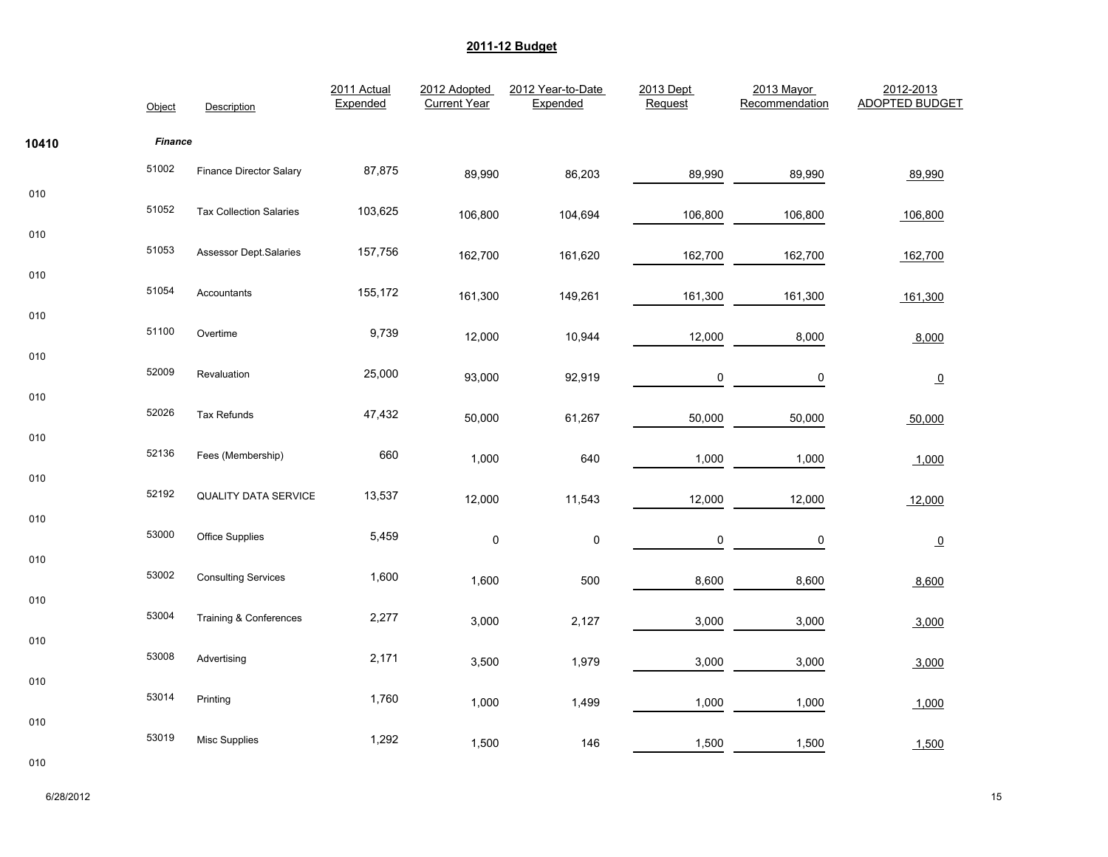|       | Object         | Description                    | 2011 Actual<br>Expended | 2012 Adopted<br><b>Current Year</b> | 2012 Year-to-Date<br>Expended | 2013 Dept<br>Request | 2013 Mayor<br>Recommendation | 2012-2013<br><b>ADOPTED BUDGET</b> |
|-------|----------------|--------------------------------|-------------------------|-------------------------------------|-------------------------------|----------------------|------------------------------|------------------------------------|
| 10410 | <b>Finance</b> |                                |                         |                                     |                               |                      |                              |                                    |
|       | 51002          | Finance Director Salary        | 87,875                  | 89,990                              | 86,203                        | 89,990               | 89,990                       | 89,990                             |
| 010   | 51052          | <b>Tax Collection Salaries</b> | 103,625                 | 106,800                             | 104,694                       | 106,800              | 106,800                      | 106,800                            |
| 010   | 51053          | Assessor Dept.Salaries         | 157,756                 | 162,700                             | 161,620                       | 162,700              | 162,700                      | 162,700                            |
| 010   | 51054          | Accountants                    | 155,172                 | 161,300                             | 149,261                       | 161,300              | 161,300                      | 161,300                            |
| 010   | 51100          | Overtime                       | 9,739                   | 12,000                              | 10,944                        | 12,000               | 8,000                        | 8,000                              |
| 010   | 52009          | Revaluation                    | 25,000                  |                                     |                               |                      |                              |                                    |
| 010   |                |                                |                         | 93,000                              | 92,919                        | $\mathbf 0$          | 0                            | $\underline{\mathbf{0}}$           |
| 010   | 52026          | Tax Refunds                    | 47,432                  | 50,000                              | 61,267                        | 50,000               | 50,000                       | 50,000                             |
|       | 52136          | Fees (Membership)              | 660                     | 1,000                               | 640                           | 1,000                | 1,000                        | 1,000                              |
| 010   | 52192          | QUALITY DATA SERVICE           | 13,537                  | 12,000                              | 11,543                        | 12,000               | 12,000                       | 12,000                             |
| 010   | 53000          | Office Supplies                | 5,459                   | $\pmb{0}$                           | $\pmb{0}$                     | 0                    | 0                            | $\Omega$                           |
| 010   | 53002          | <b>Consulting Services</b>     | 1,600                   | 1,600                               | 500                           | 8,600                | 8,600                        | 8,600                              |
| 010   | 53004          | Training & Conferences         | 2,277                   |                                     |                               |                      |                              |                                    |
| 010   |                |                                |                         | 3,000                               | 2,127                         | 3,000                | 3,000                        | 3,000                              |
|       | 53008          | Advertising                    | 2,171                   | 3,500                               | 1,979                         | 3,000                | 3,000                        | 3,000                              |
| 010   | 53014          | Printing                       | 1,760                   | 1,000                               | 1,499                         | 1,000                | 1,000                        | 1,000                              |
| 010   | 53019          | Misc Supplies                  | 1,292                   | 1,500                               | 146                           | 1,500                | 1,500                        | 1,500                              |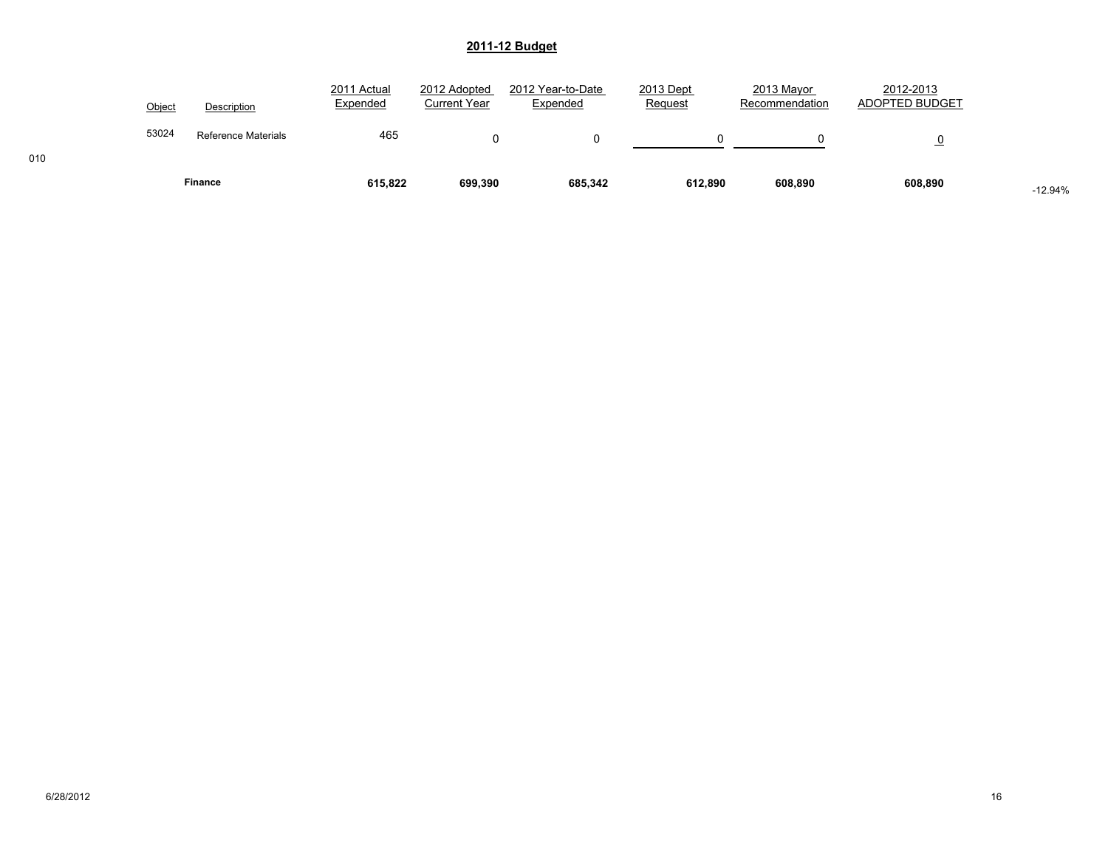|        | Finance             | 615,822                 | 699,390                      | 685,342                       | 612.890              | 608,890                      | 608,890                     | $-12.94%$ |
|--------|---------------------|-------------------------|------------------------------|-------------------------------|----------------------|------------------------------|-----------------------------|-----------|
| 53024  | Reference Materials | 465                     | 0                            |                               |                      |                              | $\overline{o}$              |           |
| Object | Description         | 2011 Actual<br>Expended | 2012 Adopted<br>Current Year | 2012 Year-to-Date<br>Expended | 2013 Dept<br>Request | 2013 Mayor<br>Recommendation | 2012-2013<br>ADOPTED BUDGET |           |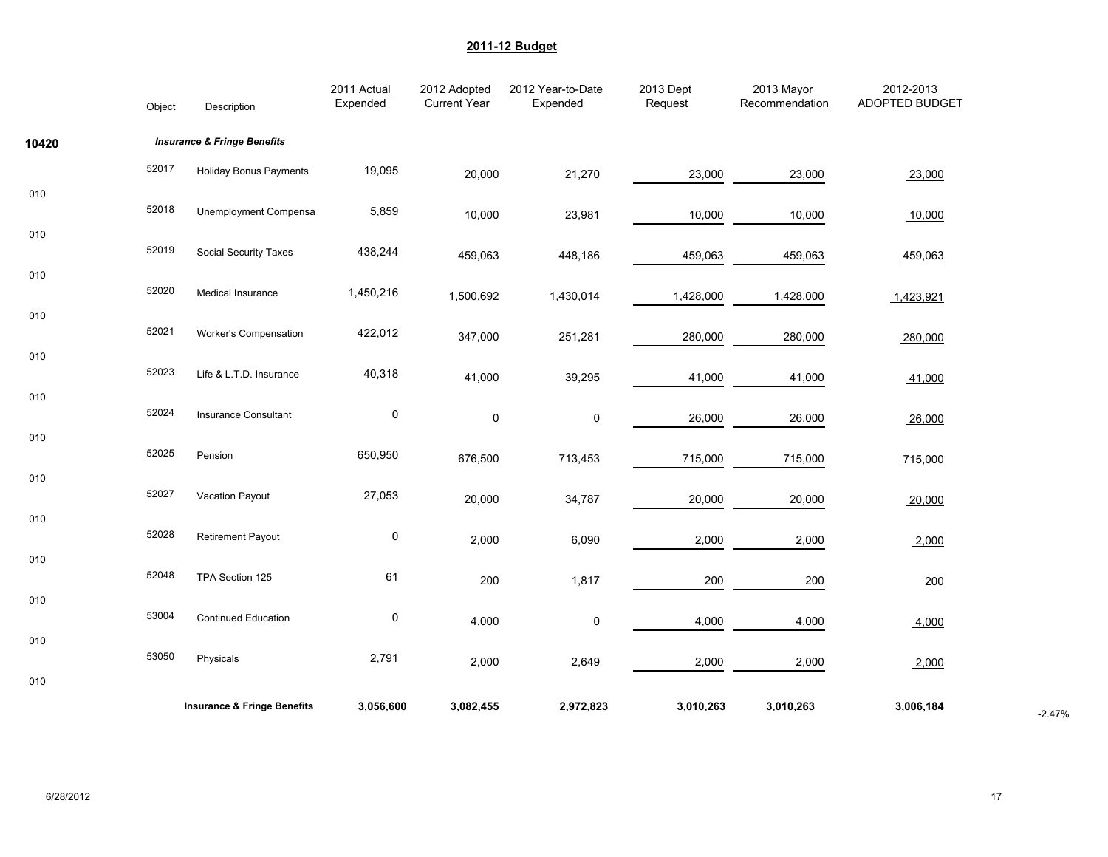|       | Object | Description                            | 2011 Actual<br>Expended | 2012 Adopted<br><b>Current Year</b> | 2012 Year-to-Date<br>Expended | 2013 Dept<br>Request | 2013 Mayor<br>Recommendation | 2012-2013<br><b>ADOPTED BUDGET</b> |          |
|-------|--------|----------------------------------------|-------------------------|-------------------------------------|-------------------------------|----------------------|------------------------------|------------------------------------|----------|
| 10420 |        | <b>Insurance &amp; Fringe Benefits</b> |                         |                                     |                               |                      |                              |                                    |          |
|       | 52017  | <b>Holiday Bonus Payments</b>          | 19,095                  | 20,000                              | 21,270                        | 23,000               | 23,000                       | 23,000                             |          |
| 010   | 52018  | <b>Unemployment Compensa</b>           | 5,859                   | 10,000                              | 23,981                        | 10,000               | 10,000                       | 10,000                             |          |
| 010   | 52019  | <b>Social Security Taxes</b>           | 438,244                 | 459,063                             | 448,186                       | 459,063              | 459,063                      | 459,063                            |          |
| 010   | 52020  | Medical Insurance                      | 1,450,216               | 1,500,692                           | 1,430,014                     | 1,428,000            | 1,428,000                    | 1,423,921                          |          |
| 010   | 52021  |                                        |                         |                                     |                               |                      |                              |                                    |          |
| 010   |        | Worker's Compensation                  | 422,012                 | 347,000                             | 251,281                       | 280,000              | 280,000                      | 280,000                            |          |
| 010   | 52023  | Life & L.T.D. Insurance                | 40,318                  | 41,000                              | 39,295                        | 41,000               | 41,000                       | 41,000                             |          |
|       | 52024  | Insurance Consultant                   | $\pmb{0}$               | $\pmb{0}$                           | $\pmb{0}$                     | 26,000               | 26,000                       | 26,000                             |          |
| 010   | 52025  | Pension                                | 650,950                 | 676,500                             | 713,453                       | 715,000              | 715,000                      | 715,000                            |          |
| 010   | 52027  | Vacation Payout                        | 27,053                  | 20,000                              | 34,787                        | 20,000               | 20,000                       | 20,000                             |          |
| 010   | 52028  | <b>Retirement Payout</b>               | $\pmb{0}$               | 2,000                               | 6,090                         | 2,000                | 2,000                        | 2,000                              |          |
| 010   | 52048  | TPA Section 125                        | 61                      |                                     |                               |                      |                              |                                    |          |
| 010   |        |                                        |                         | 200                                 | 1,817                         | 200                  | 200                          | 200                                |          |
| 010   | 53004  | <b>Continued Education</b>             | $\pmb{0}$               | 4,000                               | 0                             | 4,000                | 4,000                        | 4,000                              |          |
|       | 53050  | Physicals                              | 2,791                   | 2,000                               | 2,649                         | 2,000                | 2,000                        | 2,000                              |          |
| 010   |        |                                        |                         |                                     |                               |                      |                              |                                    |          |
|       |        | <b>Insurance &amp; Fringe Benefits</b> | 3,056,600               | 3,082,455                           | 2,972,823                     | 3,010,263            | 3,010,263                    | 3,006,184                          | $-2.47%$ |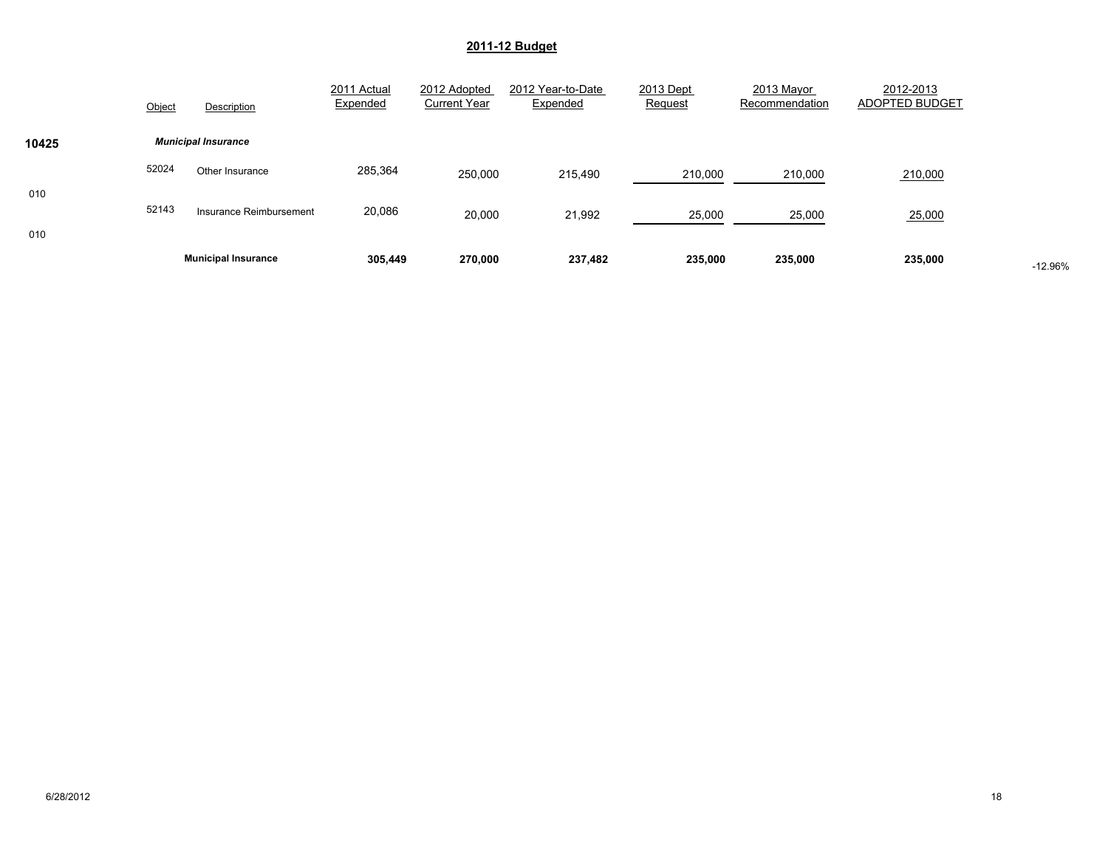|       |        | <b>Municipal Insurance</b> | 305,449                 | 270,000                             | 237,482                       | 235,000                     | 235,000                      | 235,000                     | $-12.96%$ |
|-------|--------|----------------------------|-------------------------|-------------------------------------|-------------------------------|-----------------------------|------------------------------|-----------------------------|-----------|
| 010   | 52143  | Insurance Reimbursement    | 20,086                  | 20,000                              | 21,992                        | 25,000                      | 25,000                       | 25,000                      |           |
| 010   |        |                            |                         |                                     |                               |                             |                              |                             |           |
|       | 52024  | Other Insurance            | 285,364                 | 250,000                             | 215,490                       | 210,000                     | 210,000                      | 210,000                     |           |
| 10425 |        | <b>Municipal Insurance</b> |                         |                                     |                               |                             |                              |                             |           |
|       | Object | Description                | 2011 Actual<br>Expended | 2012 Adopted<br><b>Current Year</b> | 2012 Year-to-Date<br>Expended | 2013 Dept<br><b>Request</b> | 2013 Mayor<br>Recommendation | 2012-2013<br>ADOPTED BUDGET |           |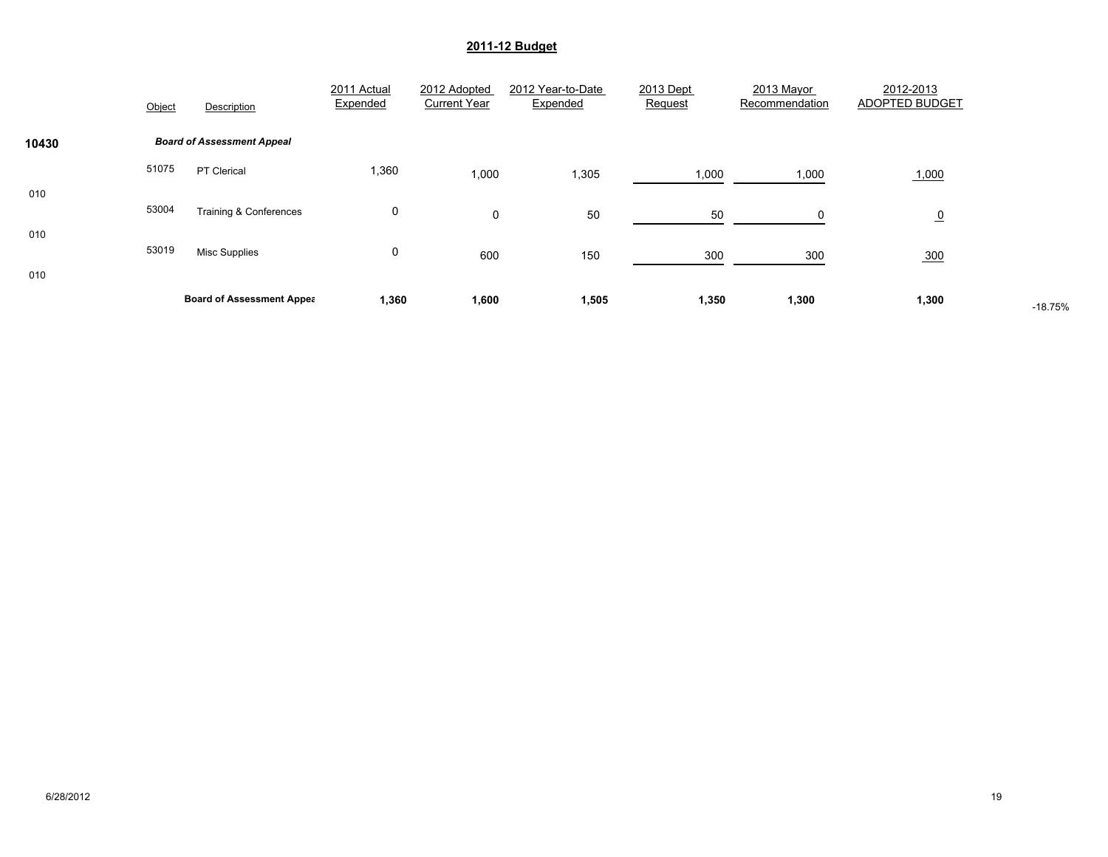|            | Object | Description                       | 2011 Actual<br>Expended | 2012 Adopted<br><b>Current Year</b> | 2012 Year-to-Date<br>Expended | 2013 Dept<br>Request | 2013 Mayor<br>Recommendation | 2012-2013<br>ADOPTED BUDGET |           |
|------------|--------|-----------------------------------|-------------------------|-------------------------------------|-------------------------------|----------------------|------------------------------|-----------------------------|-----------|
| 10430      |        | <b>Board of Assessment Appeal</b> |                         |                                     |                               |                      |                              |                             |           |
|            | 51075  | <b>PT Clerical</b>                | 1,360                   | 1,000                               | 1,305                         | 1,000                | 1,000                        | 1,000                       |           |
| 010<br>010 | 53004  | <b>Training &amp; Conferences</b> | 0                       | $\mathbf 0$                         | 50                            | 50                   | $\Omega$                     | $\overline{0}$              |           |
| 010        | 53019  | <b>Misc Supplies</b>              | 0                       | 600                                 | 150                           | 300                  | 300                          | 300                         |           |
|            |        | <b>Board of Assessment Appea</b>  | 1,360                   | 1,600                               | 1,505                         | 1,350                | 1,300                        | 1,300                       | $-18.75%$ |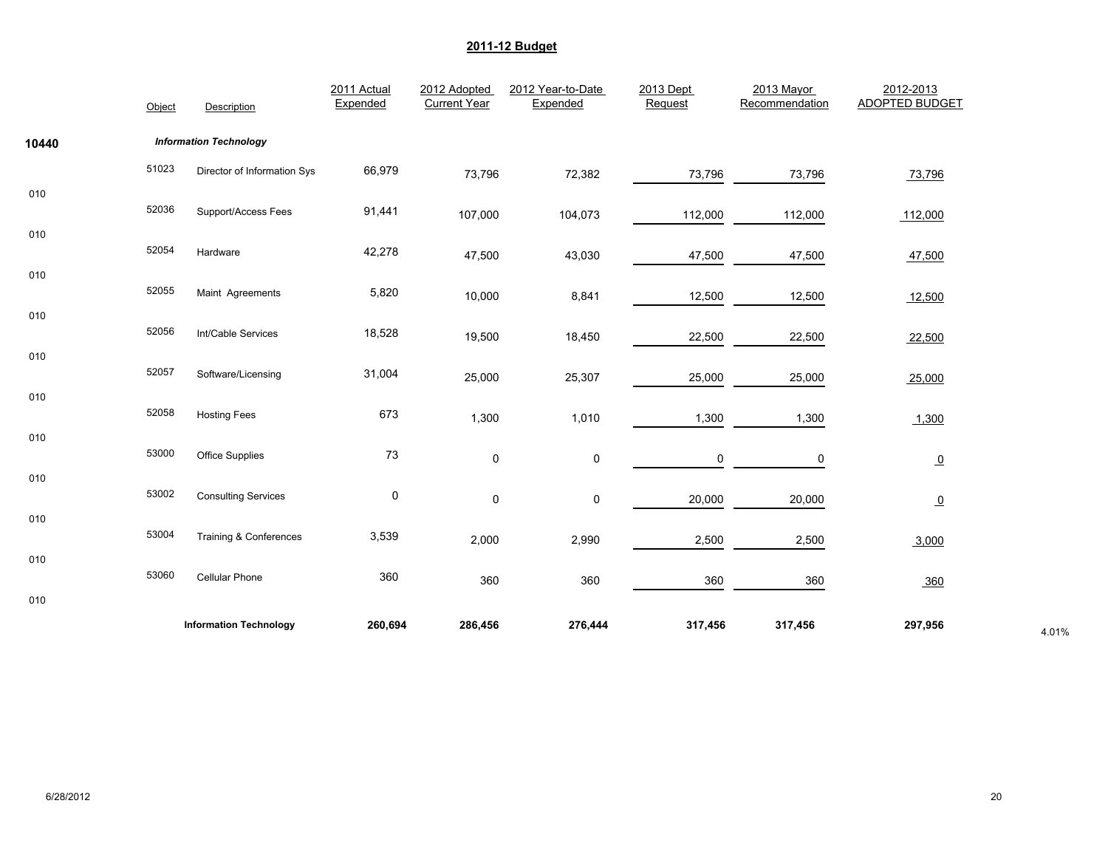|       | Object | Description                   | 2011 Actual<br>Expended | 2012 Adopted<br><b>Current Year</b> | 2012 Year-to-Date<br>Expended | 2013 Dept<br>Request | 2013 Mayor<br>Recommendation | 2012-2013<br><b>ADOPTED BUDGET</b> |       |
|-------|--------|-------------------------------|-------------------------|-------------------------------------|-------------------------------|----------------------|------------------------------|------------------------------------|-------|
| 10440 |        | <b>Information Technology</b> |                         |                                     |                               |                      |                              |                                    |       |
|       | 51023  | Director of Information Sys   | 66,979                  | 73,796                              | 72,382                        | 73,796               | 73,796                       | 73,796                             |       |
| 010   | 52036  | Support/Access Fees           | 91,441                  | 107,000                             | 104,073                       | 112,000              | 112,000                      | 112,000                            |       |
| 010   | 52054  | Hardware                      | 42,278                  | 47,500                              | 43,030                        | 47,500               | 47,500                       | 47,500                             |       |
| 010   | 52055  | Maint Agreements              | 5,820                   | 10,000                              | 8,841                         | 12,500               | 12,500                       | 12,500                             |       |
| 010   | 52056  | Int/Cable Services            | 18,528                  | 19,500                              | 18,450                        | 22,500               | 22,500                       | 22,500                             |       |
| 010   | 52057  | Software/Licensing            | 31,004                  | 25,000                              | 25,307                        | 25,000               | 25,000                       | 25,000                             |       |
| 010   | 52058  | <b>Hosting Fees</b>           | 673                     | 1,300                               | 1,010                         | 1,300                | 1,300                        | 1,300                              |       |
| 010   | 53000  | Office Supplies               | 73                      | $\mathsf 0$                         | $\pmb{0}$                     | 0                    | 0                            | $\overline{0}$                     |       |
| 010   | 53002  | <b>Consulting Services</b>    | $\pmb{0}$               | $\pmb{0}$                           | $\pmb{0}$                     | 20,000               | 20,000                       | $\overline{0}$                     |       |
| 010   | 53004  | Training & Conferences        | 3,539                   | 2,000                               | 2,990                         | 2,500                | 2,500                        | 3,000                              |       |
| 010   | 53060  | Cellular Phone                | 360                     | 360                                 | 360                           | 360                  | 360                          | 360                                |       |
| 010   |        |                               |                         |                                     |                               |                      |                              |                                    |       |
|       |        | <b>Information Technology</b> | 260,694                 | 286,456                             | 276,444                       | 317,456              | 317,456                      | 297,956                            | 4.01% |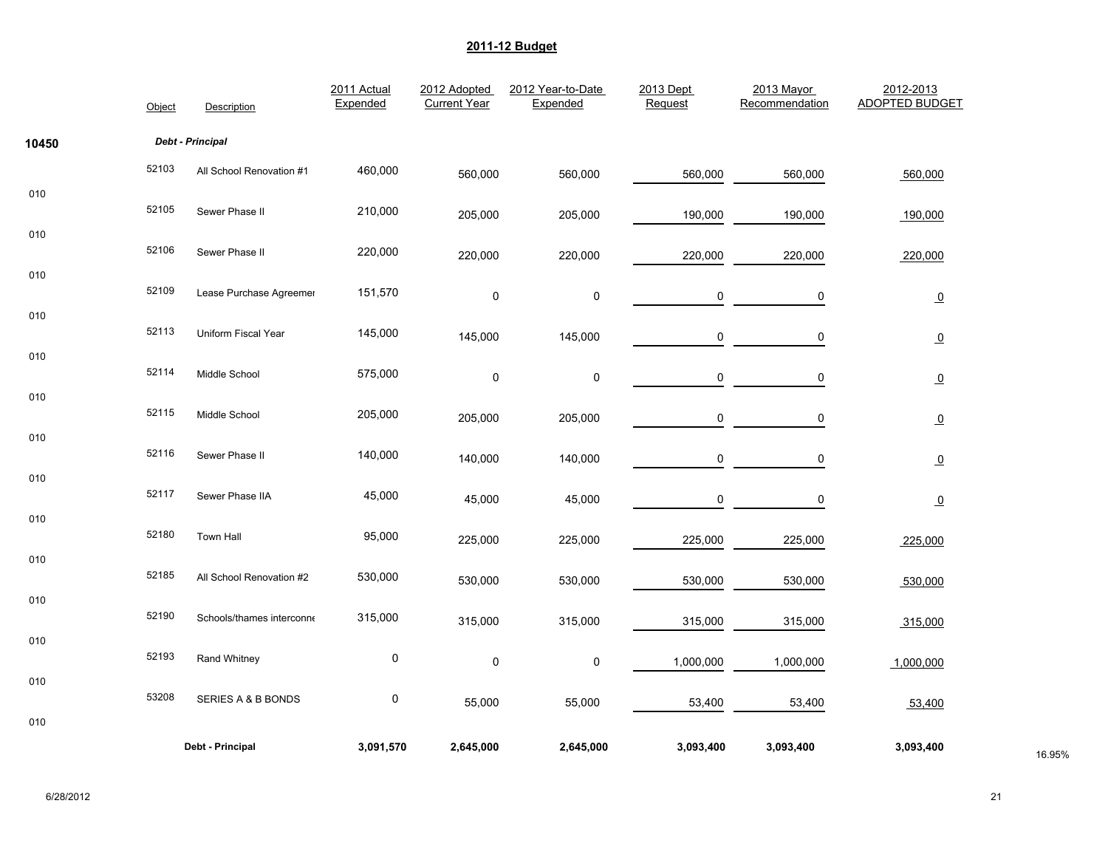|       | Object | Description               | 2011 Actual<br>Expended | 2012 Adopted<br><b>Current Year</b> | 2012 Year-to-Date<br>Expended | 2013 Dept<br>Request | 2013 Mayor<br>Recommendation | 2012-2013<br><b>ADOPTED BUDGET</b> |        |
|-------|--------|---------------------------|-------------------------|-------------------------------------|-------------------------------|----------------------|------------------------------|------------------------------------|--------|
| 10450 |        | Debt - Principal          |                         |                                     |                               |                      |                              |                                    |        |
|       | 52103  | All School Renovation #1  | 460,000                 | 560,000                             | 560,000                       | 560,000              | 560,000                      | 560,000                            |        |
| 010   | 52105  | Sewer Phase II            | 210,000                 | 205,000                             | 205,000                       | 190,000              | 190,000                      | 190,000                            |        |
| 010   | 52106  | Sewer Phase II            | 220,000                 | 220,000                             | 220,000                       | 220,000              | 220,000                      | 220,000                            |        |
| 010   | 52109  | Lease Purchase Agreemer   | 151,570                 | $\pmb{0}$                           | $\pmb{0}$                     | 0                    | 0                            | $\overline{0}$                     |        |
| 010   | 52113  | Uniform Fiscal Year       | 145,000                 | 145,000                             | 145,000                       | 0                    | 0                            | $\overline{0}$                     |        |
| 010   | 52114  | Middle School             | 575,000                 | $\pmb{0}$                           | $\pmb{0}$                     | $\mathsf 0$          | 0                            | $\underline{\mathbf{0}}$           |        |
| 010   | 52115  | Middle School             | 205,000                 | 205,000                             | 205,000                       | 0                    | 0                            | $\overline{0}$                     |        |
| 010   | 52116  | Sewer Phase II            | 140,000                 | 140,000                             | 140,000                       | 0                    | 0                            | $\overline{0}$                     |        |
| 010   | 52117  | Sewer Phase IIA           | 45,000                  | 45,000                              | 45,000                        | $\pmb{0}$            | 0                            | $\overline{0}$                     |        |
| 010   | 52180  | <b>Town Hall</b>          | 95,000                  | 225,000                             | 225,000                       | 225,000              | 225,000                      | 225,000                            |        |
| 010   | 52185  | All School Renovation #2  | 530,000                 | 530,000                             | 530,000                       | 530,000              | 530,000                      | 530,000                            |        |
| 010   | 52190  | Schools/thames interconne | 315,000                 | 315,000                             | 315,000                       | 315,000              | 315,000                      | 315,000                            |        |
| 010   | 52193  | Rand Whitney              | $\pmb{0}$               | $\pmb{0}$                           | $\pmb{0}$                     | 1,000,000            | 1,000,000                    | 1,000,000                          |        |
| 010   | 53208  | SERIES A & B BONDS        | 0                       |                                     |                               |                      |                              |                                    |        |
| 010   |        |                           |                         | 55,000                              | 55,000                        | 53,400               | 53,400                       | 53,400                             |        |
|       |        | Debt - Principal          | 3,091,570               | 2,645,000                           | 2,645,000                     | 3,093,400            | 3,093,400                    | 3,093,400                          | 16.95% |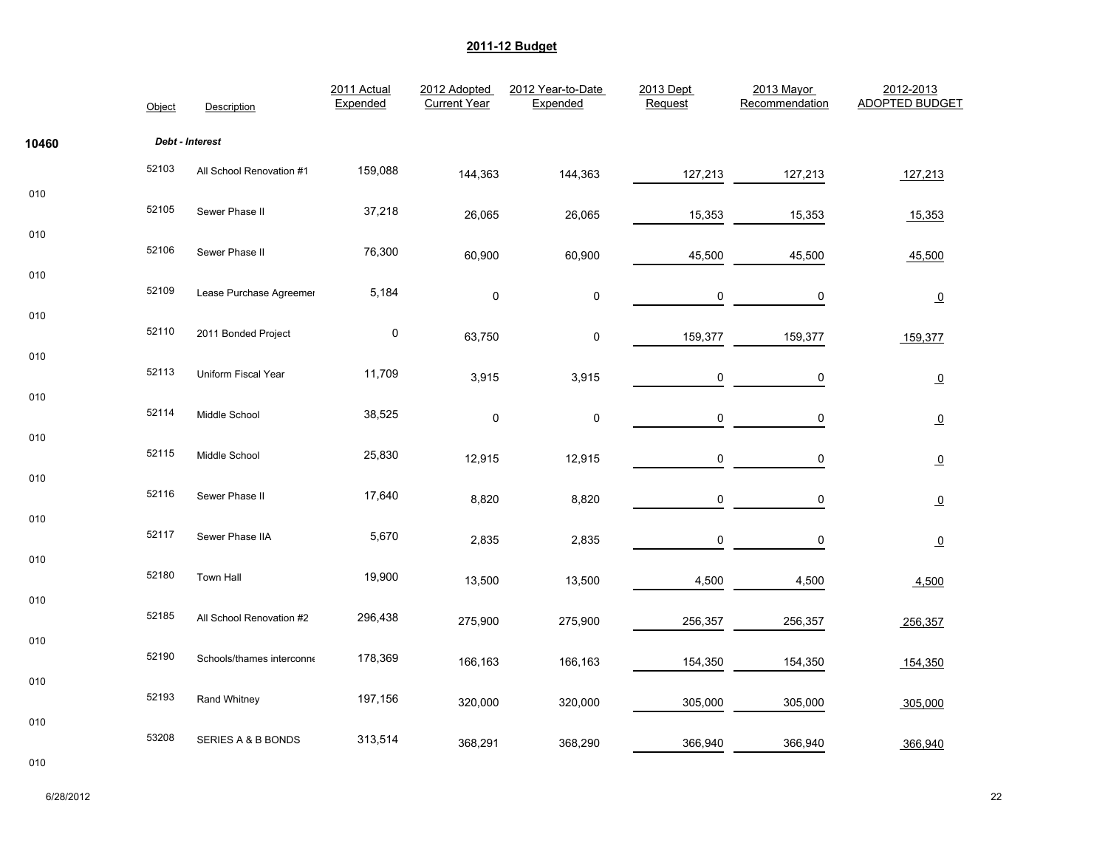|       | Object | Description               | 2011 Actual<br>Expended | 2012 Adopted<br><b>Current Year</b> | 2012 Year-to-Date<br>Expended | 2013 Dept<br>Request | 2013 Mayor<br>Recommendation | 2012-2013<br><b>ADOPTED BUDGET</b> |
|-------|--------|---------------------------|-------------------------|-------------------------------------|-------------------------------|----------------------|------------------------------|------------------------------------|
| 10460 |        | Debt - Interest           |                         |                                     |                               |                      |                              |                                    |
|       | 52103  | All School Renovation #1  | 159,088                 | 144,363                             | 144,363                       | 127,213              | 127,213                      | 127,213                            |
| 010   | 52105  | Sewer Phase II            | 37,218                  | 26,065                              | 26,065                        | 15,353               | 15,353                       | 15,353                             |
| 010   | 52106  | Sewer Phase II            | 76,300                  | 60,900                              | 60,900                        | 45,500               | 45,500                       | 45,500                             |
| 010   | 52109  | Lease Purchase Agreemer   | 5,184                   | 0                                   | 0                             | 0                    | 0                            | $\overline{\mathbf{0}}$            |
| 010   | 52110  | 2011 Bonded Project       | $\pmb{0}$               | 63,750                              | $\pmb{0}$                     | 159,377              | 159,377                      | 159,377                            |
| 010   | 52113  | Uniform Fiscal Year       | 11,709                  | 3,915                               | 3,915                         | 0                    | 0                            | $\overline{0}$                     |
| 010   | 52114  | Middle School             | 38,525                  | $\pmb{0}$                           | 0                             | 0                    | 0                            | $\overline{0}$                     |
| 010   | 52115  | Middle School             | 25,830                  | 12,915                              | 12,915                        | 0                    | 0                            | $\underline{0}$                    |
| 010   | 52116  | Sewer Phase II            | 17,640                  | 8,820                               | 8,820                         | $\pmb{0}$            | 0                            | $\underline{0}$                    |
| 010   | 52117  | Sewer Phase IIA           | 5,670                   | 2,835                               | 2,835                         | 0                    | 0                            | $\overline{0}$                     |
| 010   | 52180  | Town Hall                 | 19,900                  | 13,500                              | 13,500                        | 4,500                | 4,500                        | 4,500                              |
| 010   | 52185  | All School Renovation #2  | 296,438                 | 275,900                             | 275,900                       | 256,357              | 256,357                      | 256,357                            |
| 010   | 52190  | Schools/thames interconne | 178,369                 | 166,163                             | 166,163                       | 154,350              | 154,350                      | 154,350                            |
| 010   | 52193  | Rand Whitney              | 197,156                 | 320,000                             | 320,000                       | 305,000              | 305,000                      | 305,000                            |
| 010   | 53208  | SERIES A & B BONDS        | 313,514                 | 368,291                             | 368,290                       | 366,940              | 366,940                      | 366,940                            |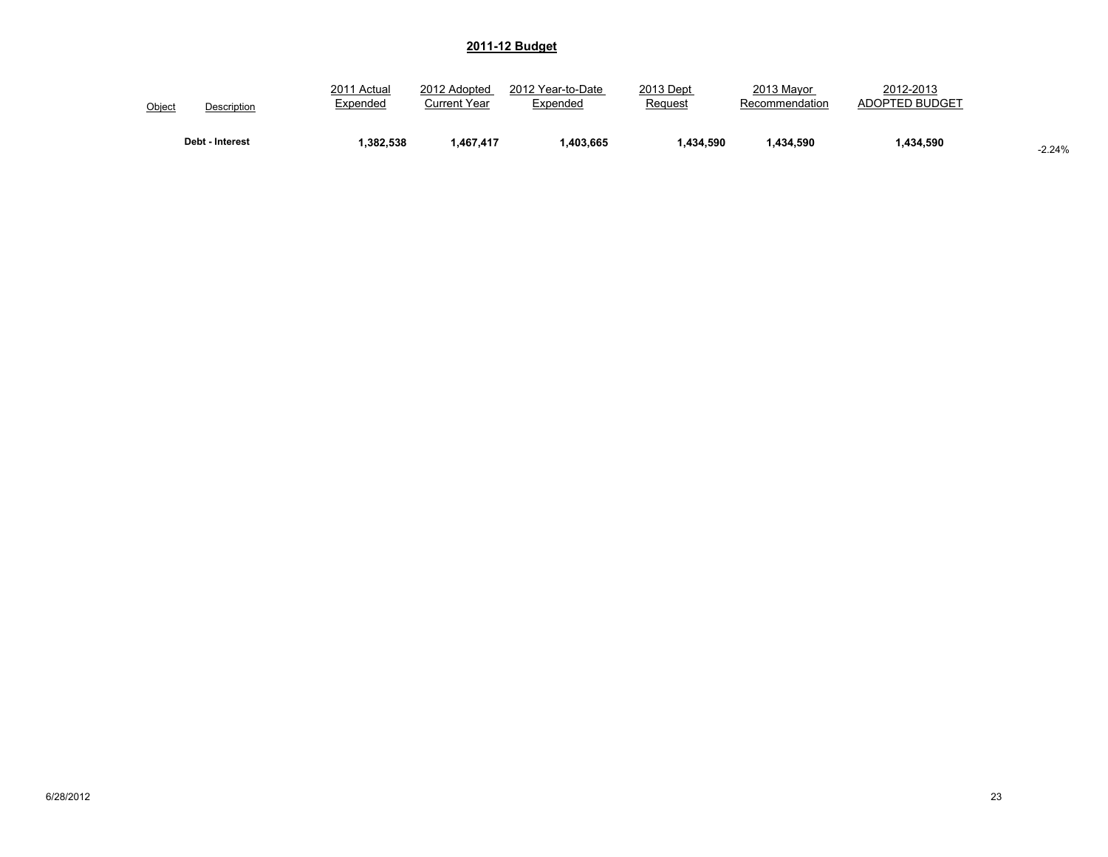| Object          | 2011 Actual | 2012 Adopted | 2012 Year-to-Date | 2013 Dept | 2013 Mayor     | 2012-2013      |          |
|-----------------|-------------|--------------|-------------------|-----------|----------------|----------------|----------|
| Description     | Expended    | Current Year | Expended          | Request   | Recommendation | ADOPTED BUDGET |          |
| Debt - Interest | .382.538    | 1.467.417    | .403.665          | .434.590  | .434.590       | 1,434,590      | $-2.24%$ |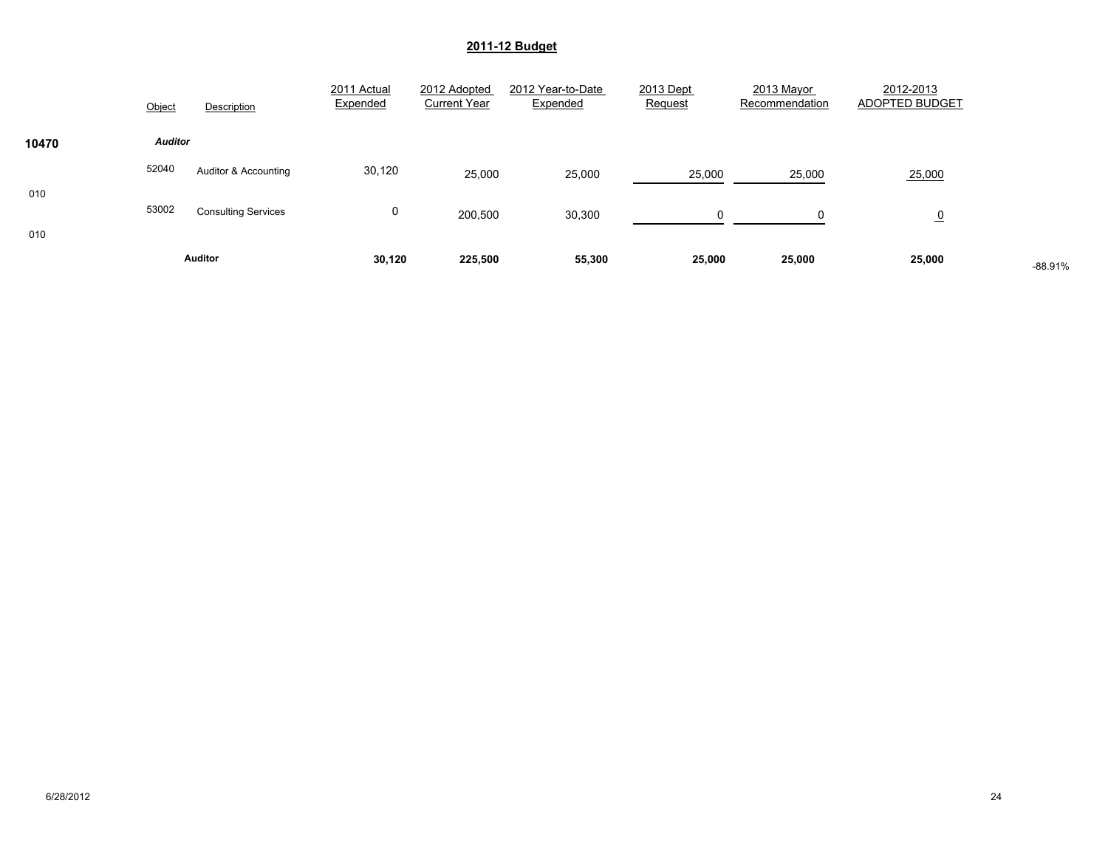|       | Object         | Description                | 2011 Actual<br>Expended | 2012 Adopted<br><b>Current Year</b> | 2012 Year-to-Date<br>Expended | 2013 Dept<br>Request | 2013 Mayor<br>Recommendation | 2012-2013<br>ADOPTED BUDGET |           |
|-------|----------------|----------------------------|-------------------------|-------------------------------------|-------------------------------|----------------------|------------------------------|-----------------------------|-----------|
| 10470 | <b>Auditor</b> |                            |                         |                                     |                               |                      |                              |                             |           |
|       | 52040          | Auditor & Accounting       | 30,120                  | 25,000                              | 25,000                        | 25,000               | 25,000                       | 25,000                      |           |
| 010   | 53002          | <b>Consulting Services</b> | 0                       | 200,500                             | 30,300                        | 0                    | 0                            | $\overline{0}$              |           |
| 010   |                | <b>Auditor</b>             | 30,120                  | 225,500                             | 55,300                        | 25,000               | 25,000                       | 25,000                      | $-88.91%$ |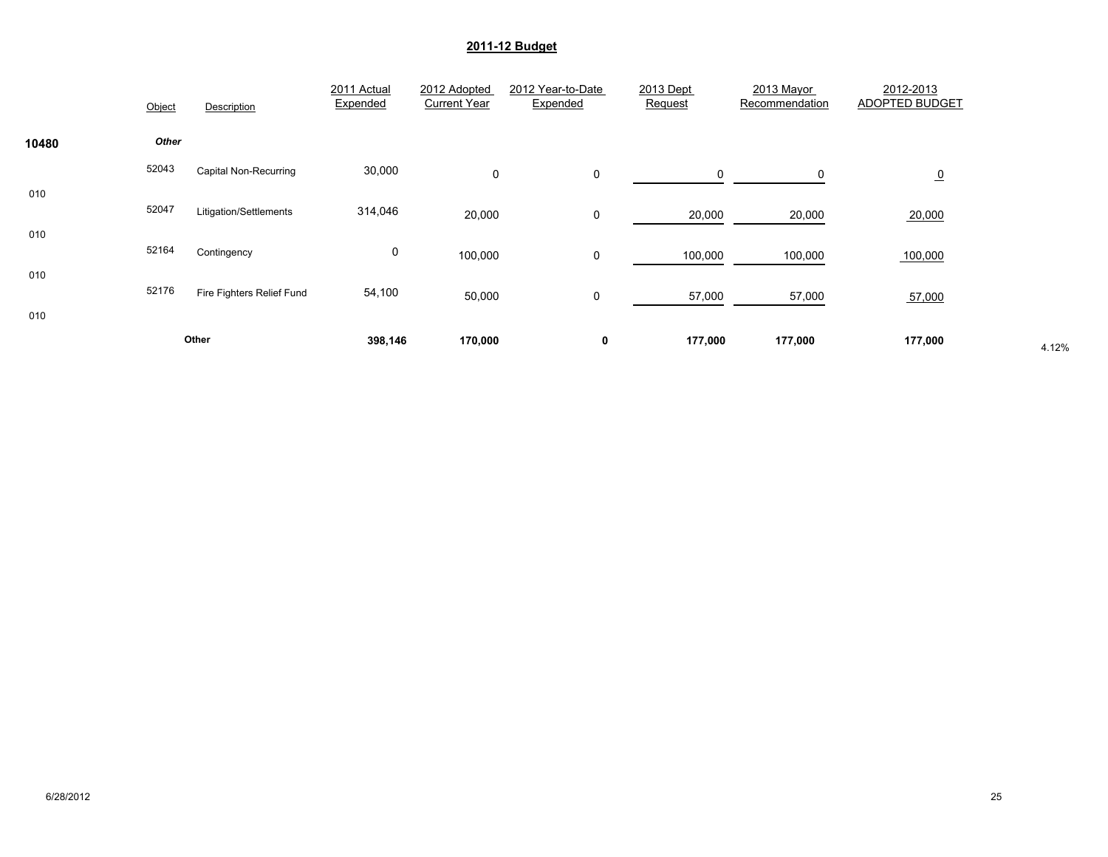|            | Object       | Description               | 2011 Actual<br>Expended | 2012 Adopted<br><b>Current Year</b> | 2012 Year-to-Date<br>Expended | 2013 Dept<br>Request | 2013 Mayor<br>Recommendation | 2012-2013<br><b>ADOPTED BUDGET</b> |       |
|------------|--------------|---------------------------|-------------------------|-------------------------------------|-------------------------------|----------------------|------------------------------|------------------------------------|-------|
| 10480      | <b>Other</b> |                           |                         |                                     |                               |                      |                              |                                    |       |
|            | 52043        | Capital Non-Recurring     | 30,000                  | $\mathbf 0$                         | 0                             | $\mathbf 0$          | 0                            | $\overline{0}$                     |       |
| 010<br>010 | 52047        | Litigation/Settlements    | 314,046                 | 20,000                              | 0                             | 20,000               | 20,000                       | 20,000                             |       |
|            | 52164        | Contingency               | 0                       | 100,000                             | 0                             | 100,000              | 100,000                      | 100,000                            |       |
| 010<br>010 | 52176        | Fire Fighters Relief Fund | 54,100                  | 50,000                              | 0                             | 57,000               | 57,000                       | 57,000                             |       |
|            |              | Other                     | 398,146                 | 170,000                             | 0                             | 177,000              | 177,000                      | 177,000                            | 4.12% |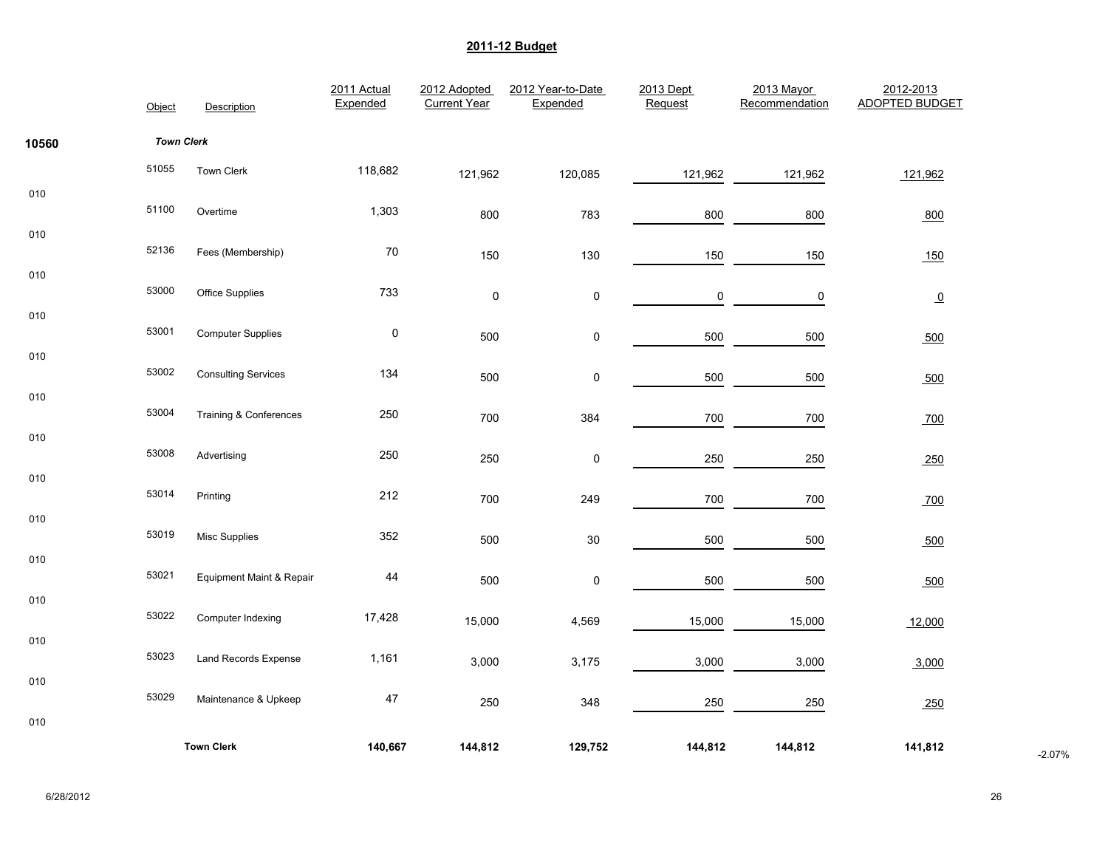|       | Object            | Description                | 2011 Actual<br>Expended | 2012 Adopted<br><b>Current Year</b> | 2012 Year-to-Date<br>Expended | 2013 Dept<br>Request | 2013 Mayor<br>Recommendation | 2012-2013<br><b>ADOPTED BUDGET</b> |          |
|-------|-------------------|----------------------------|-------------------------|-------------------------------------|-------------------------------|----------------------|------------------------------|------------------------------------|----------|
| 10560 | <b>Town Clerk</b> |                            |                         |                                     |                               |                      |                              |                                    |          |
|       | 51055             | Town Clerk                 | 118,682                 | 121,962                             | 120,085                       | 121,962              | 121,962                      | 121,962                            |          |
| 010   | 51100             | Overtime                   | 1,303                   | 800                                 | 783                           | 800                  | 800                          | 800                                |          |
| 010   | 52136             | Fees (Membership)          | 70                      | 150                                 | 130                           | 150                  | 150                          | 150                                |          |
| 010   | 53000             | Office Supplies            | 733                     | $\mathsf 0$                         | $\pmb{0}$                     | 0                    | 0                            | $\overline{0}$                     |          |
| 010   | 53001             | <b>Computer Supplies</b>   | $\pmb{0}$               | 500                                 | 0                             | 500                  | 500                          | 500                                |          |
| 010   | 53002             | <b>Consulting Services</b> | 134                     | 500                                 | $\pmb{0}$                     | 500                  | 500                          | 500                                |          |
| 010   | 53004             | Training & Conferences     | 250                     | 700                                 | 384                           | 700                  | 700                          | 700                                |          |
| 010   | 53008             | Advertising                | 250                     | 250                                 | $\pmb{0}$                     | 250                  | 250                          | 250                                |          |
| 010   | 53014             | Printing                   | 212                     | 700                                 | 249                           | 700                  | 700                          | 700                                |          |
| 010   | 53019             | <b>Misc Supplies</b>       | 352                     | 500                                 | $30\,$                        | 500                  | 500                          | 500                                |          |
| 010   | 53021             | Equipment Maint & Repair   | 44                      | 500                                 | $\pmb{0}$                     | 500                  | 500                          | 500                                |          |
| 010   | 53022             | Computer Indexing          | 17,428                  | 15,000                              | 4,569                         | 15,000               | 15,000                       | 12,000                             |          |
| 010   | 53023             | Land Records Expense       | 1,161                   | 3,000                               | 3,175                         | 3,000                | 3,000                        | 3,000                              |          |
| 010   | 53029             | Maintenance & Upkeep       | 47                      | 250                                 | 348                           | 250                  | 250                          | 250                                |          |
| 010   |                   |                            |                         |                                     |                               |                      |                              |                                    |          |
|       |                   | <b>Town Clerk</b>          | 140,667                 | 144,812                             | 129,752                       | 144,812              | 144,812                      | 141,812                            | $-2.07%$ |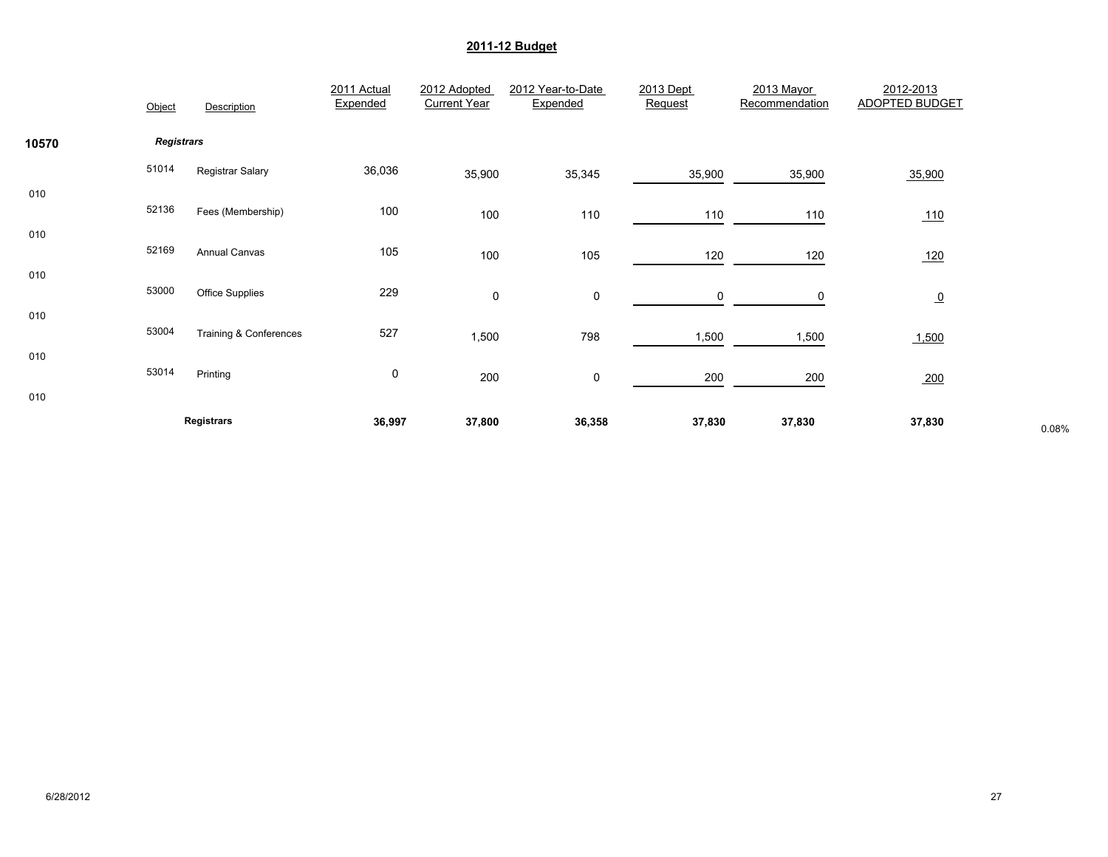|            | Object            | Description                       | 2011 Actual<br>Expended | 2012 Adopted<br><b>Current Year</b> | 2012 Year-to-Date<br>Expended | 2013 Dept<br>Request | 2013 Mayor<br>Recommendation | 2012-2013<br><b>ADOPTED BUDGET</b> |       |
|------------|-------------------|-----------------------------------|-------------------------|-------------------------------------|-------------------------------|----------------------|------------------------------|------------------------------------|-------|
| 10570      | <b>Registrars</b> |                                   |                         |                                     |                               |                      |                              |                                    |       |
|            | 51014             | Registrar Salary                  | 36,036                  | 35,900                              | 35,345                        | 35,900               | 35,900                       | 35,900                             |       |
| 010<br>010 | 52136             | Fees (Membership)                 | 100                     | 100                                 | 110                           | 110                  | 110                          | <u>110</u>                         |       |
|            | 52169             | Annual Canvas                     | 105                     | 100                                 | 105                           | 120                  | 120                          | 120                                |       |
| 010        | 53000             | <b>Office Supplies</b>            | 229                     | 0                                   | 0                             | 0                    | 0                            | $\overline{0}$                     |       |
| 010        | 53004             | <b>Training &amp; Conferences</b> | 527                     | 1,500                               | 798                           | 1,500                | 1,500                        | 1,500                              |       |
| 010        | 53014             | Printing                          | 0                       | 200                                 | 0                             | 200                  | 200                          | 200                                |       |
| 010        |                   | Registrars                        | 36,997                  | 37,800                              | 36,358                        | 37,830               | 37,830                       | 37,830                             | 0.08% |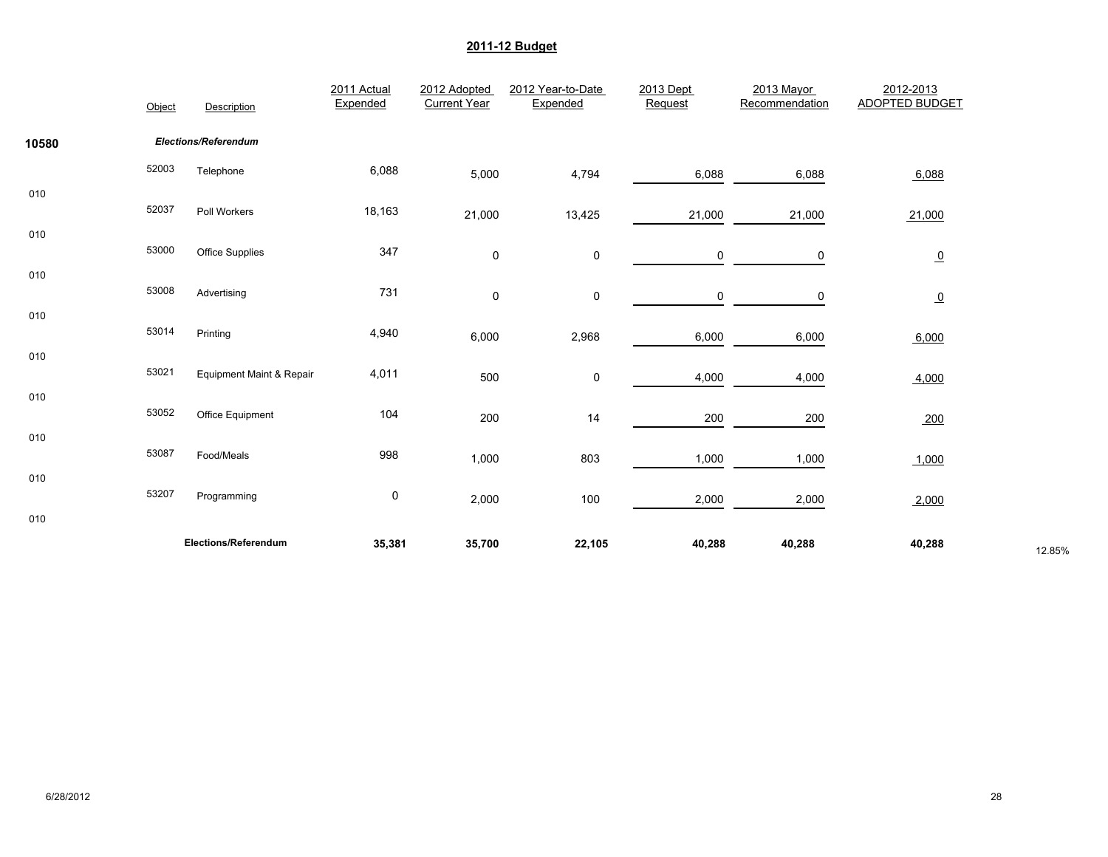|       | Object | Description                         | 2011 Actual<br>Expended | 2012 Adopted<br><b>Current Year</b> | 2012 Year-to-Date<br>Expended | 2013 Dept<br>Request | 2013 Mayor<br>Recommendation | 2012-2013<br><b>ADOPTED BUDGET</b> |        |
|-------|--------|-------------------------------------|-------------------------|-------------------------------------|-------------------------------|----------------------|------------------------------|------------------------------------|--------|
| 10580 |        | Elections/Referendum                |                         |                                     |                               |                      |                              |                                    |        |
|       | 52003  | Telephone                           | 6,088                   | 5,000                               | 4,794                         | 6,088                | 6,088                        | 6,088                              |        |
| 010   | 52037  | Poll Workers                        | 18,163                  | 21,000                              | 13,425                        | 21,000               | 21,000                       | 21,000                             |        |
| 010   | 53000  | Office Supplies                     | 347                     |                                     |                               |                      |                              |                                    |        |
| 010   |        |                                     |                         | 0                                   | 0                             | 0                    | 0                            | $\overline{0}$                     |        |
| 010   | 53008  | Advertising                         | 731                     | 0                                   | 0                             | 0                    | 0                            | $\overline{0}$                     |        |
|       | 53014  | Printing                            | 4,940                   | 6,000                               | 2,968                         | 6,000                | 6,000                        | 6,000                              |        |
| 010   | 53021  | <b>Equipment Maint &amp; Repair</b> | 4,011                   | 500                                 | $\pmb{0}$                     | 4,000                | 4,000                        | 4,000                              |        |
| 010   | 53052  | Office Equipment                    | 104                     | 200                                 | 14                            | 200                  | 200                          | 200                                |        |
| 010   | 53087  | Food/Meals                          | 998                     |                                     |                               |                      |                              |                                    |        |
| 010   |        |                                     |                         | 1,000                               | 803                           | 1,000                | 1,000                        | 1,000                              |        |
| 010   | 53207  | Programming                         | $\pmb{0}$               | 2,000                               | 100                           | 2,000                | 2,000                        | 2,000                              |        |
|       |        | Elections/Referendum                | 35,381                  | 35,700                              | 22,105                        | 40,288               | 40,288                       | 40,288                             | 12.85% |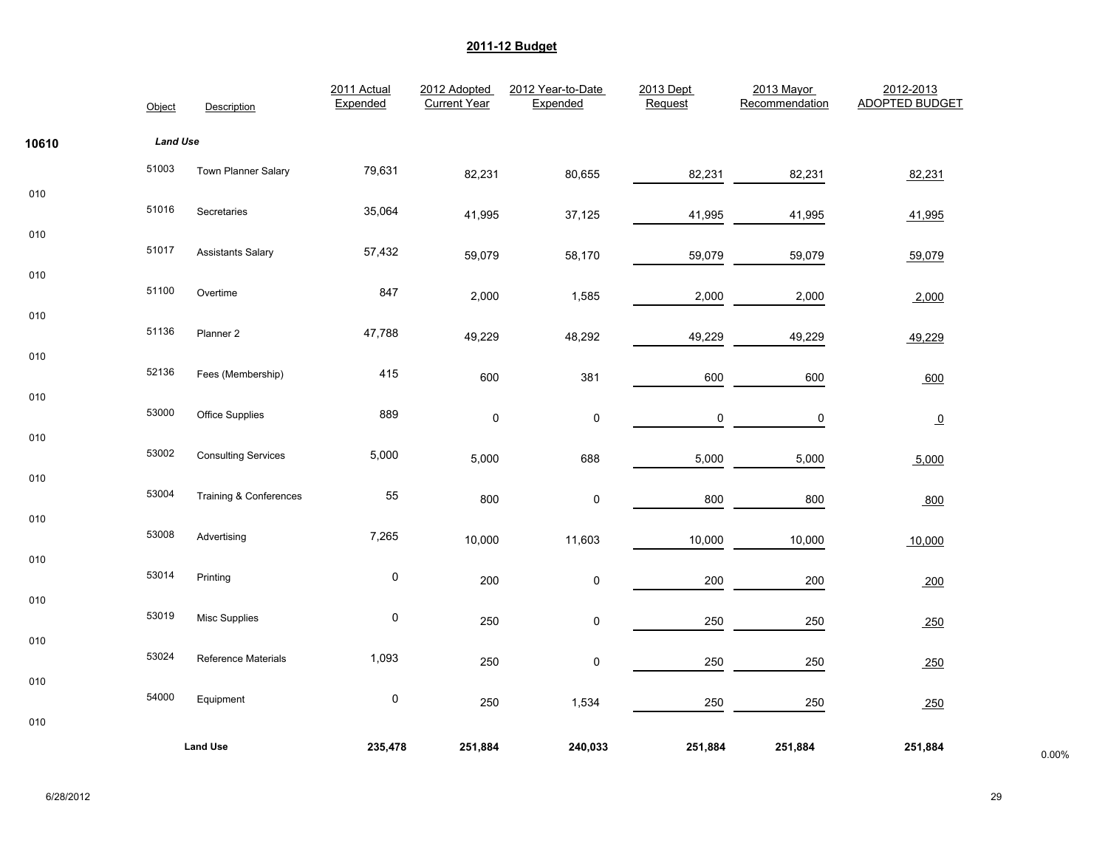|       | Object          | Description                       | 2011 Actual<br>Expended | 2012 Adopted<br><b>Current Year</b> | 2012 Year-to-Date<br>Expended | 2013 Dept<br>Request | 2013 Mayor<br>Recommendation | 2012-2013<br><b>ADOPTED BUDGET</b> |       |
|-------|-----------------|-----------------------------------|-------------------------|-------------------------------------|-------------------------------|----------------------|------------------------------|------------------------------------|-------|
| 10610 | <b>Land Use</b> |                                   |                         |                                     |                               |                      |                              |                                    |       |
|       | 51003           | Town Planner Salary               | 79,631                  | 82,231                              | 80,655                        | 82,231               | 82,231                       | 82,231                             |       |
| 010   | 51016           | Secretaries                       | 35,064                  | 41,995                              | 37,125                        | 41,995               | 41,995                       | 41,995                             |       |
| 010   | 51017           | <b>Assistants Salary</b>          | 57,432                  | 59,079                              | 58,170                        | 59,079               | 59,079                       | 59,079                             |       |
| 010   | 51100           | Overtime                          | 847                     | 2,000                               | 1,585                         | 2,000                | 2,000                        | 2,000                              |       |
| 010   | 51136           | Planner <sub>2</sub>              | 47,788                  | 49,229                              | 48,292                        | 49,229               | 49,229                       | 49,229                             |       |
| 010   | 52136           | Fees (Membership)                 | 415                     | 600                                 | 381                           | 600                  | 600                          | 600                                |       |
| 010   | 53000           | Office Supplies                   | 889                     | 0                                   | $\mathbf 0$                   | 0                    | 0                            | $\overline{0}$                     |       |
| 010   | 53002           | <b>Consulting Services</b>        | 5,000                   | 5,000                               | 688                           | 5,000                | 5,000                        | 5,000                              |       |
| 010   | 53004           | <b>Training &amp; Conferences</b> | 55                      | 800                                 | $\mathsf 0$                   | 800                  | 800                          | 800                                |       |
| 010   | 53008           | Advertising                       | 7,265                   | 10,000                              | 11,603                        | 10,000               | 10,000                       | 10,000                             |       |
| 010   | 53014           | Printing                          | $\pmb{0}$               | 200                                 | $\pmb{0}$                     | 200                  | 200                          | 200                                |       |
| 010   | 53019           | Misc Supplies                     | $\pmb{0}$               | 250                                 | 0                             | 250                  | 250                          | 250                                |       |
| 010   | 53024           | <b>Reference Materials</b>        | 1,093                   | 250                                 | $\pmb{0}$                     | 250                  | 250                          | 250                                |       |
| 010   | 54000           | Equipment                         | $\pmb{0}$               | 250                                 | 1,534                         | 250                  | 250                          | 250                                |       |
| 010   |                 |                                   |                         |                                     |                               |                      |                              |                                    |       |
|       |                 | <b>Land Use</b>                   | 235,478                 | 251,884                             | 240,033                       | 251,884              | 251,884                      | 251,884                            | 0.00% |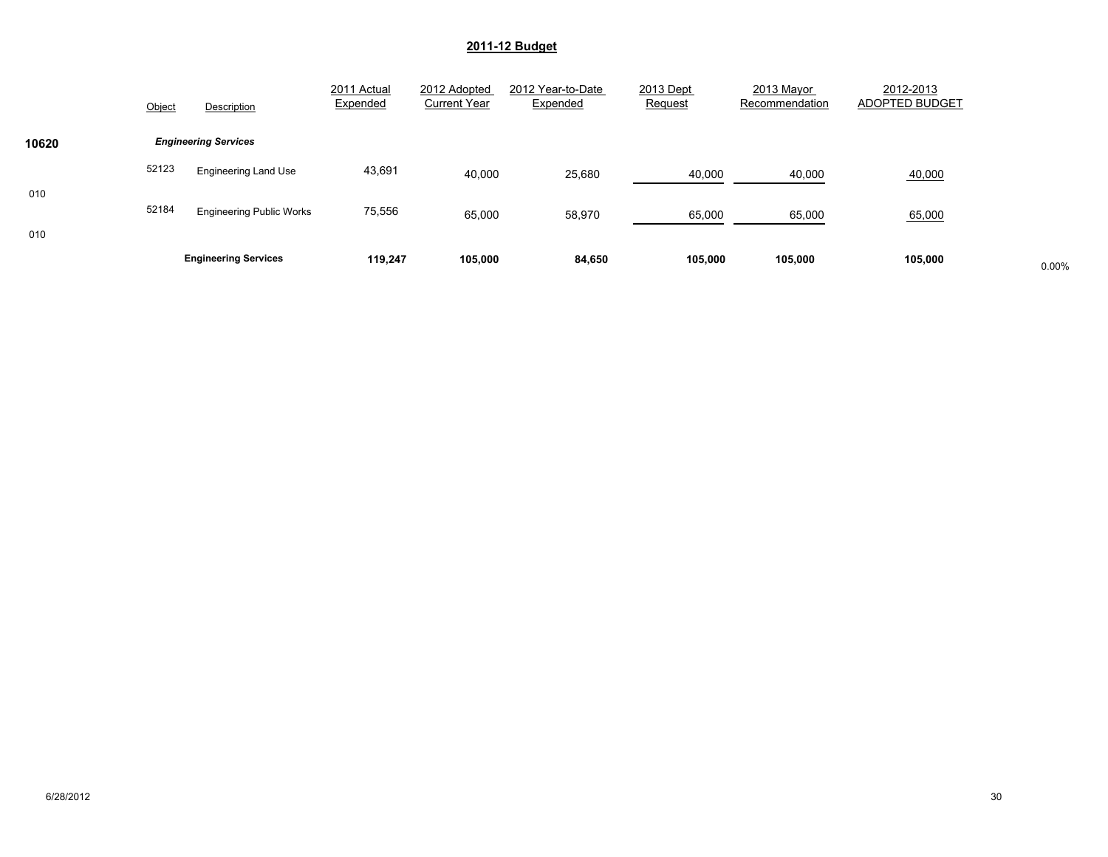|       |        | <b>Engineering Services</b>     | 119.247                 | 105,000                             | 84,650                        | 105,000              | 105,000                      | 105,000                     | 0.00% |
|-------|--------|---------------------------------|-------------------------|-------------------------------------|-------------------------------|----------------------|------------------------------|-----------------------------|-------|
| 010   | 52184  | <b>Engineering Public Works</b> | 75,556                  | 65,000                              | 58,970                        | 65,000               | 65,000                       | 65,000                      |       |
| 010   |        | <b>Engineering Land Use</b>     |                         | 40,000                              | 25,680                        | 40,000               | 40,000                       | 40,000                      |       |
| 10620 | 52123  | <b>Engineering Services</b>     | 43,691                  |                                     |                               |                      |                              |                             |       |
|       | Object | Description                     | 2011 Actual<br>Expended | 2012 Adopted<br><b>Current Year</b> | 2012 Year-to-Date<br>Expended | 2013 Dept<br>Request | 2013 Mayor<br>Recommendation | 2012-2013<br>ADOPTED BUDGET |       |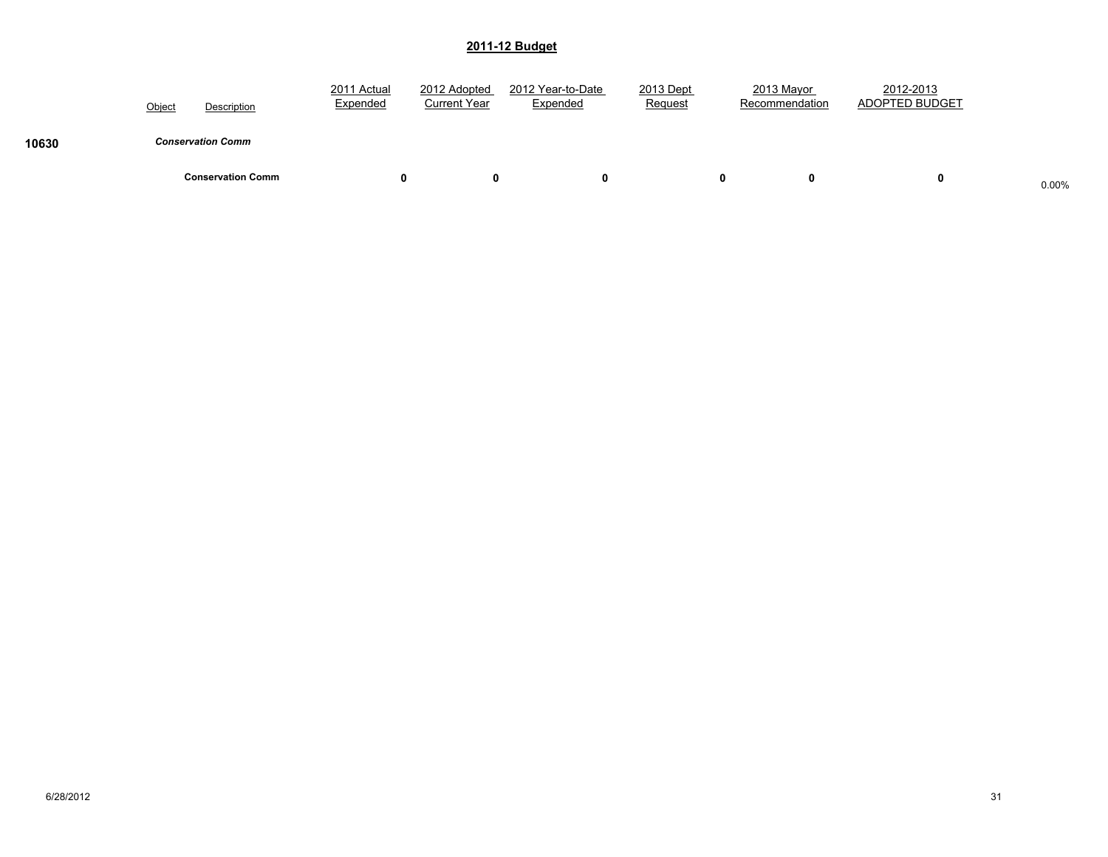|       | Object | Description              | 2011 Actual<br>Expended | 2012 Adopted<br><b>Current Year</b> | 2012 Year-to-Date<br>Expended | 2013 Dept<br>Request | 2013 Mayor<br>Recommendation | 2012-2013<br>ADOPTED BUDGET |       |
|-------|--------|--------------------------|-------------------------|-------------------------------------|-------------------------------|----------------------|------------------------------|-----------------------------|-------|
| 10630 |        | <b>Conservation Comm</b> |                         |                                     |                               |                      |                              |                             |       |
|       |        | <b>Conservation Comm</b> | 0                       | o                                   |                               |                      | 0<br>0                       | 0                           | 0.00% |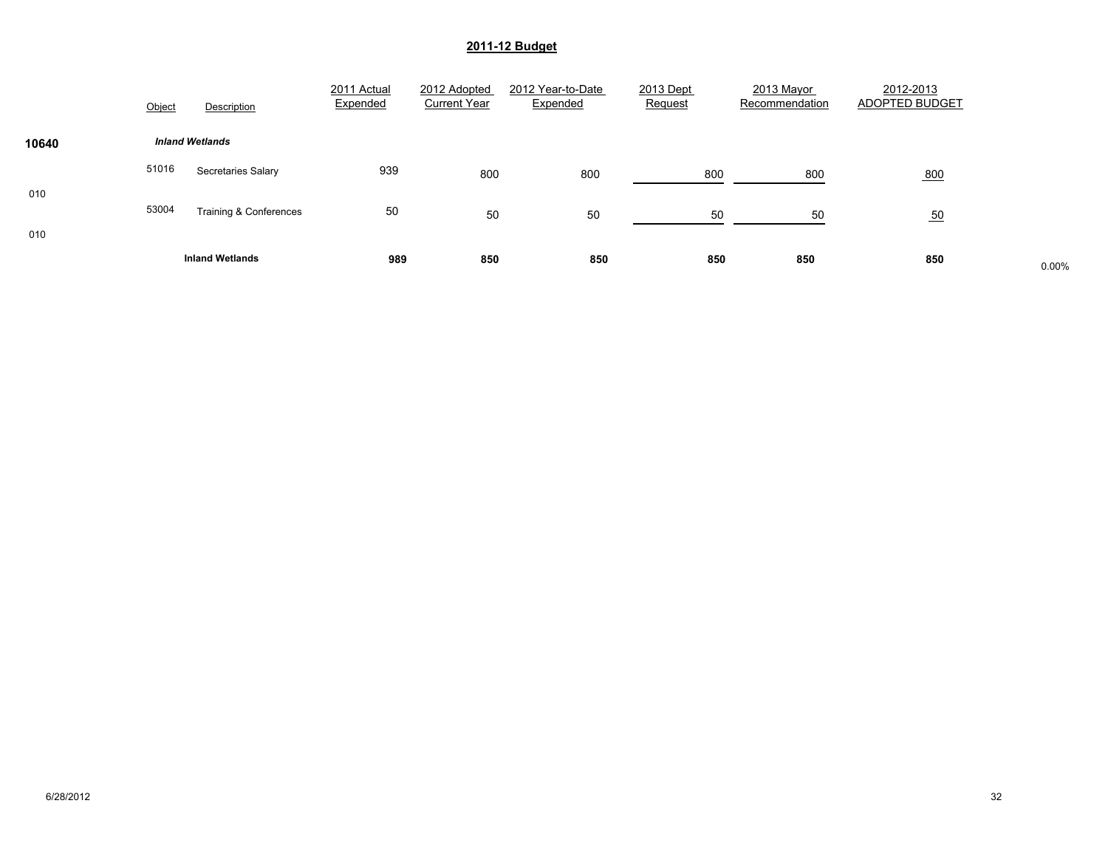|       | Object | Description               | 2011 Actual<br>Expended | 2012 Adopted<br><b>Current Year</b> | 2012 Year-to-Date<br>Expended | 2013 Dept<br>Request | 2013 Mayor<br>Recommendation | 2012-2013<br>ADOPTED BUDGET |       |
|-------|--------|---------------------------|-------------------------|-------------------------------------|-------------------------------|----------------------|------------------------------|-----------------------------|-------|
| 10640 |        | <b>Inland Wetlands</b>    |                         |                                     |                               |                      |                              |                             |       |
| 010   | 51016  | <b>Secretaries Salary</b> | 939                     | 800                                 | 800                           | 800                  | 800                          | 800                         |       |
| 010   | 53004  | Training & Conferences    | 50                      | 50                                  | 50                            | 50                   | 50                           | 50                          |       |
|       |        | <b>Inland Wetlands</b>    | 989                     | 850                                 | 850                           | 850                  | 850                          | 850                         | 0.00% |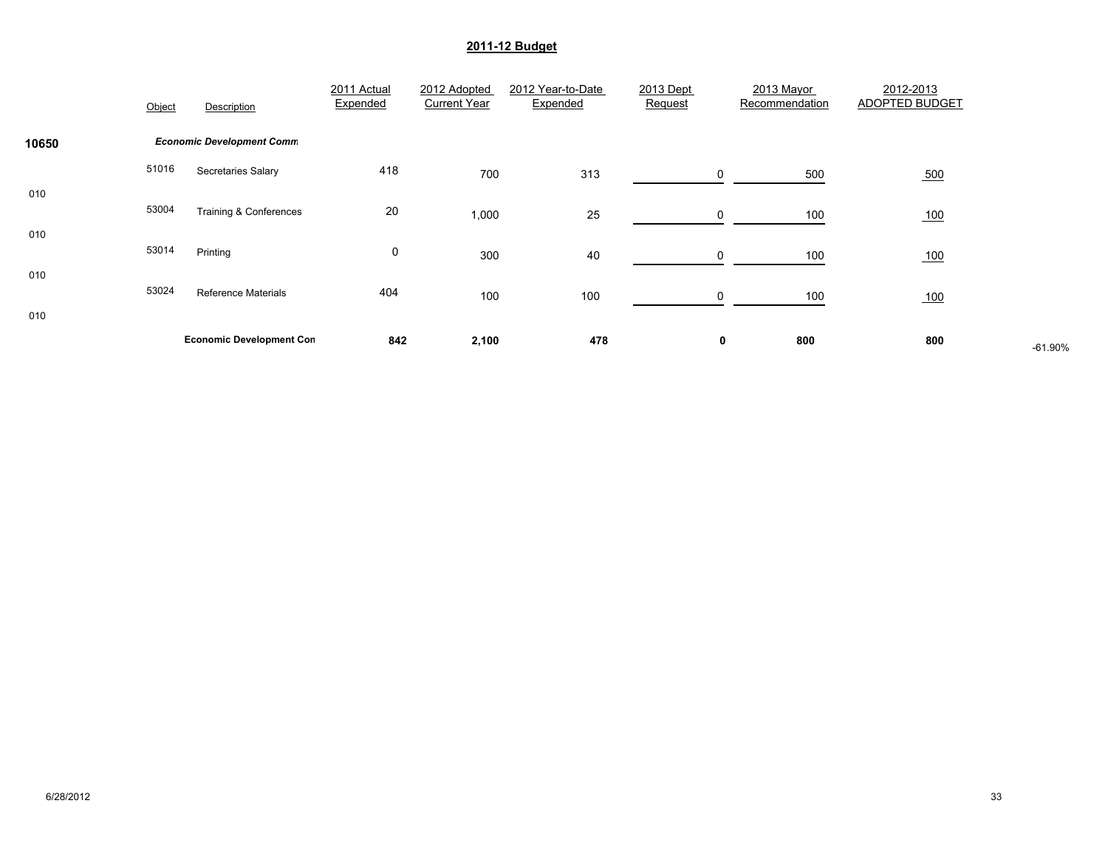|            | Object | Description                      | 2011 Actual<br>Expended | 2012 Adopted<br><b>Current Year</b> | 2012 Year-to-Date<br>Expended | 2013 Dept<br>Request | 2013 Mayor<br>Recommendation | 2012-2013<br><b>ADOPTED BUDGET</b> |           |
|------------|--------|----------------------------------|-------------------------|-------------------------------------|-------------------------------|----------------------|------------------------------|------------------------------------|-----------|
| 10650      |        | <b>Economic Development Comm</b> |                         |                                     |                               |                      |                              |                                    |           |
|            | 51016  | Secretaries Salary               | 418                     | 700                                 | 313                           | 0                    | 500                          | 500                                |           |
| 010<br>010 | 53004  | Training & Conferences           | 20                      | 1,000                               | 25                            | 0                    | 100                          | 100                                |           |
|            | 53014  | Printing                         | 0                       | 300                                 | 40                            |                      | 100                          | 100                                |           |
| 010<br>010 | 53024  | <b>Reference Materials</b>       | 404                     | 100                                 | 100                           | 0                    | 100                          | 100                                |           |
|            |        | <b>Economic Development Con</b>  | 842                     | 2,100                               | 478                           | 0                    | 800                          | 800                                | $-61.90%$ |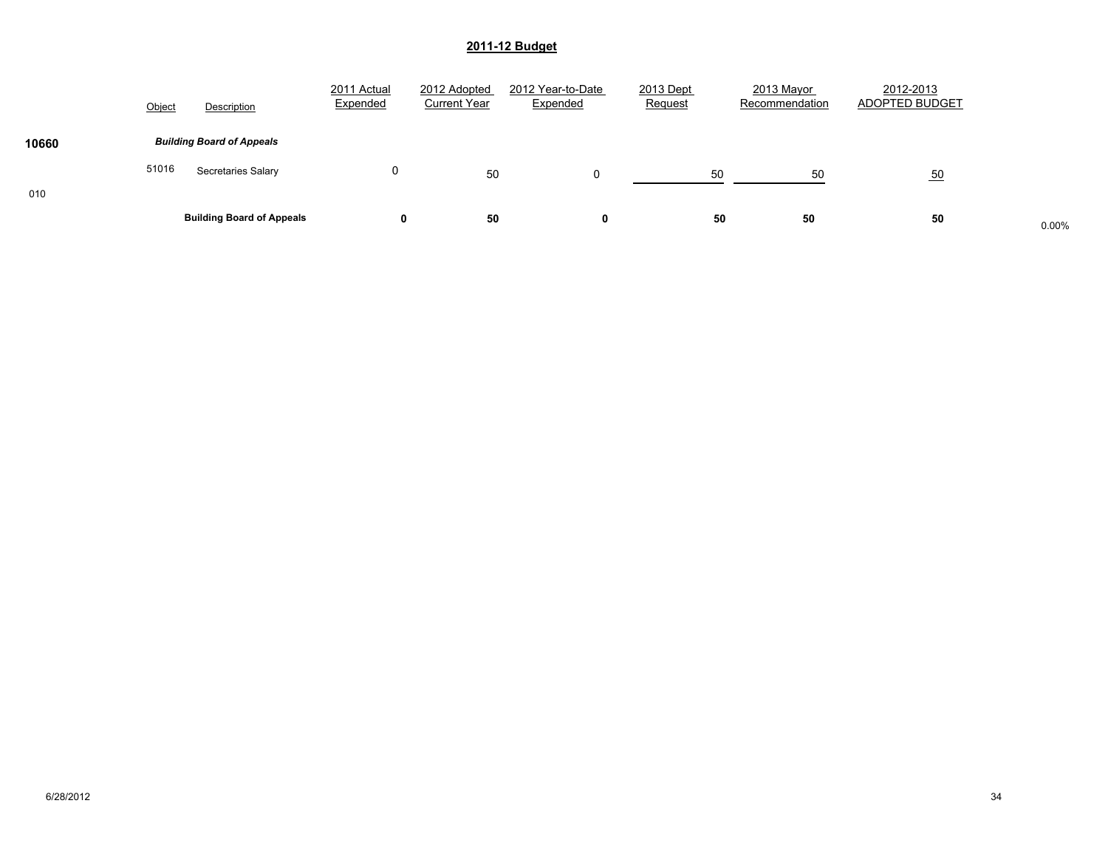|       | Object | Description                      | 2011 Actual<br>Expended | 2012 Adopted<br><b>Current Year</b> | 2012 Year-to-Date<br>Expended | 2013 Dept<br>Request | 2013 Mayor<br>Recommendation | 2012-2013<br>ADOPTED BUDGET |       |
|-------|--------|----------------------------------|-------------------------|-------------------------------------|-------------------------------|----------------------|------------------------------|-----------------------------|-------|
| 10660 |        | <b>Building Board of Appeals</b> |                         |                                     |                               |                      |                              |                             |       |
|       | 51016  | Secretaries Salary               | 0                       | 50                                  |                               | 50                   | 50                           | 50                          |       |
| 010   |        | <b>Building Board of Appeals</b> | 0                       | 50                                  | 0                             | 50                   | 50                           | 50                          | 0.00% |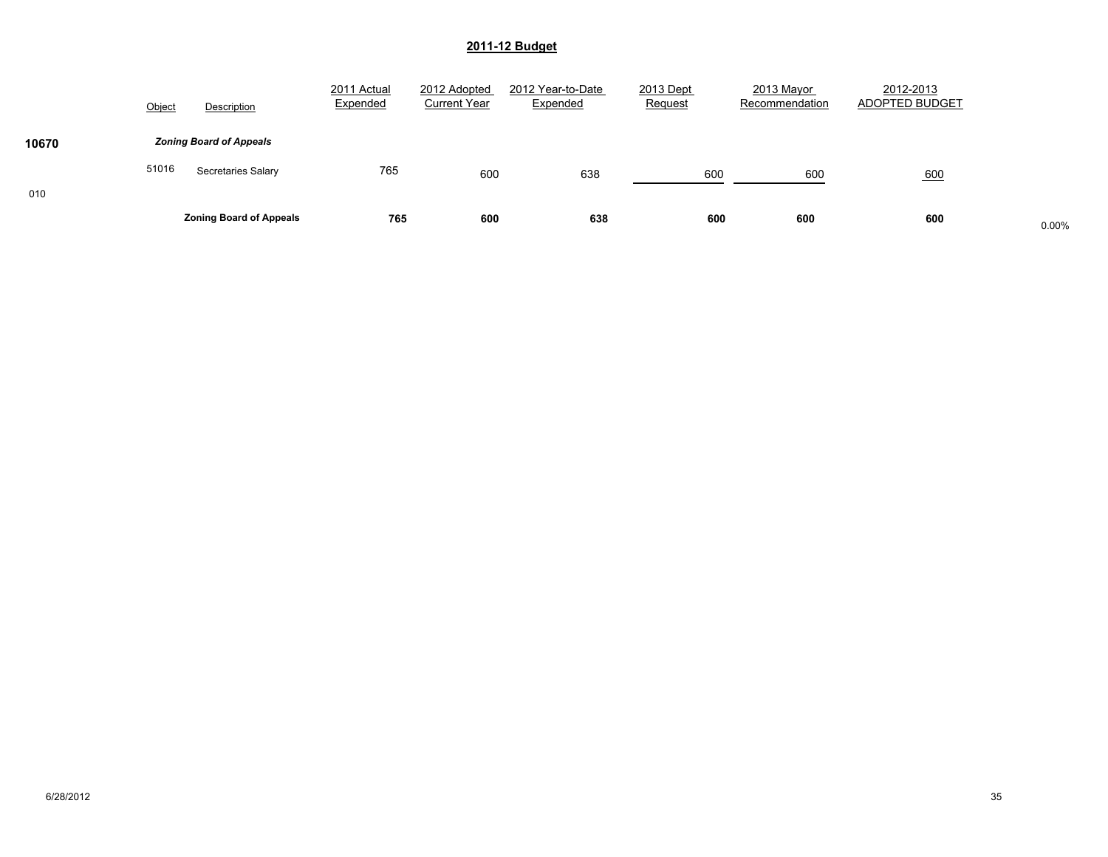|       | Object | Description                    | 2011 Actual<br>Expended | 2012 Adopted<br><b>Current Year</b> | 2012 Year-to-Date<br>Expended | 2013 Dept<br>Request | 2013 Mayor<br>Recommendation | 2012-2013<br>ADOPTED BUDGET |       |
|-------|--------|--------------------------------|-------------------------|-------------------------------------|-------------------------------|----------------------|------------------------------|-----------------------------|-------|
| 10670 |        | <b>Zoning Board of Appeals</b> |                         |                                     |                               |                      |                              |                             |       |
|       | 51016  | <b>Secretaries Salary</b>      | 765                     | 600                                 | 638                           | 600                  | 600                          | 600                         |       |
| 010   |        | <b>Zoning Board of Appeals</b> | 765                     | 600                                 | 638                           | 600                  | 600                          | 600                         | 0.00% |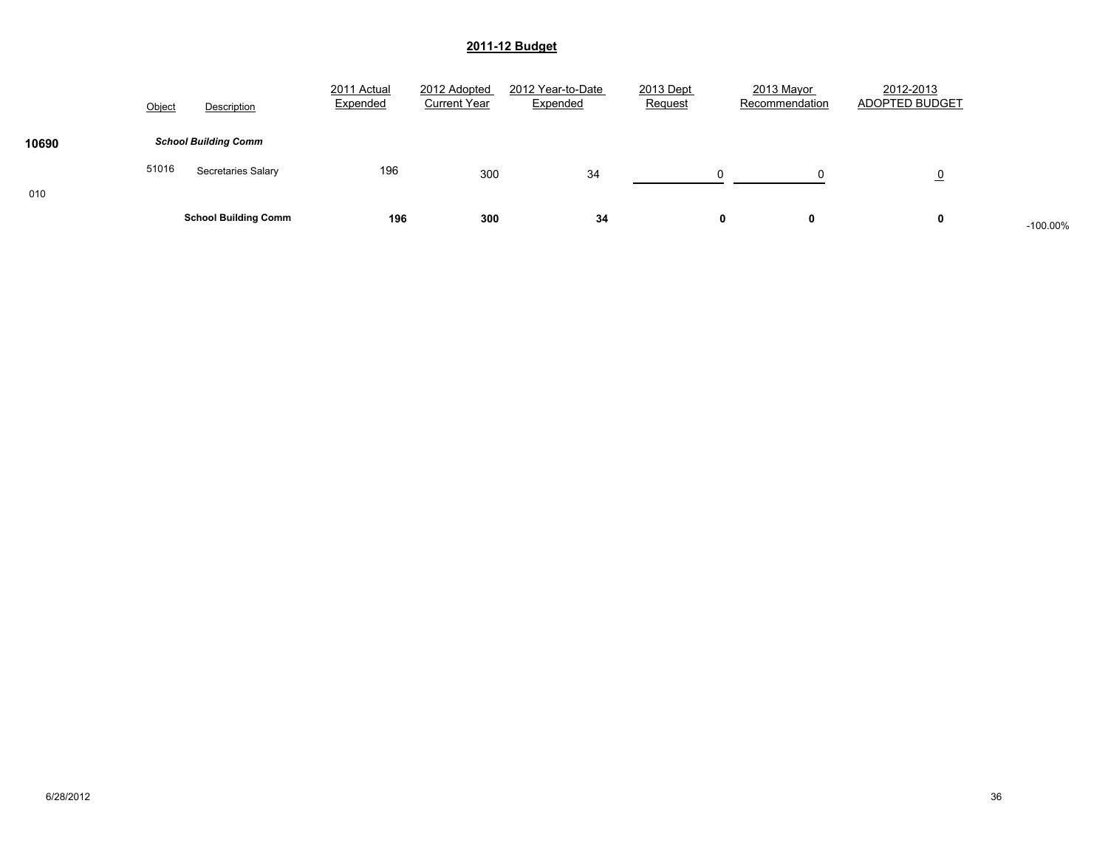|       | Object | Description                 | 2011 Actual<br>Expended | 2012 Adopted<br><b>Current Year</b> | 2012 Year-to-Date<br>Expended | 2013 Dept<br>Request | 2013 Mayor<br>Recommendation | 2012-2013<br>ADOPTED BUDGET |            |
|-------|--------|-----------------------------|-------------------------|-------------------------------------|-------------------------------|----------------------|------------------------------|-----------------------------|------------|
| 10690 |        | <b>School Building Comm</b> |                         |                                     |                               |                      |                              |                             |            |
|       | 51016  | Secretaries Salary          | 196                     | 300                                 | 34                            | $\Omega$             |                              | <u>0</u>                    |            |
| 010   |        | <b>School Building Comm</b> | 196                     | 300                                 | 34                            |                      |                              | 0                           | $-100.00%$ |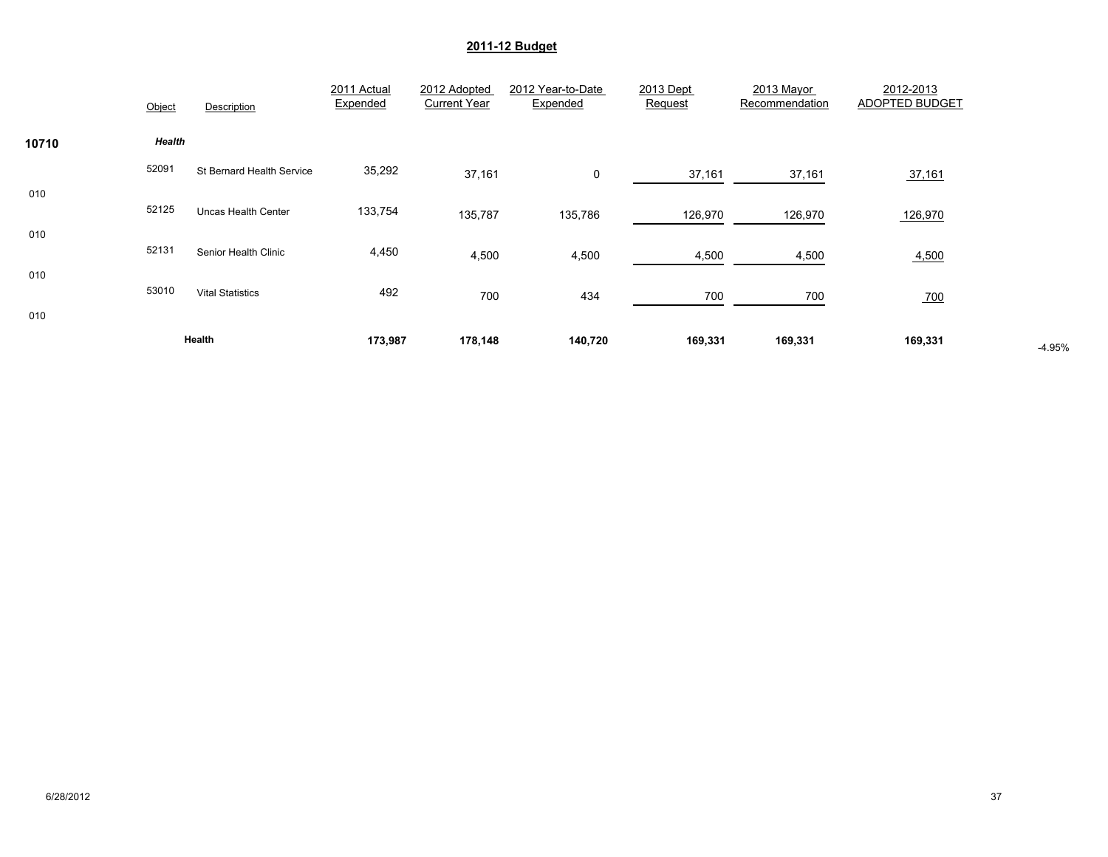|            | Object | Description                | 2011 Actual<br>Expended | 2012 Adopted<br><b>Current Year</b> | 2012 Year-to-Date<br>Expended | 2013 Dept<br>Request | 2013 Mayor<br>Recommendation | 2012-2013<br>ADOPTED BUDGET |          |
|------------|--------|----------------------------|-------------------------|-------------------------------------|-------------------------------|----------------------|------------------------------|-----------------------------|----------|
| 10710      | Health |                            |                         |                                     |                               |                      |                              |                             |          |
|            | 52091  | St Bernard Health Service  | 35,292                  | 37,161                              | 0                             | 37,161               | 37,161                       | 37,161                      |          |
| 010<br>010 | 52125  | <b>Uncas Health Center</b> | 133,754                 | 135,787                             | 135,786                       | 126,970              | 126,970                      | 126,970                     |          |
|            | 52131  | Senior Health Clinic       | 4,450                   | 4,500                               | 4,500                         | 4,500                | 4,500                        | 4,500                       |          |
| 010        | 53010  | <b>Vital Statistics</b>    | 492                     | 700                                 | 434                           | 700                  | 700                          | 700                         |          |
| 010        |        |                            |                         |                                     |                               |                      |                              |                             |          |
|            |        | Health                     | 173,987                 | 178,148                             | 140,720                       | 169,331              | 169,331                      | 169,331                     | $-4.95%$ |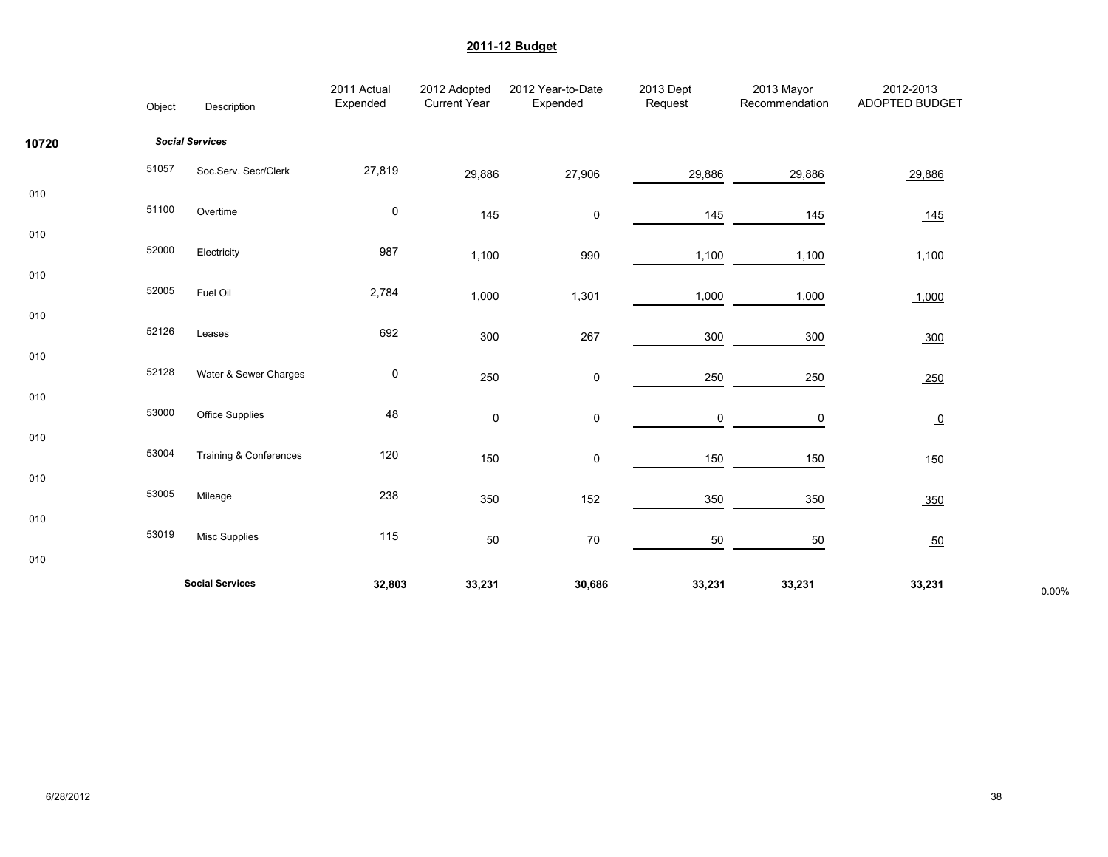|       | Object | Description            | 2011 Actual<br>Expended | 2012 Adopted<br><b>Current Year</b> | 2012 Year-to-Date<br>Expended | 2013 Dept<br>Request | 2013 Mayor<br>Recommendation | 2012-2013<br><b>ADOPTED BUDGET</b> |       |
|-------|--------|------------------------|-------------------------|-------------------------------------|-------------------------------|----------------------|------------------------------|------------------------------------|-------|
| 10720 |        | <b>Social Services</b> |                         |                                     |                               |                      |                              |                                    |       |
|       | 51057  | Soc.Serv. Secr/Clerk   | 27,819                  | 29,886                              | 27,906                        | 29,886               | 29,886                       | 29,886                             |       |
| 010   | 51100  | Overtime               | $\pmb{0}$               | 145                                 | $\pmb{0}$                     | 145                  | 145                          | <u>145</u>                         |       |
| 010   | 52000  | Electricity            | 987                     | 1,100                               | 990                           | 1,100                | 1,100                        | 1,100                              |       |
| 010   | 52005  | Fuel Oil               | 2,784                   | 1,000                               | 1,301                         |                      |                              |                                    |       |
| 010   | 52126  |                        |                         |                                     |                               | 1,000                | 1,000                        | 1,000                              |       |
| 010   |        | Leases                 | 692                     | 300                                 | 267                           | 300                  | 300                          | 300                                |       |
| 010   | 52128  | Water & Sewer Charges  | 0                       | 250                                 | 0                             | 250                  | 250                          | 250                                |       |
|       | 53000  | <b>Office Supplies</b> | 48                      | 0                                   | 0                             | 0                    | 0                            | $\overline{0}$                     |       |
| 010   | 53004  | Training & Conferences | 120                     | 150                                 | 0                             | 150                  | 150                          | 150                                |       |
| 010   | 53005  | Mileage                | 238                     | 350                                 | 152                           | 350                  | 350                          | 350                                |       |
| 010   | 53019  |                        | 115                     |                                     |                               |                      |                              |                                    |       |
| 010   |        | <b>Misc Supplies</b>   |                         | 50                                  | ${\bf 70}$                    | 50                   | $50\,$                       | 50                                 |       |
|       |        | <b>Social Services</b> | 32,803                  | 33,231                              | 30,686                        | 33,231               | 33,231                       | 33,231                             | 0.00% |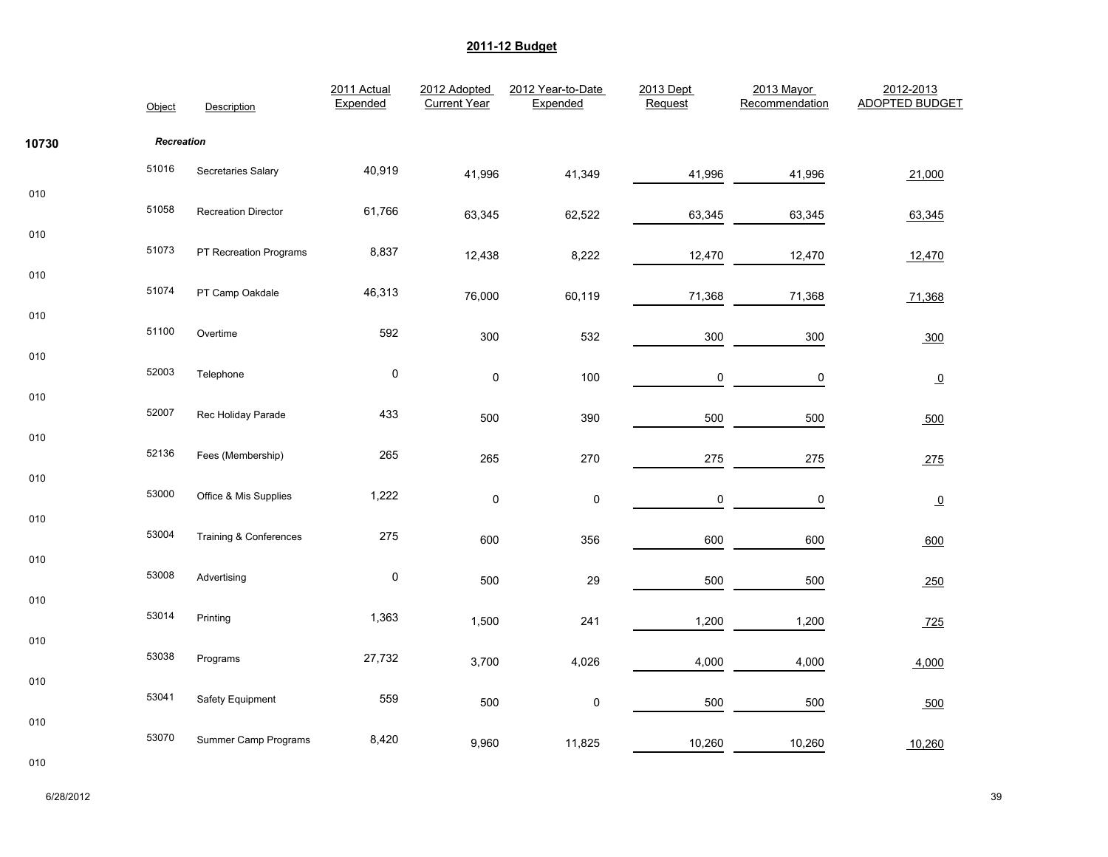|       | Object            | Description            | 2011 Actual<br>Expended | 2012 Adopted<br><b>Current Year</b> | 2012 Year-to-Date<br>Expended | 2013 Dept<br>Request | 2013 Mayor<br>Recommendation | 2012-2013<br><b>ADOPTED BUDGET</b> |
|-------|-------------------|------------------------|-------------------------|-------------------------------------|-------------------------------|----------------------|------------------------------|------------------------------------|
| 10730 | <b>Recreation</b> |                        |                         |                                     |                               |                      |                              |                                    |
|       | 51016             | Secretaries Salary     | 40,919                  | 41,996                              | 41,349                        | 41,996               | 41,996                       | 21,000                             |
| 010   | 51058             | Recreation Director    | 61,766                  | 63,345                              | 62,522                        | 63,345               | 63,345                       | 63,345                             |
| 010   | 51073             | PT Recreation Programs | 8,837                   | 12,438                              | 8,222                         | 12,470               | 12,470                       | 12,470                             |
| 010   | 51074             | PT Camp Oakdale        | 46,313                  | 76,000                              | 60,119                        | 71,368               | 71,368                       | 71,368                             |
| 010   | 51100             | Overtime               | 592                     | 300                                 | 532                           | 300                  | 300                          | 300                                |
| 010   | 52003             | Telephone              | $\pmb{0}$               | $\pmb{0}$                           | 100                           | 0                    | $\pmb{0}$                    | $\overline{0}$                     |
| 010   | 52007             | Rec Holiday Parade     | 433                     | 500                                 | 390                           | 500                  | 500                          | 500                                |
| 010   | 52136             | Fees (Membership)      | 265                     | 265                                 | 270                           | 275                  | 275                          | 275                                |
| 010   | 53000             | Office & Mis Supplies  | 1,222                   | $\pmb{0}$                           | $\pmb{0}$                     | 0                    | 0                            | $\Omega$                           |
| 010   | 53004             | Training & Conferences | 275                     | 600                                 | 356                           | 600                  | 600                          | 600                                |
| 010   | 53008             | Advertising            | $\pmb{0}$               | 500                                 | 29                            | 500                  | 500                          | 250                                |
| 010   | 53014             | Printing               | 1,363                   | 1,500                               | 241                           | 1,200                | 1,200                        | 725                                |
| 010   | 53038             | Programs               | 27,732                  | 3,700                               | 4,026                         | 4,000                | 4,000                        | 4,000                              |
| 010   | 53041             | Safety Equipment       | 559                     | 500                                 | $\pmb{0}$                     | 500                  | 500                          | 500                                |
| 010   | 53070             | Summer Camp Programs   | 8,420                   | 9,960                               | 11,825                        | 10,260               | 10,260                       | 10,260                             |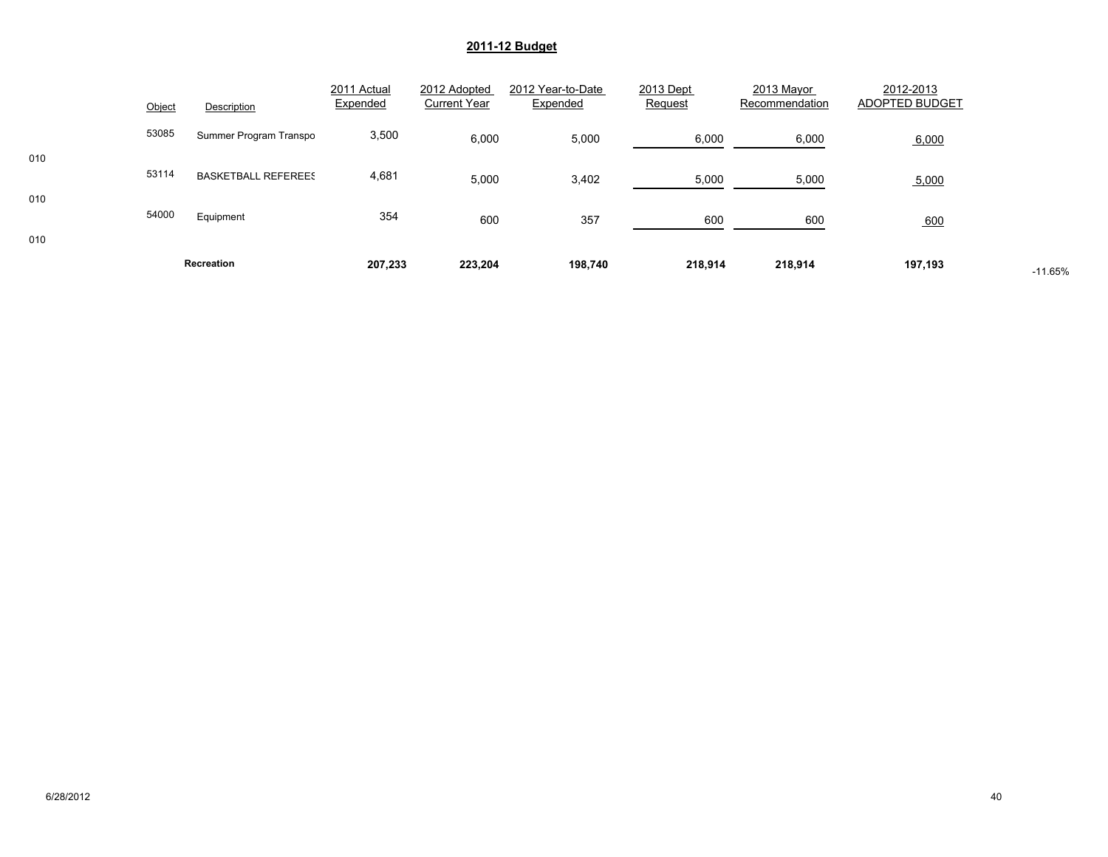|     |        | Recreation                 | 207,233                 | 223,204                             | 198,740                       | 218,914              | 218,914                      | 197,193                     | $-11.65%$ |
|-----|--------|----------------------------|-------------------------|-------------------------------------|-------------------------------|----------------------|------------------------------|-----------------------------|-----------|
| 010 |        |                            |                         |                                     |                               |                      |                              |                             |           |
|     | 54000  | Equipment                  | 354                     | 600                                 | 357                           | 600                  | 600                          | 600                         |           |
| 010 | 53114  | <b>BASKETBALL REFEREES</b> | 4,681                   | 5,000                               | 3,402                         | 5,000                | 5,000                        | 5,000                       |           |
| 010 | 53085  | Summer Program Transpo     | 3,500                   | 6,000                               | 5,000                         | 6,000                | 6,000                        | 6,000                       |           |
|     | Object | Description                | 2011 Actual<br>Expended | 2012 Adopted<br><b>Current Year</b> | 2012 Year-to-Date<br>Expended | 2013 Dept<br>Request | 2013 Mayor<br>Recommendation | 2012-2013<br>ADOPTED BUDGET |           |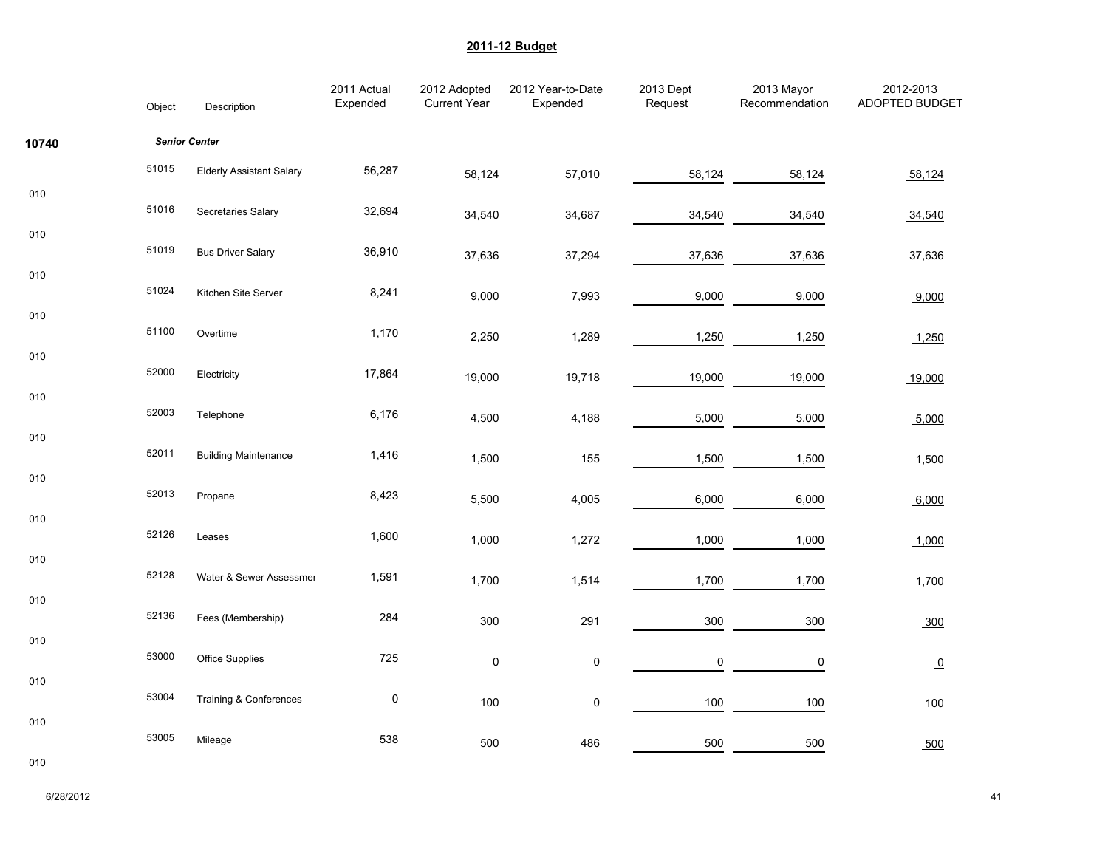|            | Object | Description                     | 2011 Actual<br>Expended | 2012 Adopted<br><b>Current Year</b> | 2012 Year-to-Date<br>Expended | 2013 Dept<br>Request | 2013 Mayor<br>Recommendation | 2012-2013<br><b>ADOPTED BUDGET</b> |
|------------|--------|---------------------------------|-------------------------|-------------------------------------|-------------------------------|----------------------|------------------------------|------------------------------------|
| 10740      |        | <b>Senior Center</b>            |                         |                                     |                               |                      |                              |                                    |
|            | 51015  | <b>Elderly Assistant Salary</b> | 56,287                  | 58,124                              | 57,010                        | 58,124               | 58,124                       | 58,124                             |
| 010        | 51016  | Secretaries Salary              | 32,694                  | 34,540                              | 34,687                        | 34,540               | 34,540                       | 34,540                             |
| 010        | 51019  | <b>Bus Driver Salary</b>        | 36,910                  | 37,636                              | 37,294                        | 37,636               | 37,636                       | 37,636                             |
| 010        | 51024  | Kitchen Site Server             | 8,241                   | 9,000                               | 7,993                         | 9,000                | 9,000                        | 9,000                              |
| 010<br>010 | 51100  | Overtime                        | 1,170                   | 2,250                               | 1,289                         | 1,250                | 1,250                        | 1,250                              |
|            | 52000  | Electricity                     | 17,864                  | 19,000                              | 19,718                        | 19,000               | 19,000                       | 19,000                             |
| 010        | 52003  | Telephone                       | 6,176                   | 4,500                               | 4,188                         | 5,000                | 5,000                        | 5,000                              |
| 010        | 52011  | <b>Building Maintenance</b>     | 1,416                   | 1,500                               | 155                           | 1,500                | 1,500                        | 1,500                              |
| 010<br>010 | 52013  | Propane                         | 8,423                   | 5,500                               | 4,005                         | 6,000                | 6,000                        | 6,000                              |
|            | 52126  | Leases                          | 1,600                   | 1,000                               | 1,272                         | 1,000                | 1,000                        | 1,000                              |
| 010        | 52128  | Water & Sewer Assessmer         | 1,591                   | 1,700                               | 1,514                         | 1,700                | 1,700                        | 1,700                              |
| 010        | 52136  | Fees (Membership)               | 284                     | 300                                 | 291                           | 300                  | 300                          | 300                                |
| 010        | 53000  | Office Supplies                 | 725                     | $\pmb{0}$                           | $\pmb{0}$                     | 0                    | 0                            | $\overline{0}$                     |
| 010        | 53004  | Training & Conferences          | $\pmb{0}$               | 100                                 | $\pmb{0}$                     | 100                  | 100                          | 100                                |
| 010        | 53005  | Mileage                         | 538                     | 500                                 | 486                           | 500                  | 500                          | 500                                |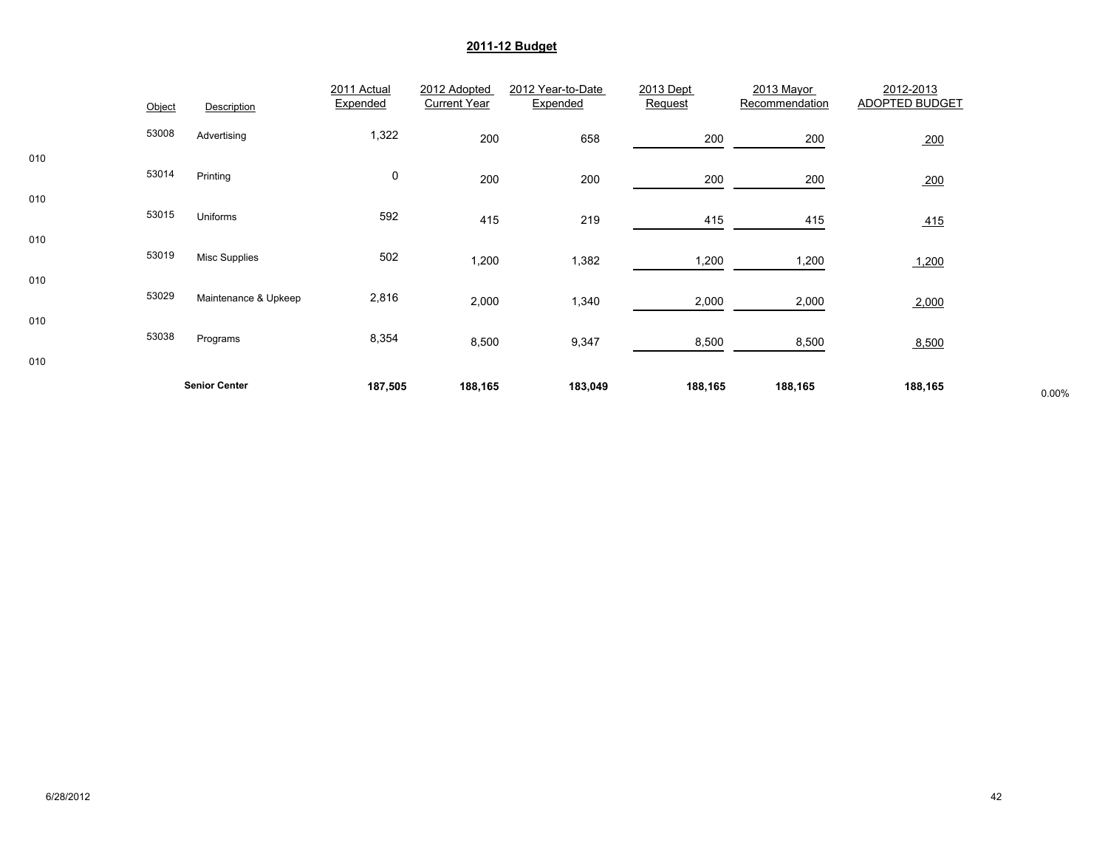|     |        |                      | 2011 Actual | 2012 Adopted        | 2012 Year-to-Date | 2013 Dept | 2013 Mayor     | 2012-2013      |       |
|-----|--------|----------------------|-------------|---------------------|-------------------|-----------|----------------|----------------|-------|
|     | Object | Description          | Expended    | <b>Current Year</b> | Expended          | Request   | Recommendation | ADOPTED BUDGET |       |
|     | 53008  | Advertising          | 1,322       | 200                 | 658               | 200       | 200            | 200            |       |
| 010 | 53014  | Printing             | 0           | 200                 | 200               | 200       | 200            | 200            |       |
| 010 | 53015  | Uniforms             | 592         | 415                 | 219               | 415       | 415            | 415            |       |
| 010 | 53019  | <b>Misc Supplies</b> | 502         | 1,200               | 1,382             | 1,200     | 1,200          | 1,200          |       |
| 010 | 53029  | Maintenance & Upkeep | 2,816       | 2,000               | 1,340             | 2,000     | 2,000          | 2,000          |       |
| 010 | 53038  | Programs             | 8,354       | 8,500               | 9,347             | 8,500     | 8,500          | 8,500          |       |
| 010 |        |                      |             |                     |                   |           |                |                |       |
|     |        | <b>Senior Center</b> | 187,505     | 188,165             | 183,049           | 188,165   | 188,165        | 188,165        | 0.00% |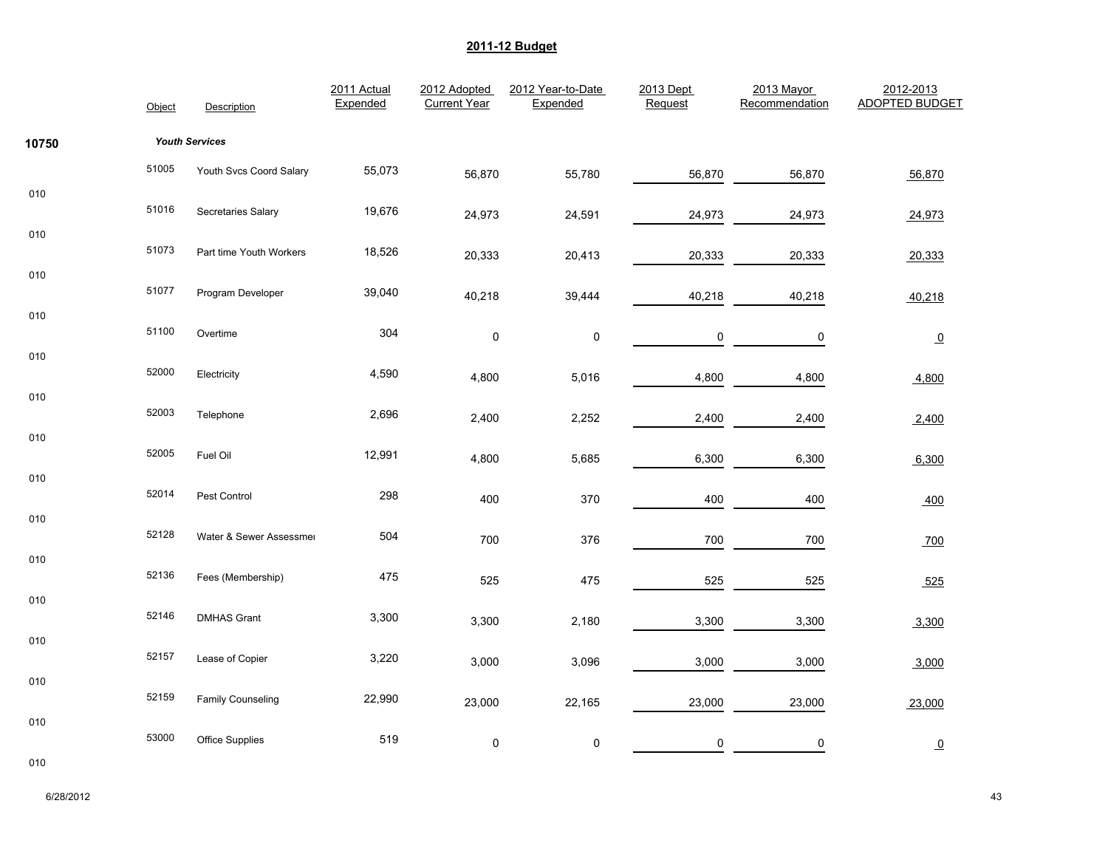|       | Object | Description             | 2011 Actual<br>Expended | 2012 Adopted<br><b>Current Year</b> | 2012 Year-to-Date<br>Expended | 2013 Dept<br>Request | 2013 Mayor<br>Recommendation | 2012-2013<br><b>ADOPTED BUDGET</b> |
|-------|--------|-------------------------|-------------------------|-------------------------------------|-------------------------------|----------------------|------------------------------|------------------------------------|
| 10750 |        | <b>Youth Services</b>   |                         |                                     |                               |                      |                              |                                    |
|       | 51005  | Youth Svcs Coord Salary | 55,073                  | 56,870                              | 55,780                        | 56,870               | 56,870                       | 56,870                             |
| 010   | 51016  | Secretaries Salary      | 19,676                  | 24,973                              | 24,591                        | 24,973               | 24,973                       | 24,973                             |
| 010   | 51073  | Part time Youth Workers | 18,526                  | 20,333                              | 20,413                        | 20,333               | 20,333                       | 20,333                             |
| 010   | 51077  | Program Developer       | 39,040                  | 40,218                              | 39,444                        | 40,218               | 40,218                       | 40,218                             |
| 010   | 51100  | Overtime                | 304                     | $\pmb{0}$                           | $\pmb{0}$                     | $\pmb{0}$            | 0                            | $\overline{0}$                     |
| 010   | 52000  | Electricity             | 4,590                   | 4,800                               | 5,016                         | 4,800                | 4,800                        | 4,800                              |
| 010   | 52003  | Telephone               | 2,696                   | 2,400                               | 2,252                         | 2,400                | 2,400                        | 2,400                              |
| 010   | 52005  | Fuel Oil                | 12,991                  | 4,800                               | 5,685                         | 6,300                | 6,300                        | 6,300                              |
| 010   | 52014  | Pest Control            | 298                     | 400                                 | 370                           | 400                  | 400                          | 400                                |
| 010   | 52128  | Water & Sewer Assessmer | 504                     | 700                                 | 376                           | 700                  | 700                          | 700                                |
| 010   | 52136  | Fees (Membership)       | 475                     | 525                                 | 475                           | 525                  | 525                          | 525                                |
| 010   | 52146  | <b>DMHAS Grant</b>      | 3,300                   | 3,300                               | 2,180                         | 3,300                | 3,300                        | 3,300                              |
| 010   | 52157  | Lease of Copier         | 3,220                   | 3,000                               | 3,096                         | 3,000                | 3,000                        | 3,000                              |
| 010   | 52159  | Family Counseling       | 22,990                  | 23,000                              | 22,165                        | 23,000               | 23,000                       | 23,000                             |
| 010   | 53000  | Office Supplies         | 519                     | $\pmb{0}$                           | $\pmb{0}$                     | $\mathsf{O}\xspace$  | 0                            | $\overline{0}$                     |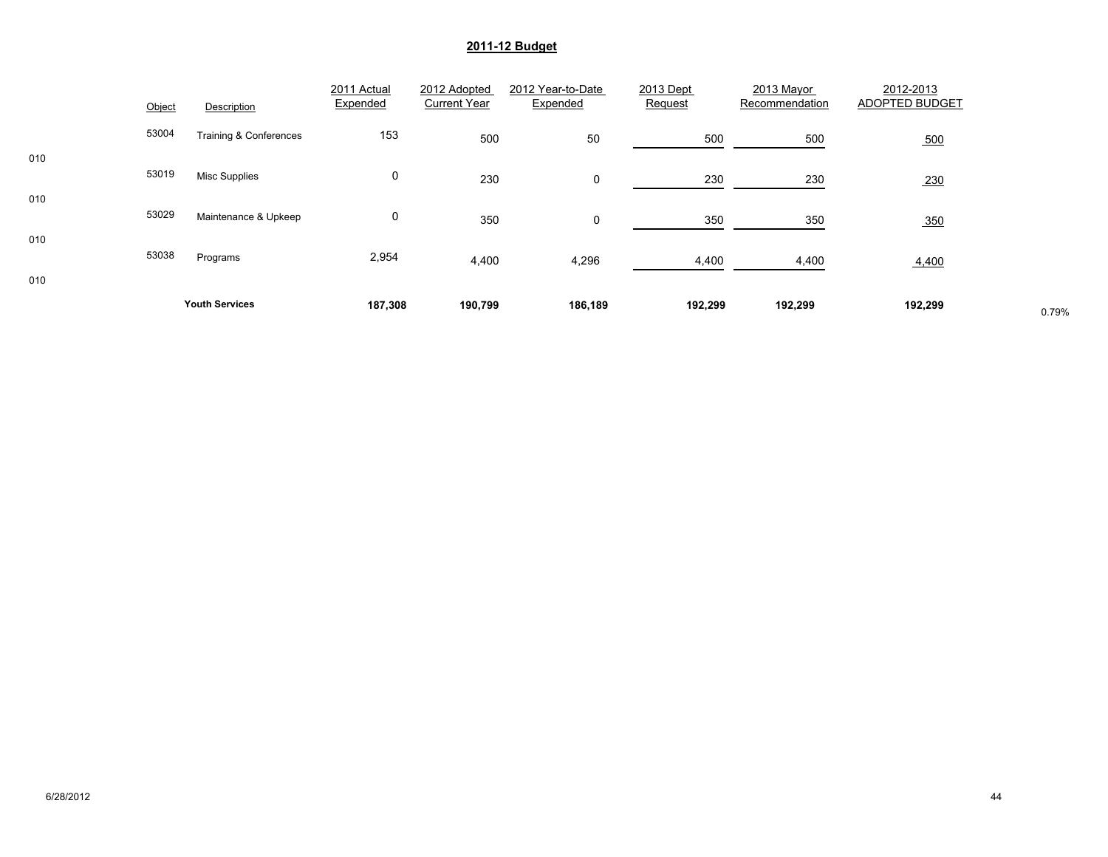|     | Object | Description            | 2011 Actual<br>Expended | 2012 Adopted<br><b>Current Year</b> | 2012 Year-to-Date<br>Expended | 2013 Dept<br>Request | 2013 Mayor<br>Recommendation | 2012-2013<br>ADOPTED BUDGET |       |
|-----|--------|------------------------|-------------------------|-------------------------------------|-------------------------------|----------------------|------------------------------|-----------------------------|-------|
|     | 53004  | Training & Conferences | 153                     | 500                                 | 50                            | 500                  | 500                          | 500                         |       |
| 010 | 53019  | <b>Misc Supplies</b>   | 0                       | 230                                 | $\mathsf{O}$                  | 230                  | 230                          | 230                         |       |
| 010 | 53029  | Maintenance & Upkeep   | 0                       | 350                                 | $\mathbf 0$                   | 350                  | 350                          | 350                         |       |
| 010 | 53038  | Programs               | 2,954                   | 4,400                               | 4,296                         | 4,400                | 4,400                        | 4,400                       |       |
| 010 |        | <b>Youth Services</b>  | 187,308                 | 190,799                             | 186,189                       | 192,299              | 192,299                      | 192,299                     | 0.79% |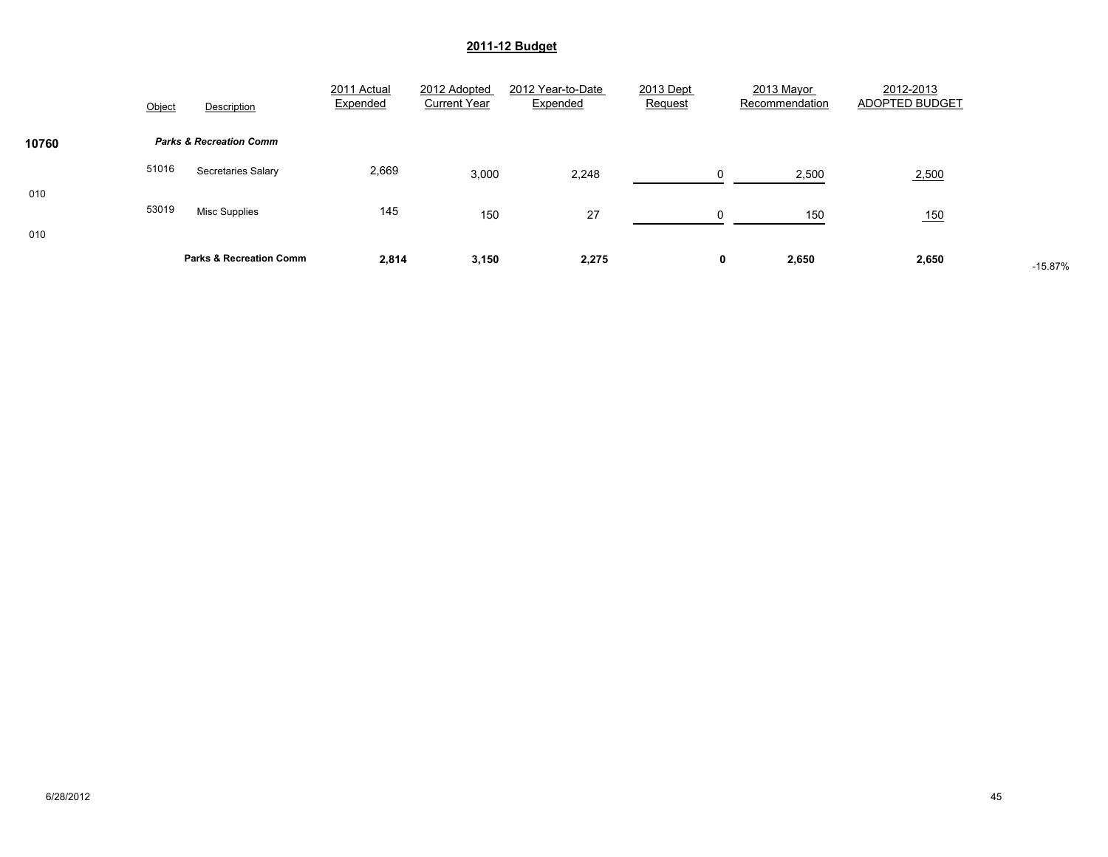|            | Object | Description                        | 2011 Actual<br>Expended | 2012 Adopted<br><b>Current Year</b> | 2012 Year-to-Date<br>Expended | 2013 Dept<br>Request | 2013 Mayor<br>Recommendation | 2012-2013<br>ADOPTED BUDGET |           |
|------------|--------|------------------------------------|-------------------------|-------------------------------------|-------------------------------|----------------------|------------------------------|-----------------------------|-----------|
| 10760      |        | <b>Parks &amp; Recreation Comm</b> |                         |                                     |                               |                      |                              |                             |           |
|            | 51016  | <b>Secretaries Salary</b>          | 2,669                   | 3,000                               | 2,248                         | $\Omega$             | 2,500                        | 2,500                       |           |
| 010<br>010 | 53019  | <b>Misc Supplies</b>               | 145                     | 150                                 | 27                            | $\Omega$             | 150                          | 150                         |           |
|            |        | <b>Parks &amp; Recreation Comm</b> | 2,814                   | 3,150                               | 2,275                         | 0                    | 2,650                        | 2,650                       | $-15.87%$ |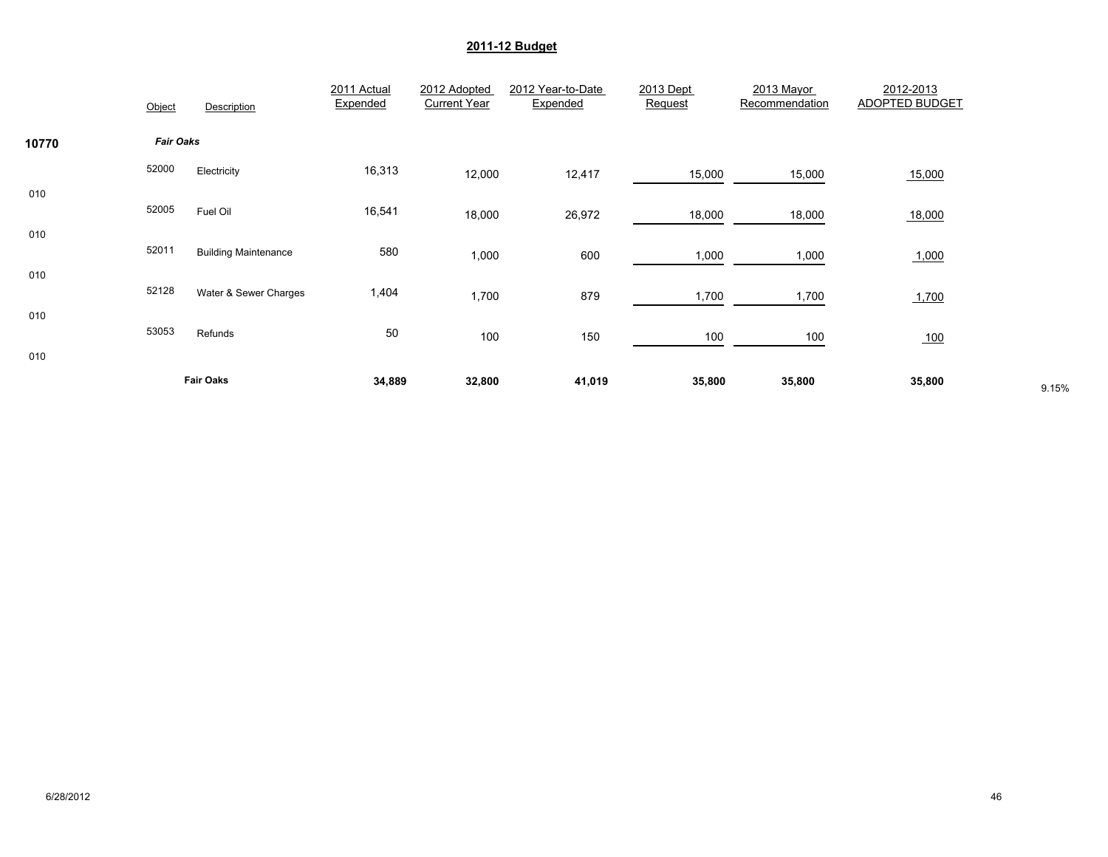|            | Object           | Description                 | 2011 Actual<br>Expended | 2012 Adopted<br><b>Current Year</b> | 2012 Year-to-Date<br>Expended | 2013 Dept<br>Request | 2013 Mayor<br>Recommendation | 2012-2013<br>ADOPTED BUDGET |       |
|------------|------------------|-----------------------------|-------------------------|-------------------------------------|-------------------------------|----------------------|------------------------------|-----------------------------|-------|
| 10770      | <b>Fair Oaks</b> |                             |                         |                                     |                               |                      |                              |                             |       |
|            | 52000            | Electricity                 | 16,313                  | 12,000                              | 12,417                        | 15,000               | 15,000                       | 15,000                      |       |
| 010        | 52005            | Fuel Oil                    | 16,541                  | 18,000                              | 26,972                        | 18,000               | 18,000                       | 18,000                      |       |
| 010<br>010 | 52011            | <b>Building Maintenance</b> | 580                     | 1,000                               | 600                           | 1,000                | 1,000                        | 1,000                       |       |
|            | 52128            | Water & Sewer Charges       | 1,404                   | 1,700                               | 879                           | 1,700                | 1,700                        | 1,700                       |       |
| 010<br>010 | 53053            | Refunds                     | 50                      | 100                                 | 150                           | 100                  | 100                          | 100                         |       |
|            |                  | <b>Fair Oaks</b>            | 34,889                  | 32,800                              | 41,019                        | 35,800               | 35,800                       | 35,800                      | 9.15% |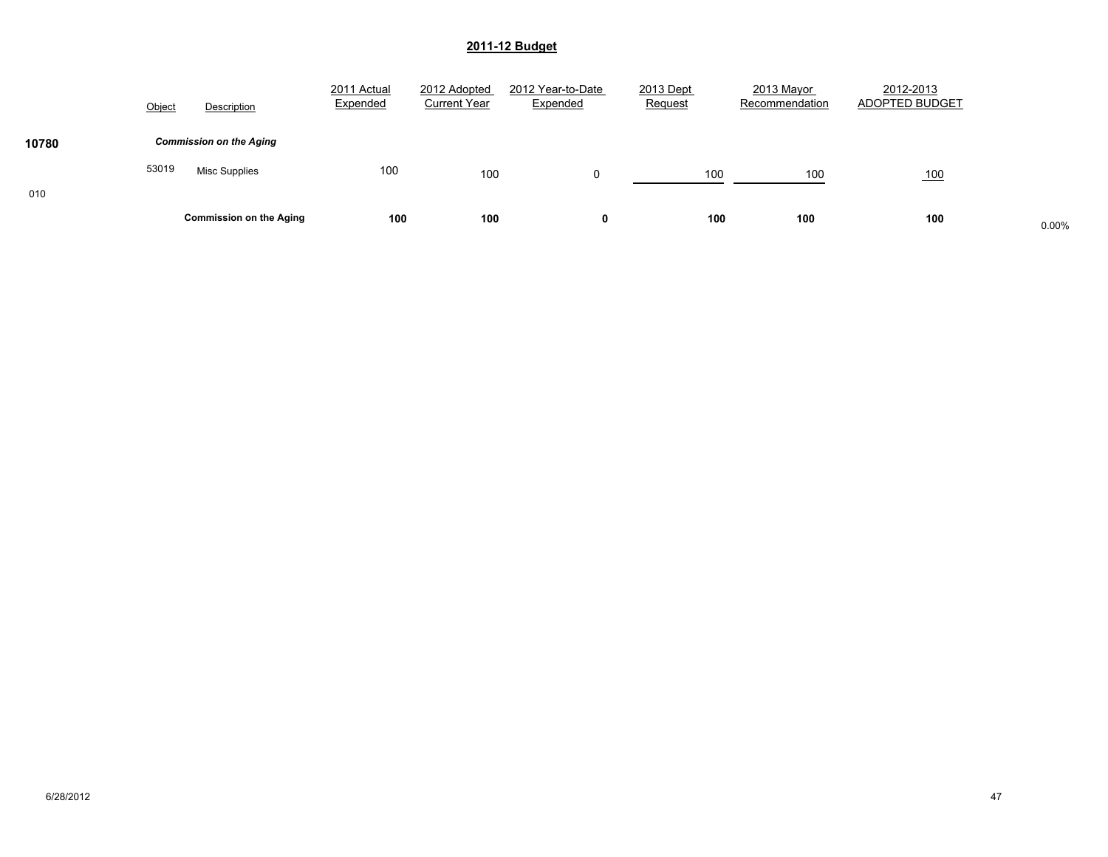|       | Object | Description                    | 2011 Actual<br>Expended | 2012 Adopted<br><b>Current Year</b> | 2012 Year-to-Date<br>Expended | 2013 Dept<br>Request | 2013 Mayor<br>Recommendation | 2012-2013<br>ADOPTED BUDGET |       |
|-------|--------|--------------------------------|-------------------------|-------------------------------------|-------------------------------|----------------------|------------------------------|-----------------------------|-------|
| 10780 |        | <b>Commission on the Aging</b> |                         |                                     |                               |                      |                              |                             |       |
|       | 53019  | <b>Misc Supplies</b>           | 100                     | 100                                 | 0                             | 100                  | 100                          | 100                         |       |
| 010   |        | <b>Commission on the Aging</b> | 100                     | 100                                 |                               | 100                  | 100                          | 100                         | 0.00% |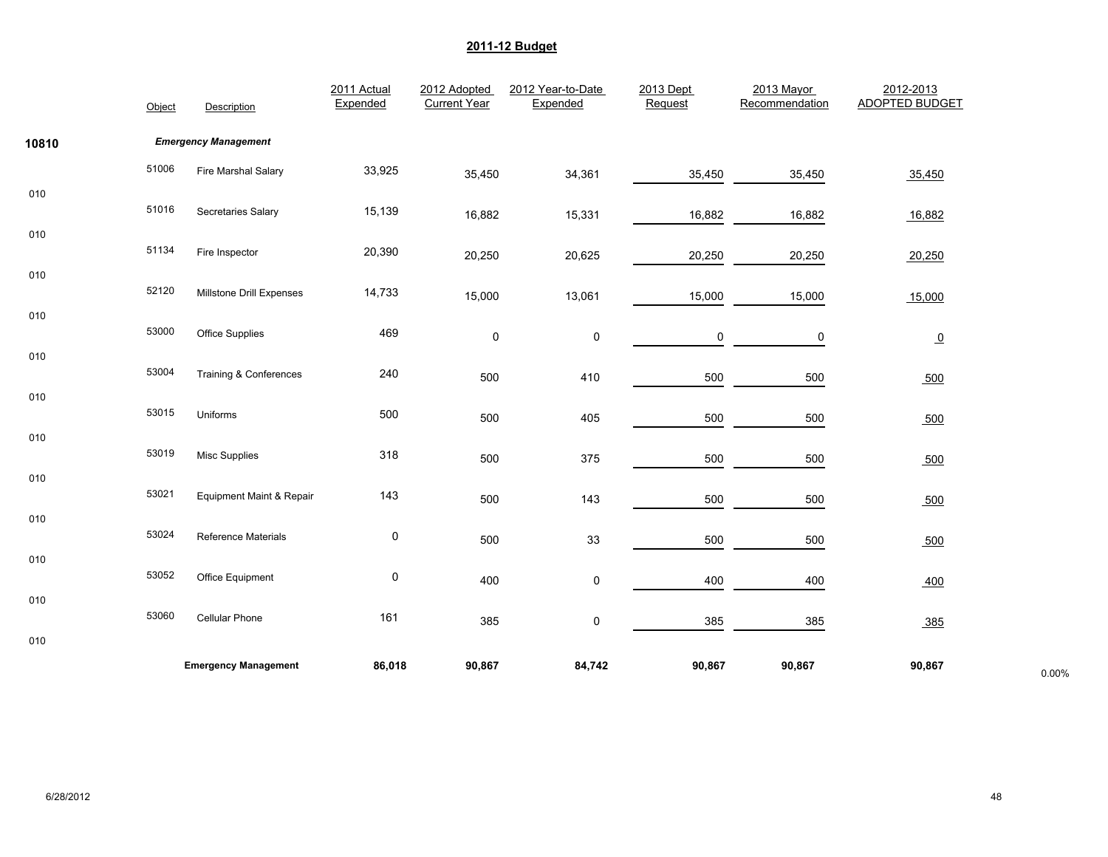|       | Object | Description                 | 2011 Actual<br>Expended | 2012 Adopted<br><b>Current Year</b> | 2012 Year-to-Date<br>Expended | 2013 Dept<br>Request | 2013 Mayor<br>Recommendation | 2012-2013<br><b>ADOPTED BUDGET</b> |       |
|-------|--------|-----------------------------|-------------------------|-------------------------------------|-------------------------------|----------------------|------------------------------|------------------------------------|-------|
| 10810 |        | <b>Emergency Management</b> |                         |                                     |                               |                      |                              |                                    |       |
|       | 51006  | Fire Marshal Salary         | 33,925                  | 35,450                              | 34,361                        | 35,450               | 35,450                       | 35,450                             |       |
| 010   | 51016  | Secretaries Salary          | 15,139                  | 16,882                              | 15,331                        | 16,882               | 16,882                       | 16,882                             |       |
| 010   | 51134  | Fire Inspector              | 20,390                  | 20,250                              | 20,625                        | 20,250               | 20,250                       | 20,250                             |       |
| 010   | 52120  | Millstone Drill Expenses    | 14,733                  | 15,000                              | 13,061                        | 15,000               | 15,000                       | 15,000                             |       |
| 010   | 53000  | <b>Office Supplies</b>      | 469                     | $\pmb{0}$                           | 0                             | 0                    | 0                            | $\overline{0}$                     |       |
| 010   | 53004  | Training & Conferences      | 240                     | 500                                 | 410                           | 500                  | 500                          | 500                                |       |
| 010   | 53015  | Uniforms                    | 500                     | 500                                 | 405                           | 500                  | 500                          | 500                                |       |
| 010   | 53019  | <b>Misc Supplies</b>        | 318                     | 500                                 | 375                           | 500                  | 500                          | 500                                |       |
| 010   | 53021  | Equipment Maint & Repair    | 143                     | 500                                 | 143                           | 500                  | 500                          | 500                                |       |
| 010   | 53024  | Reference Materials         | $\pmb{0}$               | 500                                 | $33\,$                        | 500                  | 500                          | 500                                |       |
| 010   | 53052  | Office Equipment            | 0                       | 400                                 | 0                             | 400                  | 400                          | 400                                |       |
| 010   | 53060  | Cellular Phone              | 161                     | 385                                 | 0                             | 385                  | 385                          | 385                                |       |
| 010   |        |                             |                         |                                     |                               |                      |                              |                                    |       |
|       |        | <b>Emergency Management</b> | 86,018                  | 90,867                              | 84,742                        | 90,867               | 90,867                       | 90,867                             | 0.00% |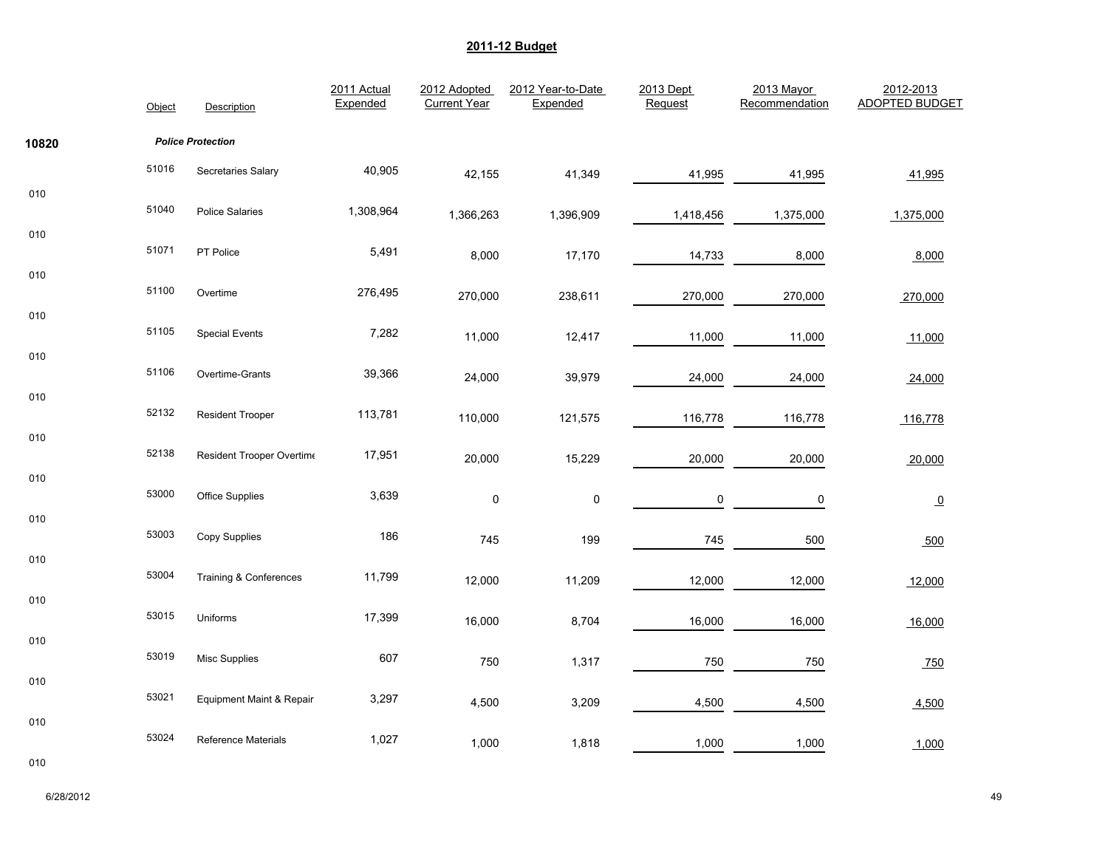|       | Object | Description                         | 2011 Actual<br>Expended | 2012 Adopted<br><b>Current Year</b> | 2012 Year-to-Date<br>Expended | 2013 Dept<br>Request | 2013 Mayor<br>Recommendation | 2012-2013<br><b>ADOPTED BUDGET</b> |
|-------|--------|-------------------------------------|-------------------------|-------------------------------------|-------------------------------|----------------------|------------------------------|------------------------------------|
| 10820 |        | <b>Police Protection</b>            |                         |                                     |                               |                      |                              |                                    |
|       | 51016  | Secretaries Salary                  | 40,905                  | 42,155                              | 41,349                        | 41,995               | 41,995                       | 41,995                             |
| 010   | 51040  | <b>Police Salaries</b>              | 1,308,964               | 1,366,263                           | 1,396,909                     | 1,418,456            | 1,375,000                    | 1,375,000                          |
| 010   | 51071  | PT Police                           | 5,491                   | 8,000                               | 17,170                        | 14,733               | 8,000                        | 8,000                              |
| 010   | 51100  | Overtime                            | 276,495                 | 270,000                             | 238,611                       | 270,000              | 270,000                      | 270,000                            |
| 010   | 51105  | <b>Special Events</b>               | 7,282                   | 11,000                              | 12,417                        | 11,000               | 11,000                       | 11,000                             |
| 010   | 51106  | Overtime-Grants                     | 39,366                  | 24,000                              | 39,979                        | 24,000               | 24,000                       | 24,000                             |
| 010   | 52132  | <b>Resident Trooper</b>             | 113,781                 | 110,000                             | 121,575                       | 116,778              | 116,778                      | 116,778                            |
| 010   | 52138  | Resident Trooper Overtime           | 17,951                  | 20,000                              | 15,229                        | 20,000               | 20,000                       | 20,000                             |
| 010   | 53000  | Office Supplies                     | 3,639                   | $\pmb{0}$                           | $\pmb{0}$                     | 0                    | 0                            | $\overline{0}$                     |
| 010   | 53003  | Copy Supplies                       | 186                     | 745                                 | 199                           | 745                  | 500                          | 500                                |
| 010   | 53004  | <b>Training &amp; Conferences</b>   | 11,799                  | 12,000                              | 11,209                        | 12,000               | 12,000                       | 12,000                             |
| 010   | 53015  | Uniforms                            | 17,399                  | 16,000                              | 8,704                         | 16,000               | 16,000                       | 16,000                             |
| 010   | 53019  | Misc Supplies                       | 607                     | 750                                 | 1,317                         | 750                  | 750                          | 750                                |
| 010   | 53021  | <b>Equipment Maint &amp; Repair</b> | 3,297                   | 4,500                               | 3,209                         | 4,500                | 4,500                        | 4,500                              |
| 010   | 53024  | <b>Reference Materials</b>          | 1,027                   | 1,000                               | 1,818                         | 1,000                | 1,000                        | 1,000                              |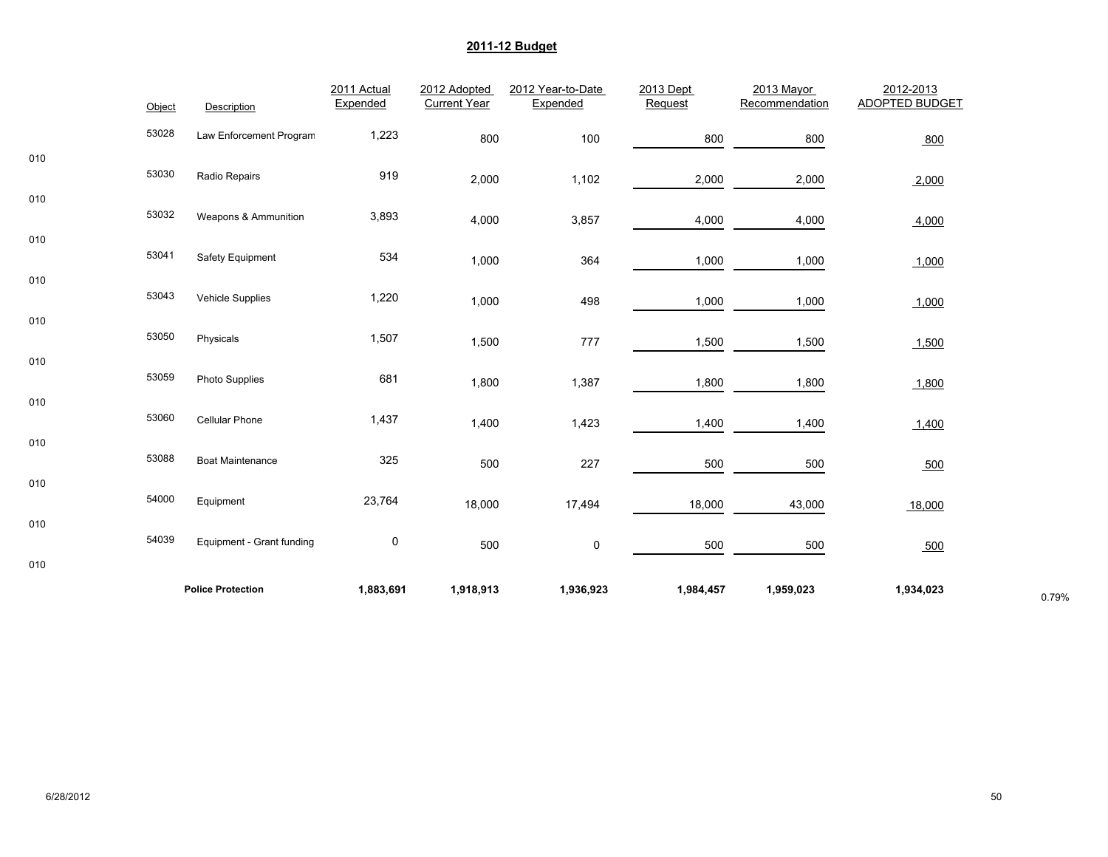|     | Object | Description               | 2011 Actual<br>Expended | 2012 Adopted<br><b>Current Year</b> | 2012 Year-to-Date<br>Expended | 2013 Dept<br>Request | 2013 Mayor<br>Recommendation | 2012-2013<br><b>ADOPTED BUDGET</b> |       |
|-----|--------|---------------------------|-------------------------|-------------------------------------|-------------------------------|----------------------|------------------------------|------------------------------------|-------|
|     | 53028  | Law Enforcement Program   | 1,223                   | 800                                 | 100                           | 800                  | 800                          | 800                                |       |
| 010 | 53030  | Radio Repairs             | 919                     | 2,000                               | 1,102                         | 2,000                | 2,000                        | 2,000                              |       |
| 010 | 53032  | Weapons & Ammunition      | 3,893                   | 4,000                               | 3,857                         | 4,000                | 4,000                        | 4,000                              |       |
| 010 | 53041  | Safety Equipment          | 534                     | 1,000                               | 364                           | 1,000                | 1,000                        | 1,000                              |       |
| 010 | 53043  | Vehicle Supplies          | 1,220                   | 1,000                               | 498                           | 1,000                | 1,000                        | 1,000                              |       |
| 010 | 53050  | Physicals                 | 1,507                   | 1,500                               | 777                           | 1,500                | 1,500                        | 1,500                              |       |
| 010 | 53059  | Photo Supplies            | 681                     | 1,800                               | 1,387                         | 1,800                | 1,800                        | 1,800                              |       |
| 010 | 53060  | Cellular Phone            | 1,437                   | 1,400                               | 1,423                         | 1,400                | 1,400                        | 1,400                              |       |
| 010 | 53088  | <b>Boat Maintenance</b>   | 325                     | 500                                 | 227                           | 500                  | 500                          | 500                                |       |
| 010 | 54000  | Equipment                 | 23,764                  | 18,000                              | 17,494                        | 18,000               | 43,000                       | 18,000                             |       |
| 010 | 54039  | Equipment - Grant funding | 0                       | 500                                 | $\pmb{0}$                     | 500                  | 500                          | 500                                |       |
| 010 |        |                           |                         |                                     |                               |                      |                              |                                    |       |
|     |        | <b>Police Protection</b>  | 1,883,691               | 1,918,913                           | 1,936,923                     | 1,984,457            | 1,959,023                    | 1,934,023                          | 0.79% |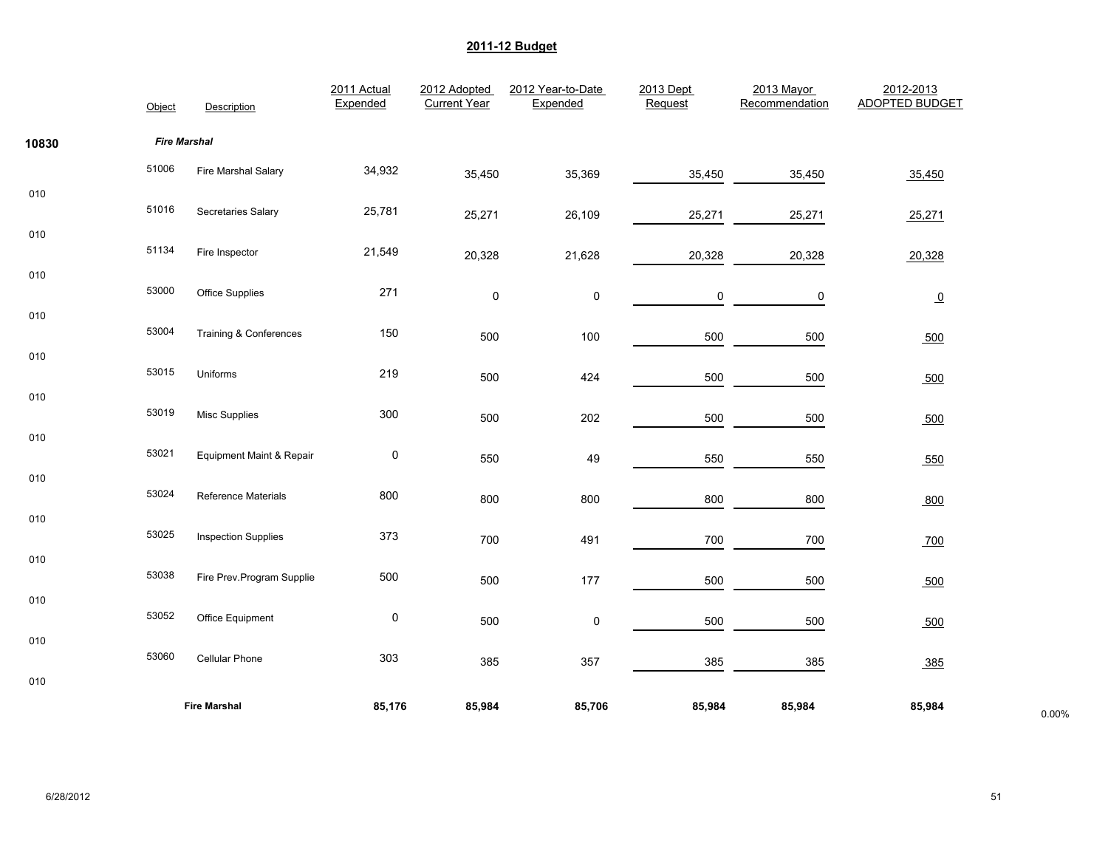|       | Object              | Description                | 2011 Actual<br>Expended | 2012 Adopted<br><b>Current Year</b> | 2012 Year-to-Date<br>Expended | 2013 Dept<br>Request | 2013 Mayor<br>Recommendation | 2012-2013<br><b>ADOPTED BUDGET</b> |       |
|-------|---------------------|----------------------------|-------------------------|-------------------------------------|-------------------------------|----------------------|------------------------------|------------------------------------|-------|
| 10830 | <b>Fire Marshal</b> |                            |                         |                                     |                               |                      |                              |                                    |       |
|       | 51006               | Fire Marshal Salary        | 34,932                  | 35,450                              | 35,369                        | 35,450               | 35,450                       | 35,450                             |       |
| 010   | 51016               | Secretaries Salary         | 25,781                  | 25,271                              | 26,109                        | 25,271               | 25,271                       | 25,271                             |       |
| 010   | 51134               | Fire Inspector             | 21,549                  | 20,328                              | 21,628                        | 20,328               | 20,328                       | 20,328                             |       |
| 010   | 53000               | <b>Office Supplies</b>     | 271                     | 0                                   | 0                             | 0                    | 0                            | $\overline{0}$                     |       |
| 010   | 53004               | Training & Conferences     | 150                     | 500                                 | 100                           | 500                  | 500                          | 500                                |       |
| 010   | 53015               | Uniforms                   | 219                     | 500                                 | 424                           | 500                  | 500                          | 500                                |       |
| 010   | 53019               | <b>Misc Supplies</b>       | 300                     | 500                                 | 202                           | 500                  | 500                          | 500                                |       |
| 010   | 53021               | Equipment Maint & Repair   | $\pmb{0}$               | 550                                 | 49                            | 550                  | 550                          | 550                                |       |
| 010   | 53024               | Reference Materials        | 800                     | 800                                 | 800                           | 800                  | 800                          | 800                                |       |
| 010   | 53025               | <b>Inspection Supplies</b> | 373                     | 700                                 | 491                           | 700                  | 700                          | 700                                |       |
| 010   | 53038               | Fire Prev.Program Supplie  | 500                     | 500                                 | 177                           | 500                  | 500                          | 500                                |       |
| 010   | 53052               | Office Equipment           | $\pmb{0}$               | 500                                 | 0                             | 500                  | 500                          | 500                                |       |
| 010   | 53060               | Cellular Phone             | 303                     | 385                                 | 357                           | 385                  | 385                          | 385                                |       |
| 010   |                     |                            |                         |                                     |                               |                      |                              |                                    |       |
|       |                     | <b>Fire Marshal</b>        | 85,176                  | 85,984                              | 85,706                        | 85,984               | 85,984                       | 85,984                             | 0.00% |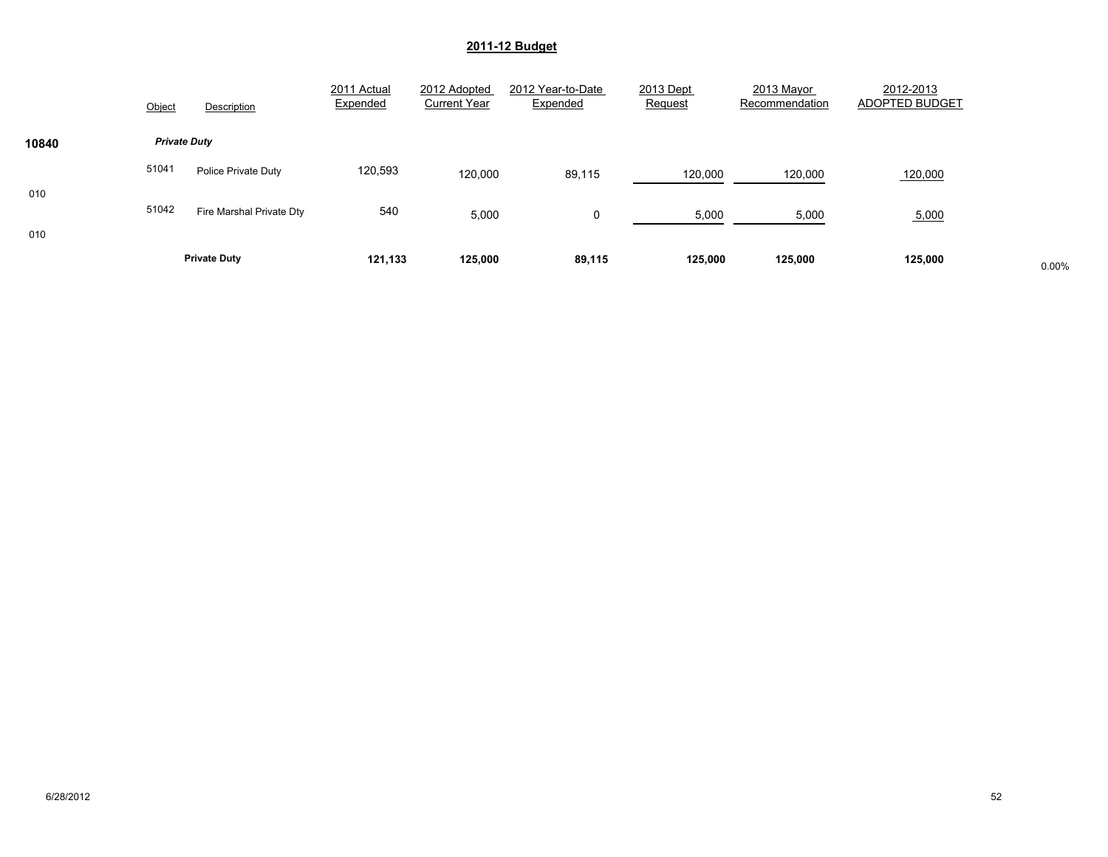|            | Object              | Description              | 2011 Actual<br>Expended | 2012 Adopted<br><b>Current Year</b> | 2012 Year-to-Date<br>Expended | 2013 Dept<br>Request | 2013 Mayor<br>Recommendation | 2012-2013<br>ADOPTED BUDGET |       |
|------------|---------------------|--------------------------|-------------------------|-------------------------------------|-------------------------------|----------------------|------------------------------|-----------------------------|-------|
| 10840      | <b>Private Duty</b> |                          |                         |                                     |                               |                      |                              |                             |       |
|            | 51041               | Police Private Duty      | 120,593                 | 120,000                             | 89,115                        | 120,000              | 120,000                      | 120,000                     |       |
| 010<br>010 | 51042               | Fire Marshal Private Dty | 540                     | 5,000                               | 0                             | 5,000                | 5,000                        | 5,000                       |       |
|            |                     | <b>Private Duty</b>      | 121,133                 | 125,000                             | 89,115                        | 125,000              | 125,000                      | 125,000                     | 0.00% |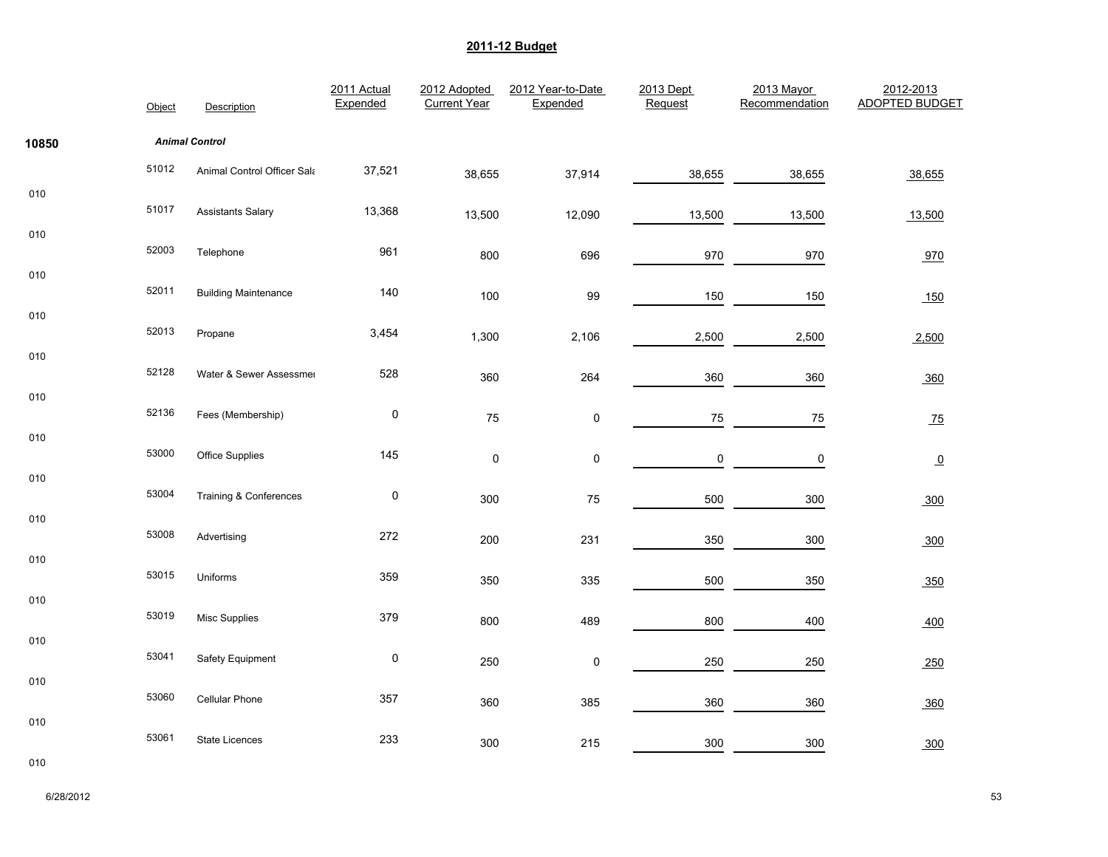|       | Object | Description                       | 2011 Actual<br>Expended | 2012 Adopted<br><b>Current Year</b> | 2012 Year-to-Date<br>Expended | 2013 Dept<br>Request | 2013 Mayor<br>Recommendation | 2012-2013<br><b>ADOPTED BUDGET</b> |
|-------|--------|-----------------------------------|-------------------------|-------------------------------------|-------------------------------|----------------------|------------------------------|------------------------------------|
| 10850 |        | <b>Animal Control</b>             |                         |                                     |                               |                      |                              |                                    |
|       | 51012  | Animal Control Officer Sala       | 37,521                  | 38,655                              | 37,914                        | 38,655               | 38,655                       | 38,655                             |
| 010   | 51017  | <b>Assistants Salary</b>          | 13,368                  | 13,500                              | 12,090                        | 13,500               | 13,500                       | 13,500                             |
| 010   | 52003  | Telephone                         | 961                     | 800                                 | 696                           | 970                  | 970                          | 970                                |
| 010   | 52011  | <b>Building Maintenance</b>       | 140                     | 100                                 | 99                            | 150                  | 150                          | 150                                |
| 010   | 52013  | Propane                           | 3,454                   | 1,300                               | 2,106                         | 2,500                | 2,500                        | 2,500                              |
| 010   | 52128  | Water & Sewer Assessmer           | 528                     | 360                                 | 264                           | 360                  | 360                          | 360                                |
| 010   | 52136  | Fees (Membership)                 | $\pmb{0}$               | 75                                  | $\pmb{0}$                     | 75                   | 75                           | Z <sub>5</sub>                     |
| 010   | 53000  | <b>Office Supplies</b>            | 145                     | $\pmb{0}$                           | $\pmb{0}$                     | $\pmb{0}$            | $\pmb{0}$                    | $\overline{0}$                     |
| 010   | 53004  | <b>Training &amp; Conferences</b> | $\pmb{0}$               | 300                                 | 75                            | 500                  | 300                          | 300                                |
| 010   | 53008  | Advertising                       | 272                     | 200                                 | 231                           | 350                  | 300                          | 300                                |
| 010   | 53015  | Uniforms                          | 359                     | 350                                 | 335                           | 500                  | 350                          | 350                                |
| 010   | 53019  | <b>Misc Supplies</b>              | 379                     | 800                                 | 489                           | 800                  | 400                          | 400                                |
| 010   | 53041  | Safety Equipment                  | $\pmb{0}$               | 250                                 | $\mathbf 0$                   | 250                  | 250                          |                                    |
| 010   | 53060  | Cellular Phone                    | 357                     |                                     |                               |                      |                              | 250                                |
| 010   |        |                                   |                         | 360                                 | 385                           | 360                  | 360                          | 360                                |
|       | 53061  | <b>State Licences</b>             | 233                     | 300                                 | 215                           | 300                  | 300                          | 300                                |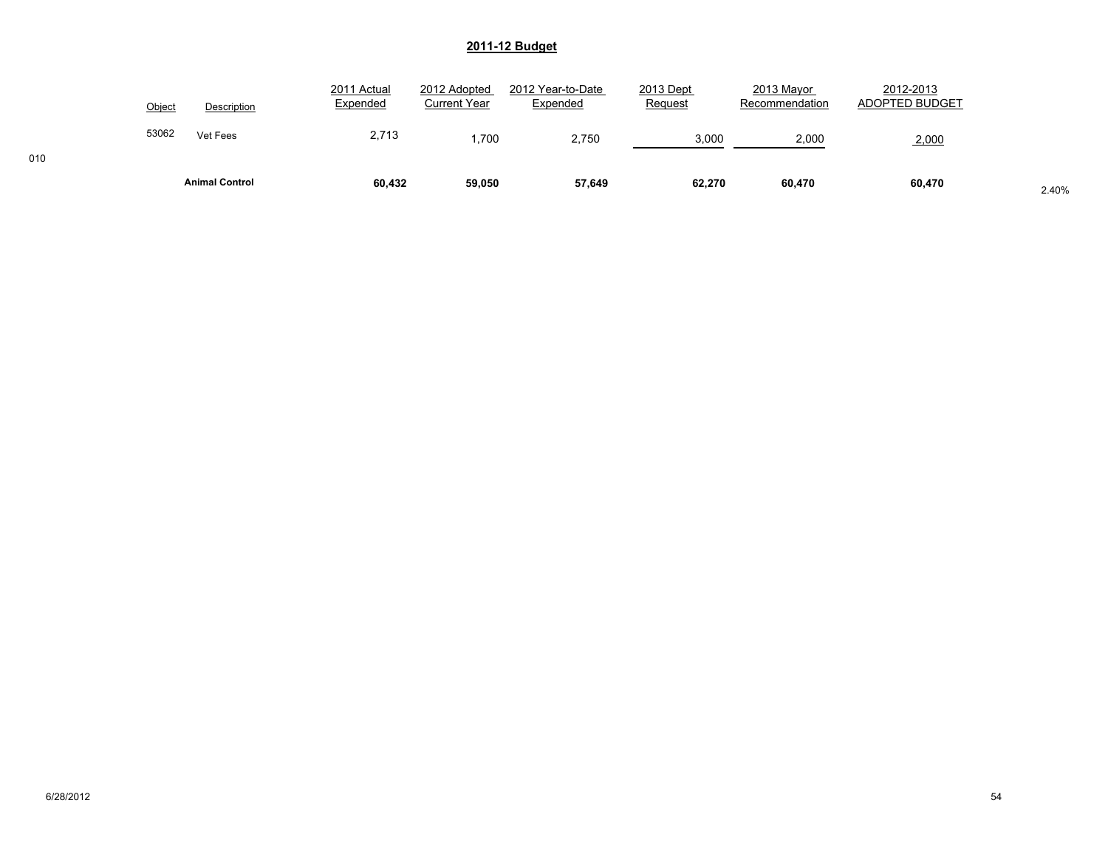|        | <b>Animal Control</b> | 60,432                  | 59,050                       | 57,649                        | 62,270               | 60,470                       | 60,470                      | 2.40% |
|--------|-----------------------|-------------------------|------------------------------|-------------------------------|----------------------|------------------------------|-----------------------------|-------|
| 53062  | Vet Fees              | 2,713                   | .700                         | 2.750                         | 3,000                | 2,000                        | 2,000                       |       |
| Object | Description           | 2011 Actual<br>Expended | 2012 Adopted<br>Current Year | 2012 Year-to-Date<br>Expended | 2013 Dept<br>Request | 2013 Mayor<br>Recommendation | 2012-2013<br>ADOPTED BUDGET |       |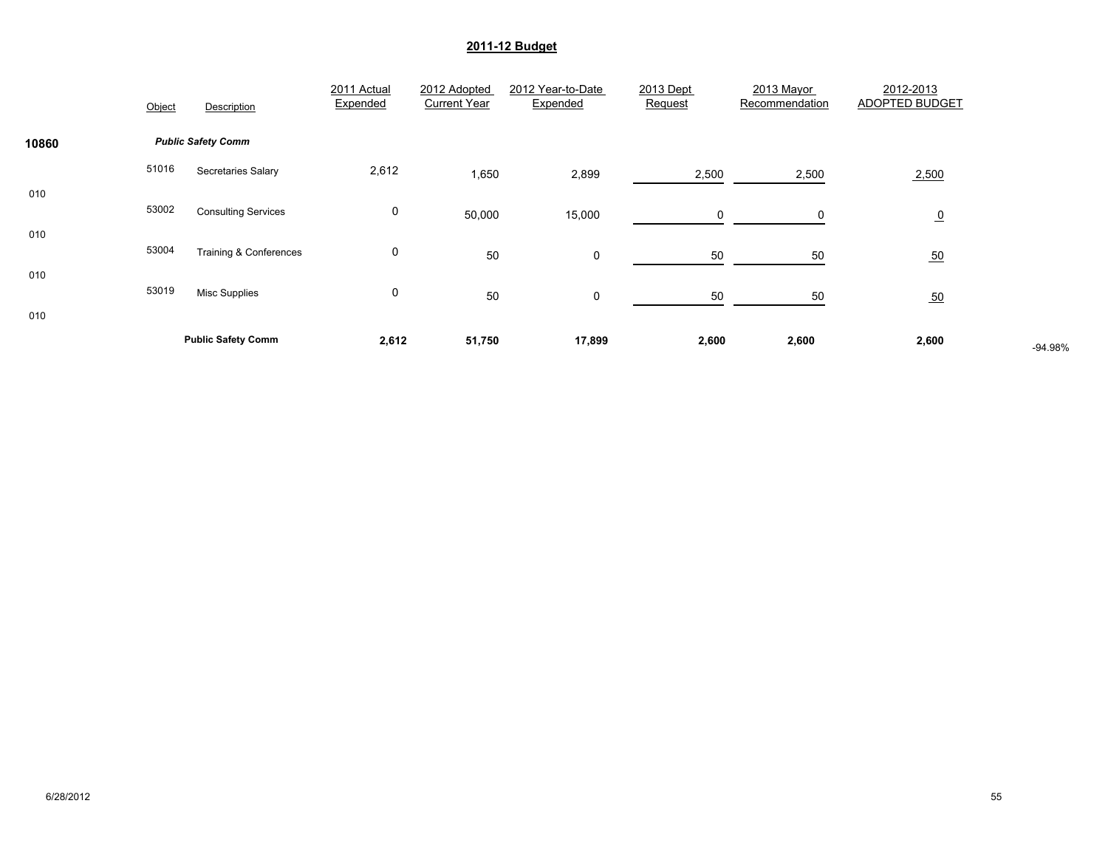|            | Object | Description                | 2011 Actual<br>Expended | 2012 Adopted<br><b>Current Year</b> | 2012 Year-to-Date<br>Expended | 2013 Dept<br>Request | 2013 Mayor<br>Recommendation | 2012-2013<br><b>ADOPTED BUDGET</b> |         |
|------------|--------|----------------------------|-------------------------|-------------------------------------|-------------------------------|----------------------|------------------------------|------------------------------------|---------|
| 10860      |        | <b>Public Safety Comm</b>  |                         |                                     |                               |                      |                              |                                    |         |
|            | 51016  | Secretaries Salary         | 2,612                   | 1,650                               | 2,899                         | 2,500                | 2,500                        | 2,500                              |         |
| 010<br>010 | 53002  | <b>Consulting Services</b> | 0                       | 50,000                              | 15,000                        | 0                    | 0                            | $\overline{0}$                     |         |
|            | 53004  | Training & Conferences     | 0                       | 50                                  | 0                             | 50                   | 50                           | 50                                 |         |
| 010<br>010 | 53019  | <b>Misc Supplies</b>       | 0                       | 50                                  | 0                             | 50                   | 50                           | 50                                 |         |
|            |        | <b>Public Safety Comm</b>  | 2,612                   | 51,750                              | 17,899                        | 2,600                | 2,600                        | 2,600                              | -94.98% |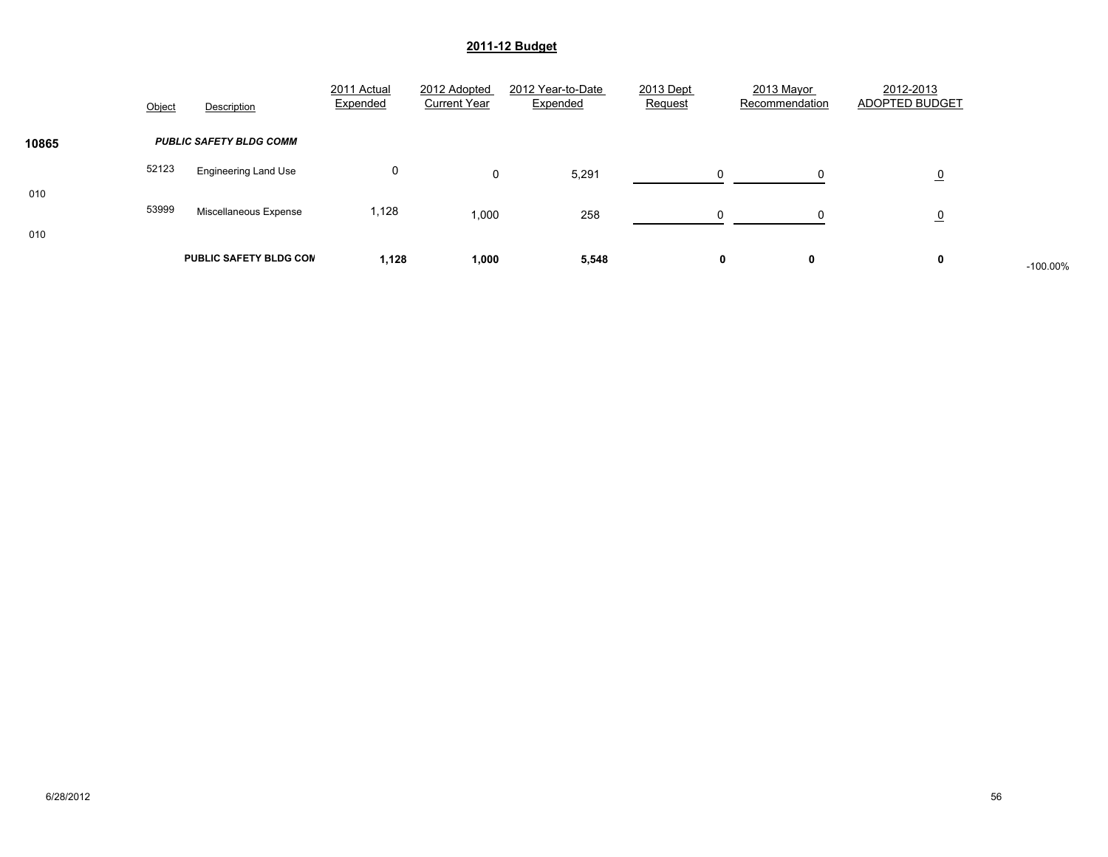|            | Object | Description                    | 2011 Actual<br>Expended | 2012 Adopted<br><b>Current Year</b> | 2012 Year-to-Date<br>Expended | 2013 Dept<br>Request | 2013 Mayor<br>Recommendation | 2012-2013<br>ADOPTED BUDGET |            |
|------------|--------|--------------------------------|-------------------------|-------------------------------------|-------------------------------|----------------------|------------------------------|-----------------------------|------------|
| 10865      |        | <b>PUBLIC SAFETY BLDG COMM</b> |                         |                                     |                               |                      |                              |                             |            |
|            | 52123  | <b>Engineering Land Use</b>    | 0                       | 0                                   | 5,291                         | $\Omega$             |                              | $\overline{0}$              |            |
| 010<br>010 | 53999  | Miscellaneous Expense          | 1,128                   | 1,000                               | 258                           | $\Omega$             |                              | $\overline{0}$              |            |
|            |        | <b>PUBLIC SAFETY BLDG CON</b>  | 1,128                   | 1,000                               | 5,548                         |                      | 0<br>0                       | 0                           | $-100.00%$ |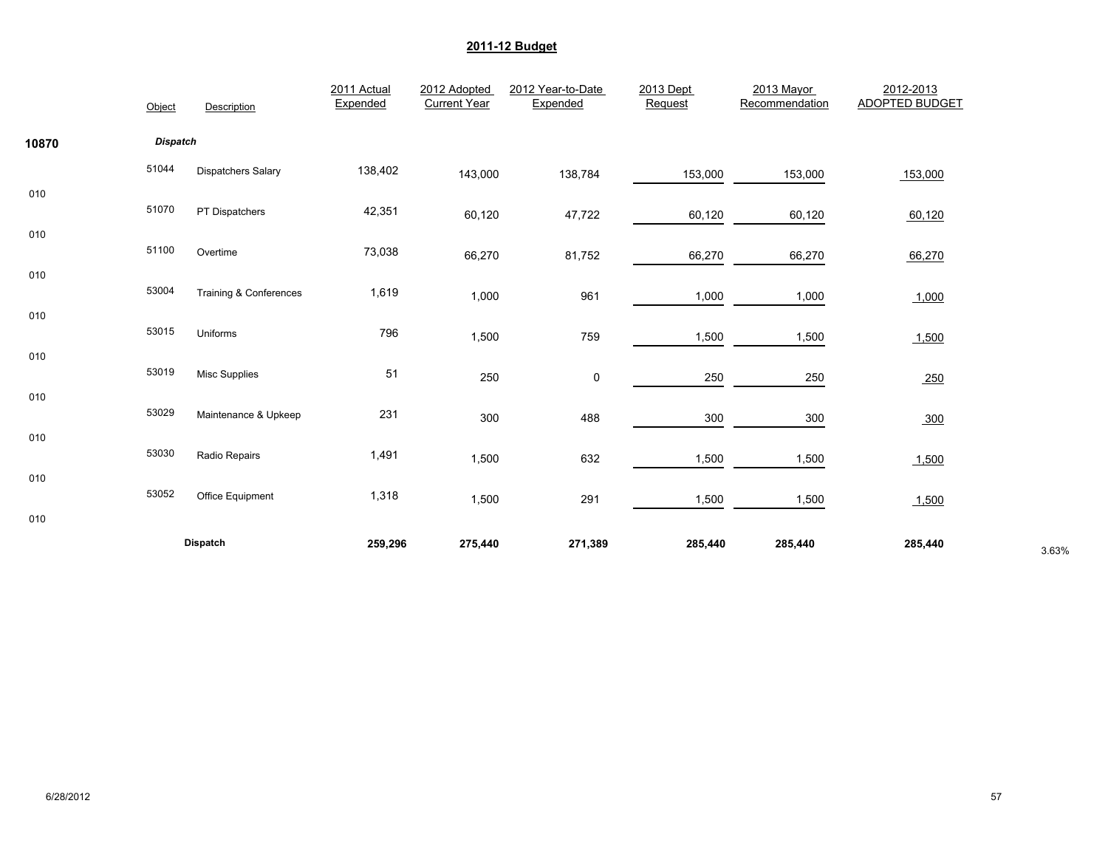|       | Object          | Description               | 2011 Actual<br>Expended | 2012 Adopted<br><b>Current Year</b> | 2012 Year-to-Date<br>Expended | 2013 Dept<br>Request | 2013 Mayor<br>Recommendation | 2012-2013<br><b>ADOPTED BUDGET</b> |       |
|-------|-----------------|---------------------------|-------------------------|-------------------------------------|-------------------------------|----------------------|------------------------------|------------------------------------|-------|
| 10870 | <b>Dispatch</b> |                           |                         |                                     |                               |                      |                              |                                    |       |
|       | 51044           | <b>Dispatchers Salary</b> | 138,402                 | 143,000                             | 138,784                       | 153,000              | 153,000                      | 153,000                            |       |
| 010   | 51070           | PT Dispatchers            | 42,351                  | 60,120                              | 47,722                        | 60,120               | 60,120                       | 60,120                             |       |
| 010   | 51100           | Overtime                  | 73,038                  | 66,270                              | 81,752                        | 66,270               | 66,270                       |                                    |       |
| 010   |                 |                           |                         |                                     |                               |                      |                              | 66,270                             |       |
| 010   | 53004           | Training & Conferences    | 1,619                   | 1,000                               | 961                           | 1,000                | 1,000                        | 1,000                              |       |
|       | 53015           | Uniforms                  | 796                     | 1,500                               | 759                           | 1,500                | 1,500                        | 1,500                              |       |
| 010   | 53019           | <b>Misc Supplies</b>      | 51                      | 250                                 | 0                             | 250                  | 250                          | 250                                |       |
| 010   | 53029           | Maintenance & Upkeep      | 231                     | 300                                 | 488                           | 300                  | 300                          | 300                                |       |
| 010   | 53030           |                           |                         |                                     |                               |                      |                              |                                    |       |
| 010   |                 | Radio Repairs             | 1,491                   | 1,500                               | 632                           | 1,500                | 1,500                        | 1,500                              |       |
|       | 53052           | Office Equipment          | 1,318                   | 1,500                               | 291                           | 1,500                | 1,500                        | 1,500                              |       |
| 010   |                 | <b>Dispatch</b>           | 259,296                 | 275,440                             | 271,389                       | 285,440              | 285,440                      | 285,440                            | 3.63% |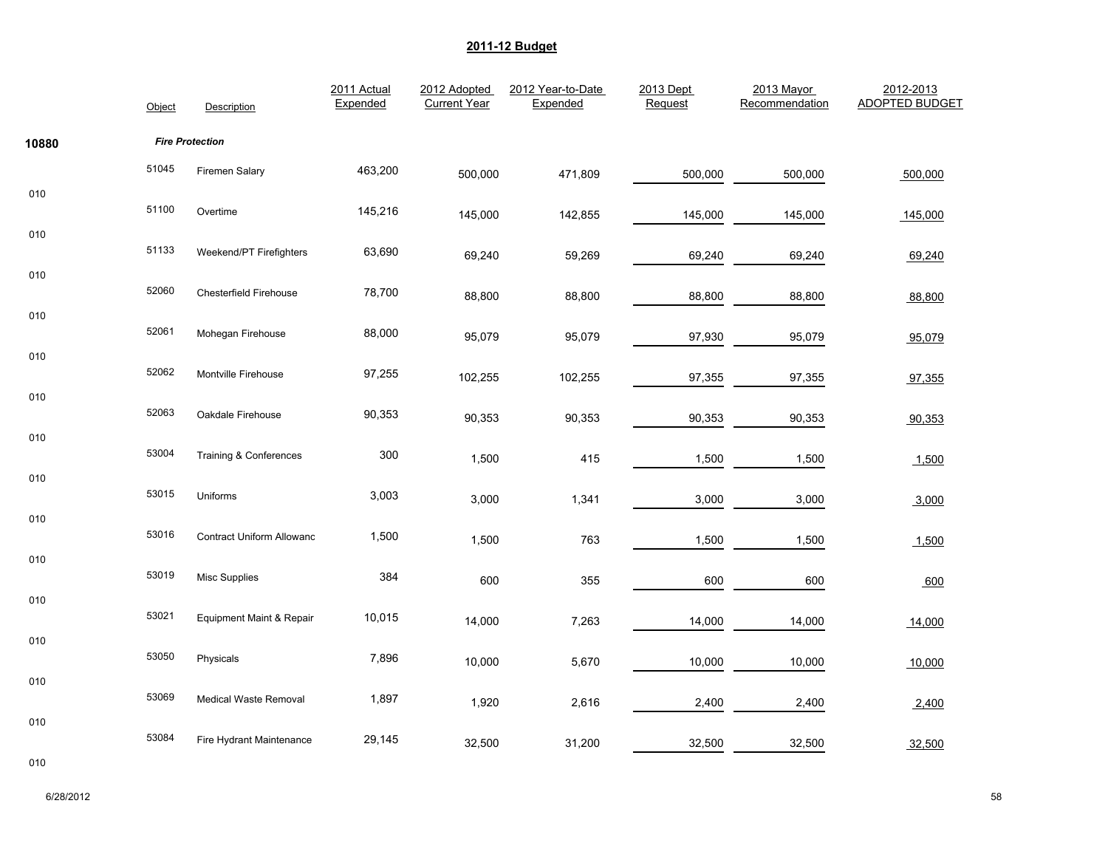|       | Object | Description                  | 2011 Actual<br>Expended | 2012 Adopted<br><b>Current Year</b> | 2012 Year-to-Date<br>Expended | 2013 Dept<br>Request | 2013 Mayor<br>Recommendation | 2012-2013<br><b>ADOPTED BUDGET</b> |
|-------|--------|------------------------------|-------------------------|-------------------------------------|-------------------------------|----------------------|------------------------------|------------------------------------|
| 10880 |        | <b>Fire Protection</b>       |                         |                                     |                               |                      |                              |                                    |
|       | 51045  | Firemen Salary               | 463,200                 | 500,000                             | 471,809                       | 500,000              | 500,000                      | 500,000                            |
| 010   | 51100  | Overtime                     | 145,216                 | 145,000                             | 142,855                       | 145,000              | 145,000                      | 145,000                            |
| 010   | 51133  | Weekend/PT Firefighters      | 63,690                  | 69,240                              | 59,269                        | 69,240               | 69,240                       | 69,240                             |
| 010   | 52060  | Chesterfield Firehouse       | 78,700                  | 88,800                              | 88,800                        | 88,800               | 88,800                       | 88,800                             |
| 010   | 52061  | Mohegan Firehouse            | 88,000                  | 95,079                              | 95,079                        | 97,930               | 95,079                       | 95,079                             |
| 010   | 52062  | Montville Firehouse          | 97,255                  | 102,255                             | 102,255                       | 97,355               | 97,355                       | 97,355                             |
| 010   | 52063  | Oakdale Firehouse            | 90,353                  | 90,353                              | 90,353                        | 90,353               | 90,353                       | 90,353                             |
| 010   | 53004  | Training & Conferences       | 300                     | 1,500                               | 415                           | 1,500                | 1,500                        | 1,500                              |
| 010   | 53015  | Uniforms                     | 3,003                   | 3,000                               | 1,341                         | 3,000                | 3,000                        | 3,000                              |
| 010   | 53016  | Contract Uniform Allowanc    | 1,500                   | 1,500                               | 763                           | 1,500                | 1,500                        | 1,500                              |
| 010   | 53019  | <b>Misc Supplies</b>         | 384                     | 600                                 | 355                           | 600                  | 600                          |                                    |
| 010   | 53021  | Equipment Maint & Repair     | 10,015                  |                                     |                               |                      |                              | 600                                |
| 010   |        |                              |                         | 14,000                              | 7,263                         | 14,000               | 14,000                       | 14,000                             |
|       | 53050  | Physicals                    | 7,896                   | 10,000                              | 5,670                         | 10,000               | 10,000                       | 10,000                             |
| 010   | 53069  | <b>Medical Waste Removal</b> | 1,897                   | 1,920                               | 2,616                         | 2,400                | 2,400                        | 2,400                              |
| 010   | 53084  | Fire Hydrant Maintenance     | 29,145                  | 32,500                              | 31,200                        | 32,500               | 32,500                       | 32,500                             |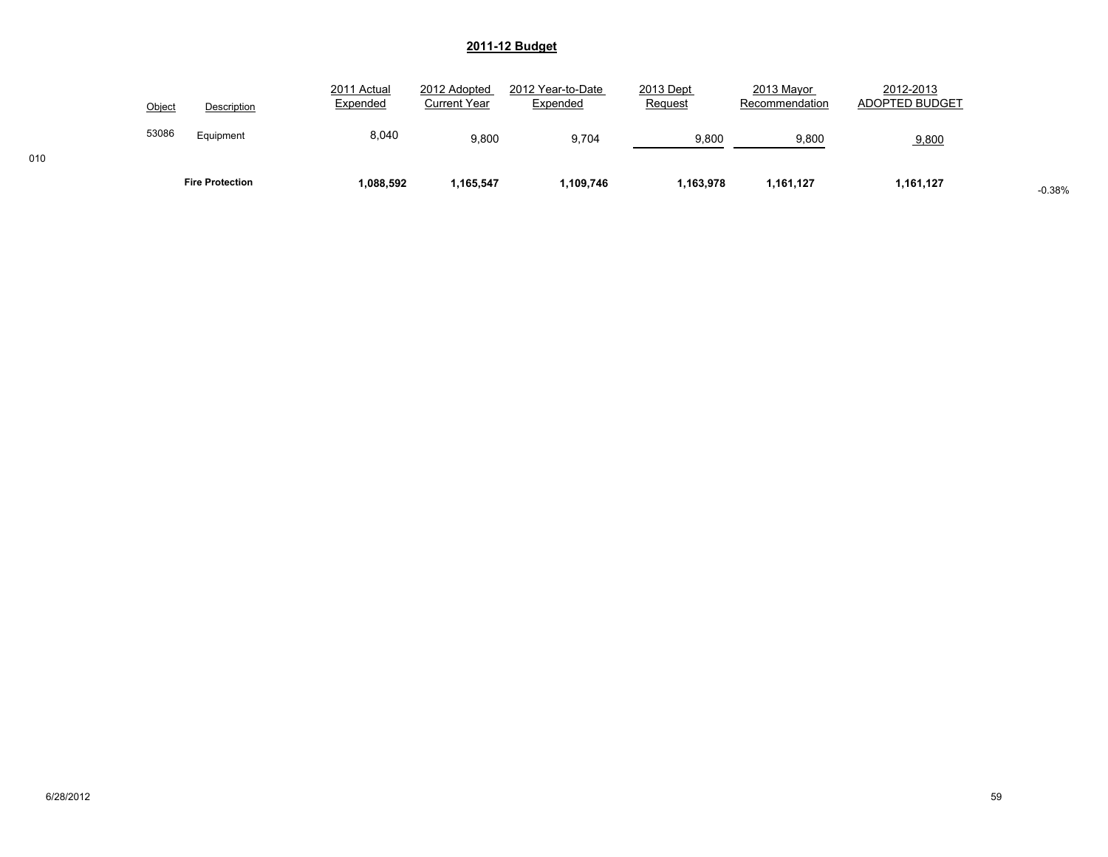|        | <b>Fire Protection</b> | 1,088,592               | 1,165,547                           | 1,109,746                     | 1,163,978            | 1,161,127                    | 1,161,127                   | $-0.38%$ |
|--------|------------------------|-------------------------|-------------------------------------|-------------------------------|----------------------|------------------------------|-----------------------------|----------|
| 53086  | Equipment              | 8,040                   | 9.800                               | 9.704                         | 9,800                | 9,800                        | 9,800                       |          |
| Object | Description            | 2011 Actual<br>Expended | 2012 Adopted<br><b>Current Year</b> | 2012 Year-to-Date<br>Expended | 2013 Dept<br>Request | 2013 Mayor<br>Recommendation | 2012-2013<br>ADOPTED BUDGET |          |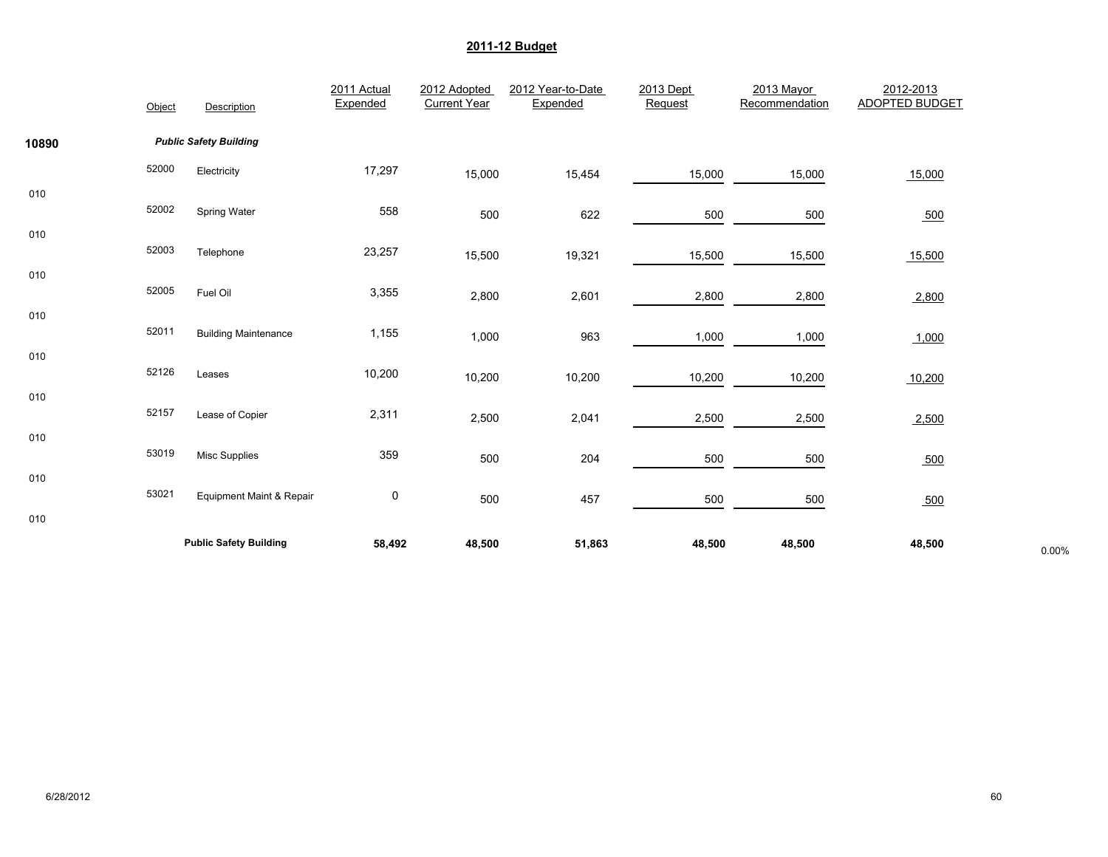|       | Object | Description                   | 2011 Actual<br>Expended | 2012 Adopted<br><b>Current Year</b> | 2012 Year-to-Date<br>Expended | 2013 Dept<br>Request | 2013 Mayor<br>Recommendation | 2012-2013<br><b>ADOPTED BUDGET</b> |       |
|-------|--------|-------------------------------|-------------------------|-------------------------------------|-------------------------------|----------------------|------------------------------|------------------------------------|-------|
| 10890 |        | <b>Public Safety Building</b> |                         |                                     |                               |                      |                              |                                    |       |
|       | 52000  | Electricity                   | 17,297                  | 15,000                              | 15,454                        | 15,000               | 15,000                       | 15,000                             |       |
| 010   | 52002  | Spring Water                  | 558                     | 500                                 | 622                           | 500                  | 500                          | 500                                |       |
| 010   | 52003  | Telephone                     | 23,257                  | 15,500                              | 19,321                        | 15,500               | 15,500                       | 15,500                             |       |
| 010   | 52005  | Fuel Oil                      | 3,355                   | 2,800                               | 2,601                         | 2,800                | 2,800                        | 2,800                              |       |
| 010   | 52011  | <b>Building Maintenance</b>   | 1,155                   | 1,000                               | 963                           | 1,000                | 1,000                        | 1,000                              |       |
| 010   | 52126  | Leases                        | 10,200                  | 10,200                              | 10,200                        | 10,200               | 10,200                       | 10,200                             |       |
| 010   | 52157  | Lease of Copier               | 2,311                   | 2,500                               | 2,041                         | 2,500                | 2,500                        | 2,500                              |       |
| 010   | 53019  | <b>Misc Supplies</b>          | 359                     | 500                                 | 204                           | 500                  | 500                          | 500                                |       |
| 010   | 53021  | Equipment Maint & Repair      | $\pmb{0}$               | 500                                 | 457                           | 500                  | 500                          | 500                                |       |
| 010   |        | <b>Public Safety Building</b> | 58,492                  | 48,500                              | 51,863                        | 48,500               | 48,500                       | 48,500                             | 0.00% |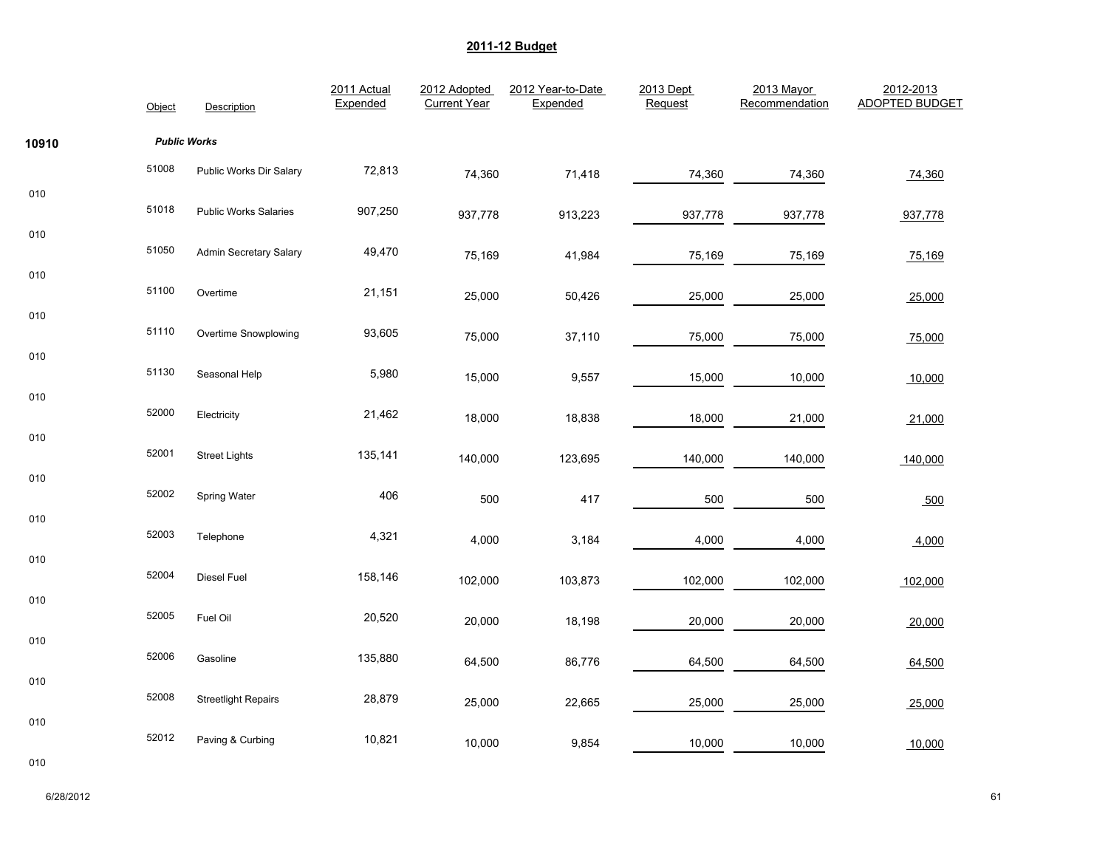|       | Object              | Description                  | 2011 Actual<br>Expended | 2012 Adopted<br><b>Current Year</b> | 2012 Year-to-Date<br>Expended | 2013 Dept<br>Request | 2013 Mayor<br>Recommendation | 2012-2013<br><b>ADOPTED BUDGET</b> |
|-------|---------------------|------------------------------|-------------------------|-------------------------------------|-------------------------------|----------------------|------------------------------|------------------------------------|
| 10910 | <b>Public Works</b> |                              |                         |                                     |                               |                      |                              |                                    |
|       | 51008               | Public Works Dir Salary      | 72,813                  | 74,360                              | 71,418                        | 74,360               | 74,360                       | 74,360                             |
| 010   | 51018               | <b>Public Works Salaries</b> | 907,250                 | 937,778                             | 913,223                       | 937,778              | 937,778                      | 937,778                            |
| 010   | 51050               | Admin Secretary Salary       | 49,470                  | 75,169                              | 41,984                        | 75,169               | 75,169                       | 75,169                             |
| 010   | 51100               | Overtime                     | 21,151                  | 25,000                              | 50,426                        | 25,000               | 25,000                       | 25,000                             |
| 010   | 51110               | Overtime Snowplowing         | 93,605                  | 75,000                              | 37,110                        | 75,000               | 75,000                       | 75,000                             |
| 010   | 51130               | Seasonal Help                | 5,980                   | 15,000                              | 9,557                         | 15,000               | 10,000                       | 10,000                             |
| 010   | 52000               | Electricity                  | 21,462                  | 18,000                              | 18,838                        | 18,000               | 21,000                       | 21,000                             |
| 010   | 52001               | <b>Street Lights</b>         | 135,141                 | 140,000                             | 123,695                       | 140,000              | 140,000                      | 140,000                            |
| 010   | 52002               | Spring Water                 | 406                     | 500                                 | 417                           | 500                  | 500                          | 500                                |
| 010   | 52003               | Telephone                    | 4,321                   | 4,000                               | 3,184                         | 4,000                | 4,000                        | 4,000                              |
| 010   | 52004               | Diesel Fuel                  | 158,146                 | 102,000                             | 103,873                       | 102,000              | 102,000                      | 102,000                            |
| 010   | 52005               | Fuel Oil                     | 20,520                  | 20,000                              | 18,198                        | 20,000               | 20,000                       | 20,000                             |
| 010   | 52006               | Gasoline                     | 135,880                 | 64,500                              | 86,776                        | 64,500               | 64,500                       | 64,500                             |
| 010   | 52008               | <b>Streetlight Repairs</b>   | 28,879                  | 25,000                              | 22,665                        | 25,000               | 25,000                       | 25,000                             |
| 010   | 52012               | Paving & Curbing             | 10,821                  | 10,000                              | 9,854                         | 10,000               | 10,000                       | 10,000                             |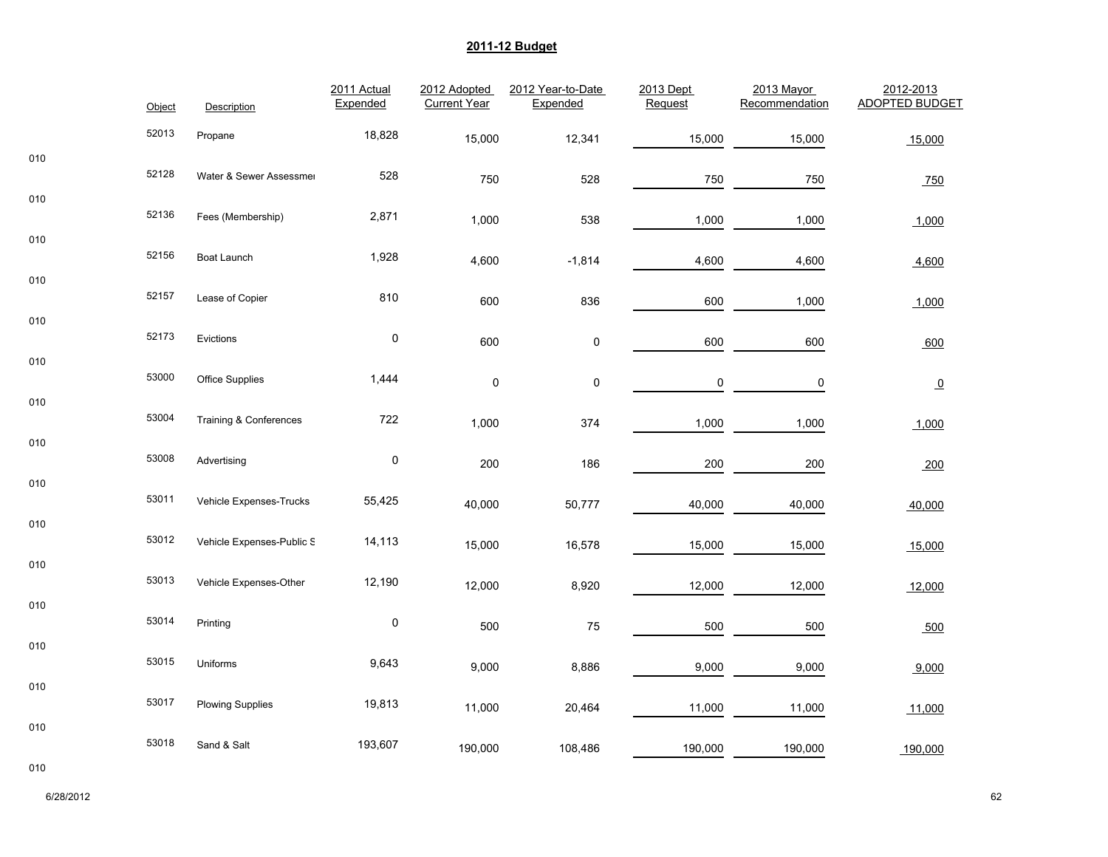|     | Object | Description               | 2011 Actual<br>Expended | 2012 Adopted<br><b>Current Year</b> | 2012 Year-to-Date<br>Expended | 2013 Dept<br>Request | 2013 Mayor<br>Recommendation | 2012-2013<br><b>ADOPTED BUDGET</b> |
|-----|--------|---------------------------|-------------------------|-------------------------------------|-------------------------------|----------------------|------------------------------|------------------------------------|
|     | 52013  | Propane                   | 18,828                  | 15,000                              | 12,341                        | 15,000               | 15,000                       | 15,000                             |
| 010 | 52128  | Water & Sewer Assessmer   | 528                     | 750                                 | 528                           | 750                  | 750                          | 750                                |
| 010 | 52136  | Fees (Membership)         | 2,871                   | 1,000                               | 538                           | 1,000                | 1,000                        | 1,000                              |
| 010 | 52156  | Boat Launch               | 1,928                   | 4,600                               | $-1,814$                      | 4,600                | 4,600                        | 4,600                              |
| 010 | 52157  | Lease of Copier           | 810                     | 600                                 | 836                           | 600                  | 1,000                        | 1,000                              |
| 010 | 52173  | Evictions                 | $\mathbf 0$             | 600                                 | $\pmb{0}$                     | 600                  | 600                          | 600                                |
| 010 | 53000  | <b>Office Supplies</b>    | 1,444                   | $\pmb{0}$                           | $\mathsf 0$                   | 0                    | $\mathbf 0$                  | $\overline{0}$                     |
| 010 | 53004  | Training & Conferences    | 722                     | 1,000                               | 374                           | 1,000                | 1,000                        | 1,000                              |
| 010 | 53008  | Advertising               | $\mathbf 0$             | 200                                 | 186                           | 200                  | 200                          | 200                                |
| 010 | 53011  | Vehicle Expenses-Trucks   | 55,425                  |                                     |                               |                      |                              |                                    |
| 010 | 53012  | Vehicle Expenses-Public S | 14,113                  | 40,000                              | 50,777                        | 40,000               | 40,000                       | 40,000                             |
| 010 | 53013  |                           |                         | 15,000                              | 16,578                        | 15,000               | 15,000                       | 15,000                             |
| 010 |        | Vehicle Expenses-Other    | 12,190                  | 12,000                              | 8,920                         | 12,000               | 12,000                       | 12,000                             |
| 010 | 53014  | Printing                  | $\mathbf 0$             | 500                                 | 75                            | 500                  | 500                          | 500                                |
| 010 | 53015  | Uniforms                  | 9,643                   | 9,000                               | 8,886                         | 9,000                | 9,000                        | 9,000                              |
|     | 53017  | <b>Plowing Supplies</b>   | 19,813                  | 11,000                              | 20,464                        | 11,000               | 11,000                       | 11,000                             |
| 010 | 53018  | Sand & Salt               | 193,607                 | 190,000                             | 108,486                       | 190,000              | 190,000                      | 190,000                            |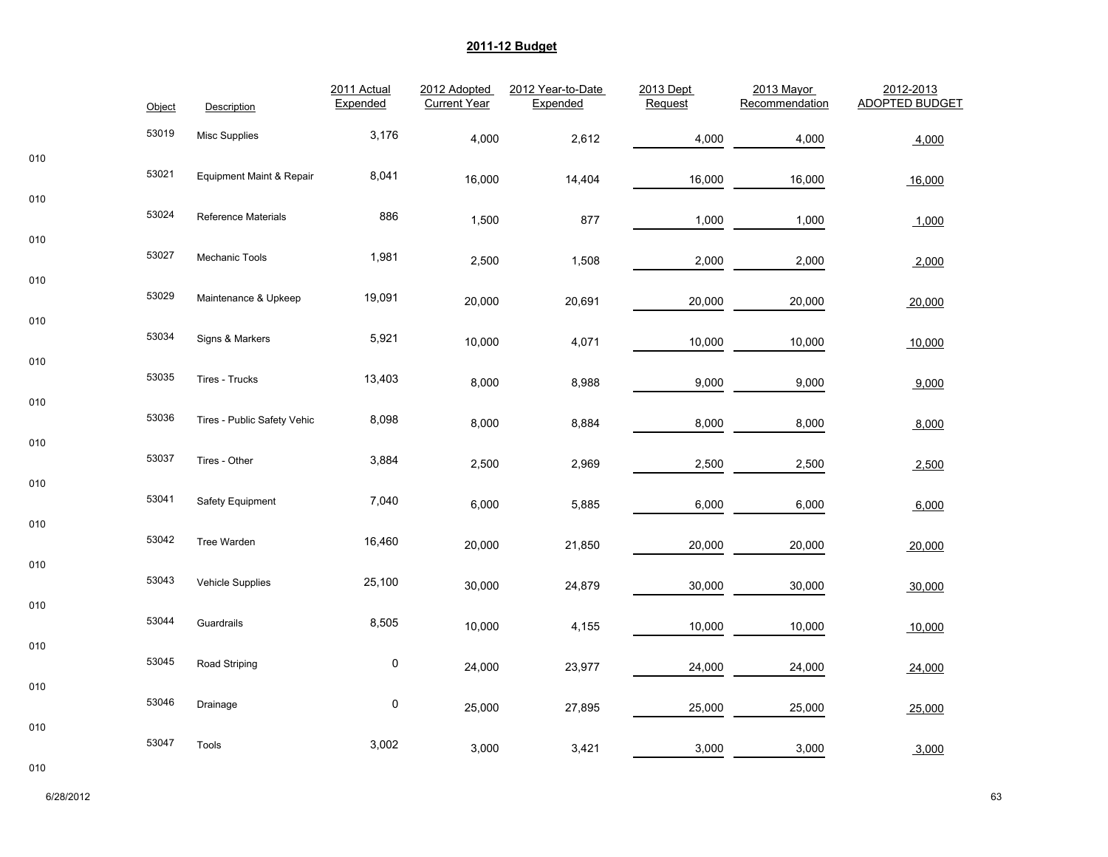|     | Object | Description                         | 2011 Actual<br>Expended | 2012 Adopted<br><b>Current Year</b> | 2012 Year-to-Date<br>Expended | 2013 Dept<br>Request | 2013 Mayor<br>Recommendation | 2012-2013<br><b>ADOPTED BUDGET</b> |
|-----|--------|-------------------------------------|-------------------------|-------------------------------------|-------------------------------|----------------------|------------------------------|------------------------------------|
|     | 53019  | <b>Misc Supplies</b>                | 3,176                   | 4,000                               | 2,612                         | 4,000                | 4,000                        | 4,000                              |
| 010 | 53021  | <b>Equipment Maint &amp; Repair</b> | 8,041                   | 16,000                              | 14,404                        | 16,000               | 16,000                       | 16,000                             |
| 010 | 53024  | <b>Reference Materials</b>          | 886                     | 1,500                               | 877                           | 1,000                | 1,000                        | 1,000                              |
| 010 | 53027  | Mechanic Tools                      | 1,981                   | 2,500                               | 1,508                         | 2,000                | 2,000                        | 2,000                              |
| 010 | 53029  | Maintenance & Upkeep                | 19,091                  | 20,000                              | 20,691                        | 20,000               | 20,000                       | 20,000                             |
| 010 | 53034  | Signs & Markers                     | 5,921                   | 10,000                              | 4,071                         | 10,000               | 10,000                       | 10,000                             |
| 010 | 53035  | Tires - Trucks                      | 13,403                  | 8,000                               | 8,988                         | 9,000                | 9,000                        | 9,000                              |
| 010 | 53036  | Tires - Public Safety Vehic         | 8,098                   | 8,000                               | 8,884                         | 8,000                | 8,000                        | 8,000                              |
| 010 | 53037  | Tires - Other                       | 3,884                   | 2,500                               | 2,969                         | 2,500                | 2,500                        | 2,500                              |
| 010 | 53041  | Safety Equipment                    | 7,040                   | 6,000                               | 5,885                         | 6,000                | 6,000                        | 6,000                              |
| 010 | 53042  | Tree Warden                         | 16,460                  | 20,000                              | 21,850                        | 20,000               | 20,000                       | 20,000                             |
| 010 | 53043  | Vehicle Supplies                    | 25,100                  | 30,000                              | 24,879                        | 30,000               | 30,000                       | 30,000                             |
| 010 | 53044  | Guardrails                          | 8,505                   | 10,000                              | 4,155                         | 10,000               | 10,000                       | 10,000                             |
| 010 | 53045  | Road Striping                       | $\pmb{0}$               | 24,000                              | 23,977                        | 24,000               | 24,000                       | 24,000                             |
| 010 | 53046  | Drainage                            | $\pmb{0}$               | 25,000                              | 27,895                        | 25,000               | 25,000                       | 25,000                             |
| 010 | 53047  | Tools                               | 3,002                   | 3,000                               | 3,421                         | 3,000                | 3,000                        | 3,000                              |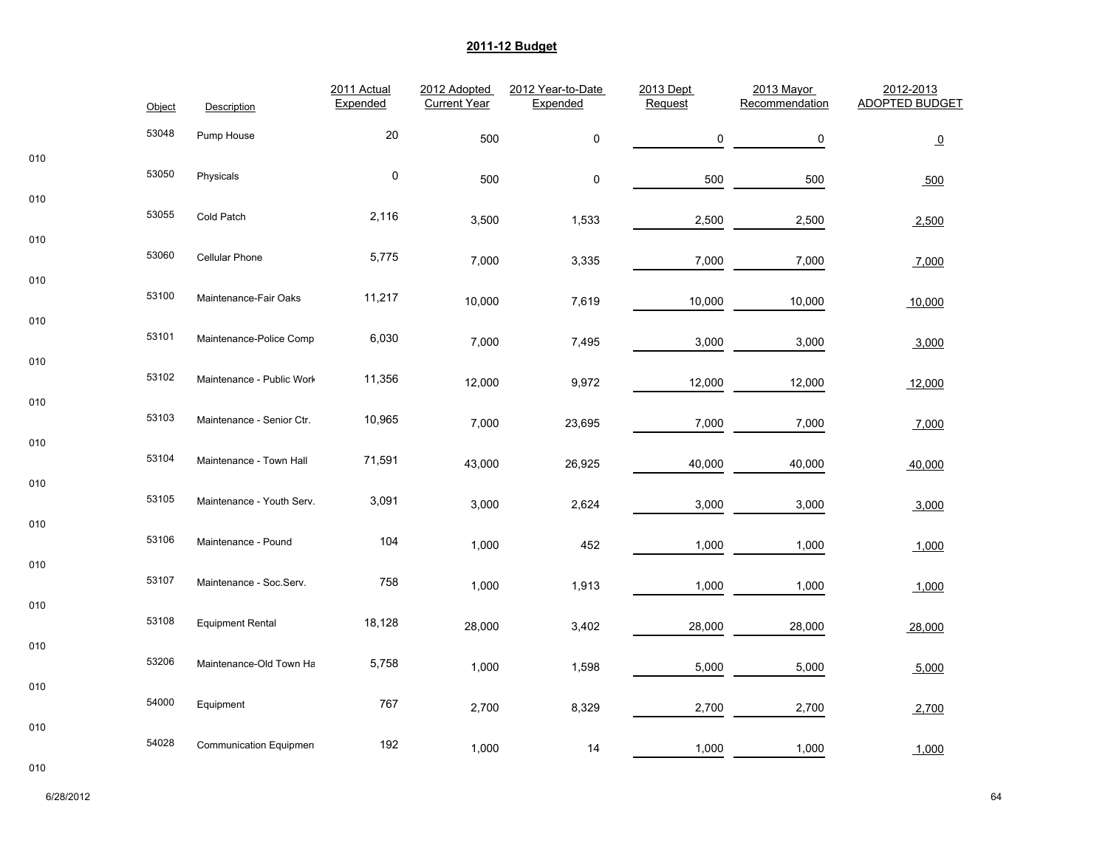|            | Object | Description               | 2011 Actual<br>Expended | 2012 Adopted<br><b>Current Year</b> | 2012 Year-to-Date<br>Expended | 2013 Dept<br>Request | 2013 Mayor<br>Recommendation | 2012-2013<br><b>ADOPTED BUDGET</b> |
|------------|--------|---------------------------|-------------------------|-------------------------------------|-------------------------------|----------------------|------------------------------|------------------------------------|
|            | 53048  | Pump House                | 20                      | 500                                 | $\pmb{0}$                     | 0                    | 0                            | $\overline{\mathbf{0}}$            |
| 010        | 53050  | Physicals                 | $\pmb{0}$               | 500                                 | 0                             | 500                  | 500                          | 500                                |
| 010        | 53055  | Cold Patch                | 2,116                   | 3,500                               | 1,533                         | 2,500                | 2,500                        | 2,500                              |
| 010        | 53060  | Cellular Phone            | 5,775                   | 7,000                               | 3,335                         | 7,000                | 7,000                        | 7,000                              |
| 010        | 53100  | Maintenance-Fair Oaks     | 11,217                  | 10,000                              | 7,619                         | 10,000               | 10,000                       | 10,000                             |
| 010        | 53101  | Maintenance-Police Compl  | 6,030                   | 7,000                               | 7,495                         | 3,000                | 3,000                        | 3,000                              |
| 010        | 53102  | Maintenance - Public Work | 11,356                  | 12,000                              | 9,972                         | 12,000               | 12,000                       | 12,000                             |
| 010        | 53103  | Maintenance - Senior Ctr. | 10,965                  | 7,000                               | 23,695                        | 7,000                | 7,000                        | 7,000                              |
| 010<br>010 | 53104  | Maintenance - Town Hall   | 71,591                  | 43,000                              | 26,925                        | 40,000               | 40,000                       | 40,000                             |
|            | 53105  | Maintenance - Youth Serv. | 3,091                   | 3,000                               | 2,624                         | 3,000                | 3,000                        | 3,000                              |
| 010        | 53106  | Maintenance - Pound       | 104                     | 1,000                               | 452                           | 1,000                | 1,000                        | 1,000                              |
| 010        | 53107  | Maintenance - Soc.Serv.   | 758                     | 1,000                               | 1,913                         | 1,000                | 1,000                        | 1,000                              |
| 010        | 53108  | <b>Equipment Rental</b>   | 18,128                  | 28,000                              | 3,402                         | 28,000               | 28,000                       | 28,000                             |
| 010        | 53206  | Maintenance-Old Town Ha   | 5,758                   | 1,000                               | 1,598                         | 5,000                | 5,000                        | 5,000                              |
| 010        | 54000  | Equipment                 | 767                     | 2,700                               | 8,329                         | 2,700                | 2,700                        | 2,700                              |
| 010        | 54028  | Communication Equipmen    | 192                     | 1,000                               | 14                            | 1,000                | 1,000                        | 1,000                              |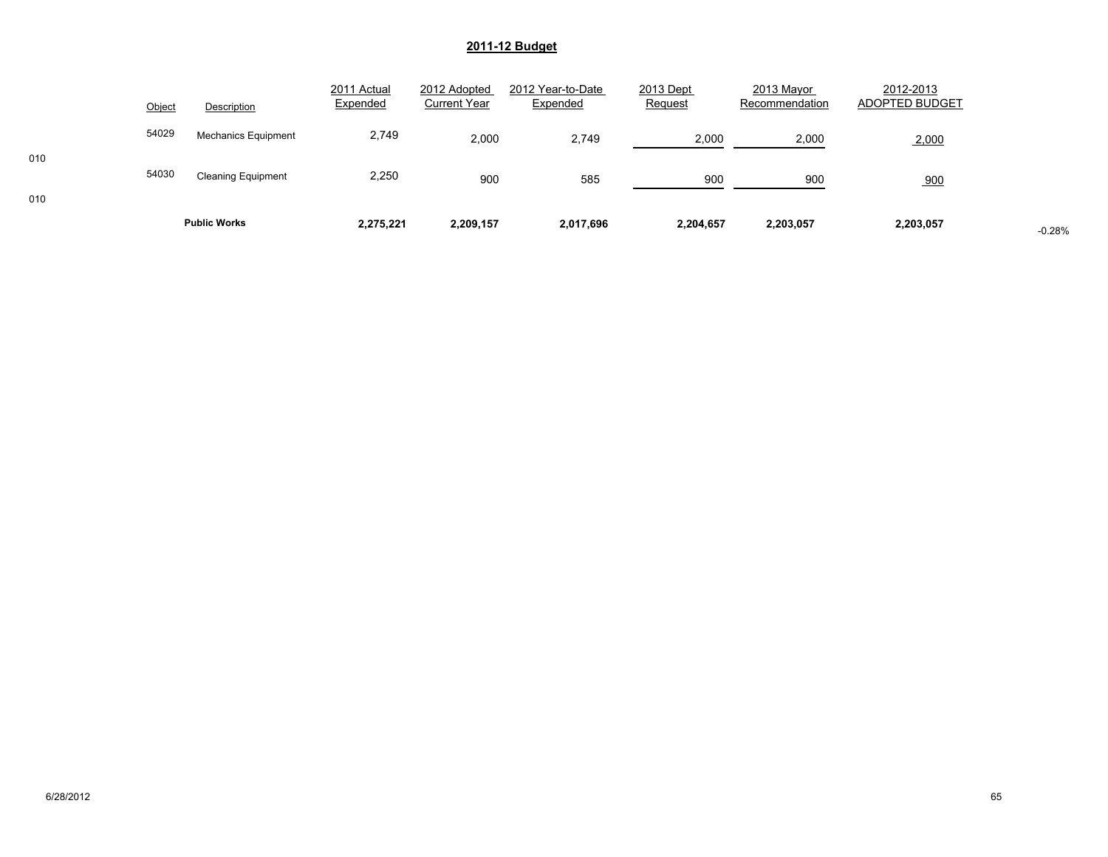|            | Object | Description                | 2011 Actual<br>Expended | 2012 Adopted<br><b>Current Year</b> | 2012 Year-to-Date<br>Expended | 2013 Dept<br>Request | 2013 Mayor<br>Recommendation | 2012-2013<br>ADOPTED BUDGET |          |
|------------|--------|----------------------------|-------------------------|-------------------------------------|-------------------------------|----------------------|------------------------------|-----------------------------|----------|
|            | 54029  | <b>Mechanics Equipment</b> | 2,749                   | 2,000                               | 2,749                         | 2,000                | 2,000                        | 2,000                       |          |
| 010<br>010 | 54030  | <b>Cleaning Equipment</b>  | 2,250                   | 900                                 | 585                           | 900                  | 900                          | 900                         |          |
|            |        | <b>Public Works</b>        | 2,275,221               | 2,209,157                           | 2,017,696                     | 2,204,657            | 2,203,057                    | 2,203,057                   | $-0.28%$ |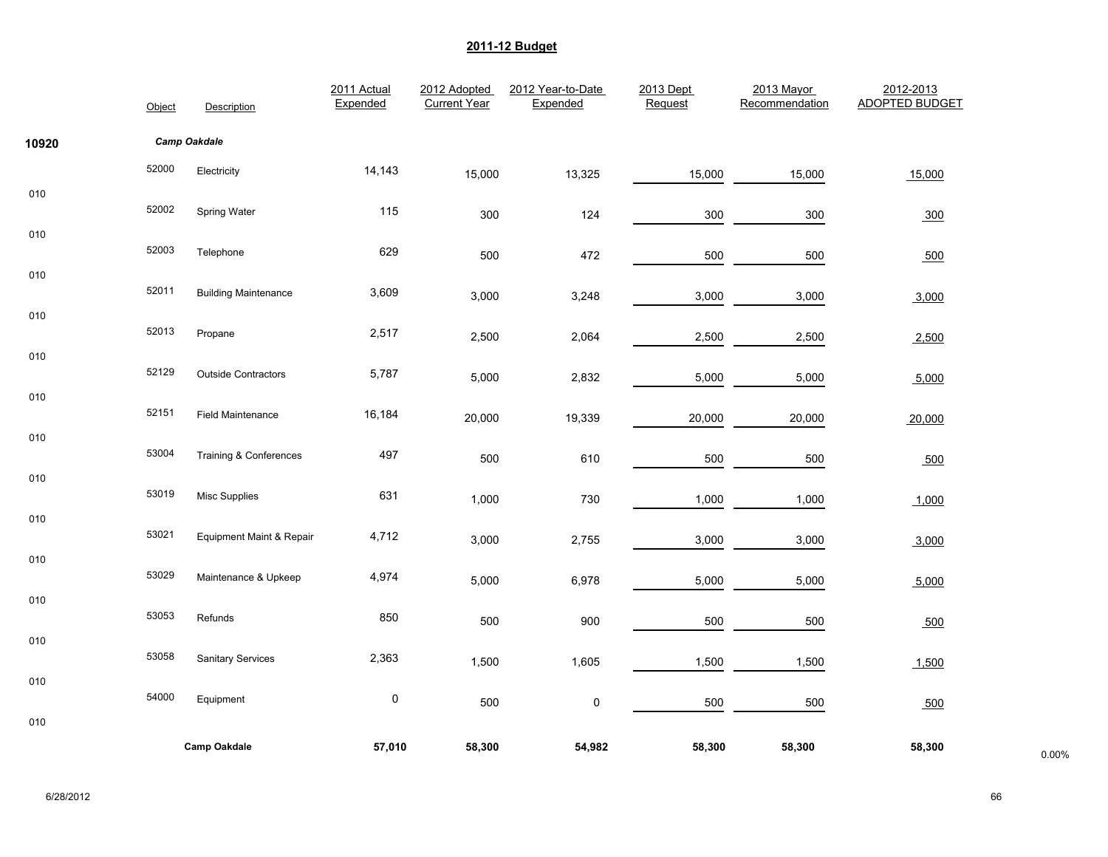|       | Object | Description                 | 2011 Actual<br>Expended | 2012 Adopted<br><b>Current Year</b> | 2012 Year-to-Date<br>Expended | 2013 Dept<br>Request | 2013 Mayor<br>Recommendation | 2012-2013<br><b>ADOPTED BUDGET</b> |       |
|-------|--------|-----------------------------|-------------------------|-------------------------------------|-------------------------------|----------------------|------------------------------|------------------------------------|-------|
| 10920 |        | Camp Oakdale                |                         |                                     |                               |                      |                              |                                    |       |
|       | 52000  | Electricity                 | 14,143                  | 15,000                              | 13,325                        | 15,000               | 15,000                       | 15,000                             |       |
| 010   | 52002  | Spring Water                | 115                     | 300                                 | 124                           | 300                  | 300                          | 300                                |       |
| 010   | 52003  | Telephone                   | 629                     | 500                                 | 472                           | 500                  | 500                          | 500                                |       |
| 010   | 52011  | <b>Building Maintenance</b> | 3,609                   | 3,000                               | 3,248                         | 3,000                | 3,000                        | 3,000                              |       |
| 010   | 52013  | Propane                     | 2,517                   | 2,500                               | 2,064                         | 2,500                | 2,500                        | 2,500                              |       |
| 010   | 52129  | <b>Outside Contractors</b>  | 5,787                   | 5,000                               | 2,832                         | 5,000                | 5,000                        | 5,000                              |       |
| 010   | 52151  | <b>Field Maintenance</b>    | 16,184                  | 20,000                              | 19,339                        | 20,000               | 20,000                       | 20,000                             |       |
| 010   | 53004  | Training & Conferences      | 497                     | 500                                 | 610                           | 500                  | 500                          | 500                                |       |
| 010   | 53019  | <b>Misc Supplies</b>        | 631                     | 1,000                               | 730                           | 1,000                | 1,000                        | 1,000                              |       |
| 010   | 53021  | Equipment Maint & Repair    | 4,712                   | 3,000                               | 2,755                         | 3,000                | 3,000                        | 3,000                              |       |
| 010   | 53029  | Maintenance & Upkeep        | 4,974                   | 5,000                               | 6,978                         | 5,000                | 5,000                        | 5,000                              |       |
| 010   | 53053  | Refunds                     | 850                     | 500                                 | 900                           | 500                  | 500                          | 500                                |       |
| 010   | 53058  | <b>Sanitary Services</b>    | 2,363                   | 1,500                               | 1,605                         | 1,500                | 1,500                        | 1,500                              |       |
| 010   | 54000  | Equipment                   | $\pmb{0}$               | 500                                 | $\pmb{0}$                     | 500                  | 500                          |                                    |       |
| 010   |        |                             |                         |                                     |                               |                      |                              | 500                                |       |
|       |        | <b>Camp Oakdale</b>         | 57,010                  | 58,300                              | 54,982                        | 58,300               | 58,300                       | 58,300                             | 0.00% |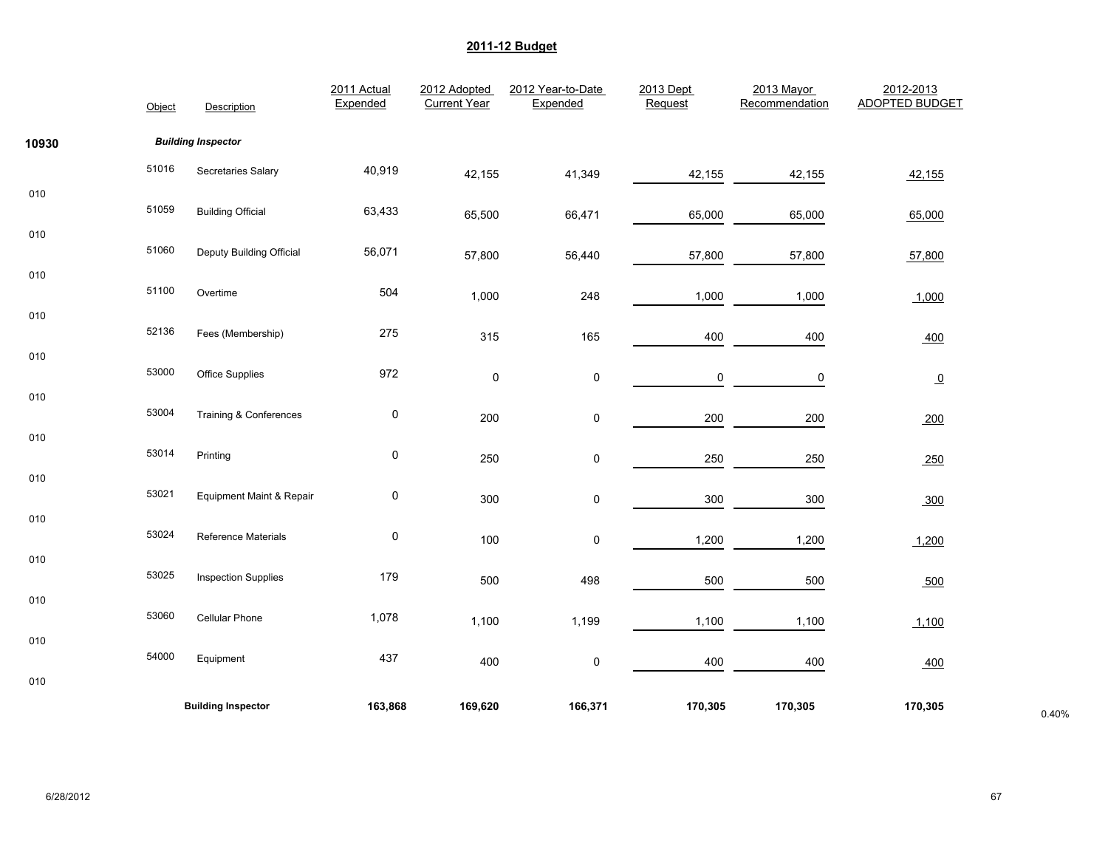|       | Object | Description                | 2011 Actual<br>Expended | 2012 Adopted<br><b>Current Year</b> | 2012 Year-to-Date<br>Expended | 2013 Dept<br>Request | 2013 Mayor<br>Recommendation | 2012-2013<br><b>ADOPTED BUDGET</b> |       |
|-------|--------|----------------------------|-------------------------|-------------------------------------|-------------------------------|----------------------|------------------------------|------------------------------------|-------|
| 10930 |        | <b>Building Inspector</b>  |                         |                                     |                               |                      |                              |                                    |       |
|       | 51016  | Secretaries Salary         | 40,919                  | 42,155                              | 41,349                        | 42,155               | 42,155                       | 42,155                             |       |
| 010   | 51059  | <b>Building Official</b>   | 63,433                  | 65,500                              | 66,471                        | 65,000               | 65,000                       | 65,000                             |       |
| 010   | 51060  | Deputy Building Official   | 56,071                  | 57,800                              | 56,440                        | 57,800               | 57,800                       | 57,800                             |       |
| 010   | 51100  | Overtime                   | 504                     | 1,000                               | 248                           | 1,000                | 1,000                        | 1,000                              |       |
| 010   | 52136  | Fees (Membership)          | 275                     | 315                                 | 165                           | 400                  | 400                          | 400                                |       |
| 010   | 53000  | <b>Office Supplies</b>     | 972                     | $\pmb{0}$                           | 0                             | 0                    | 0                            |                                    |       |
| 010   | 53004  | Training & Conferences     | 0                       |                                     |                               |                      |                              | $\overline{0}$                     |       |
| 010   |        |                            |                         | 200                                 | 0                             | 200                  | 200                          | 200                                |       |
|       | 53014  | Printing                   | $\pmb{0}$               | 250                                 | 0                             | 250                  | 250                          | 250                                |       |
| 010   | 53021  | Equipment Maint & Repair   | $\pmb{0}$               | 300                                 | 0                             | 300                  | 300                          | 300                                |       |
| 010   | 53024  | Reference Materials        | $\pmb{0}$               | 100                                 | 0                             | 1,200                | 1,200                        | 1,200                              |       |
| 010   | 53025  | <b>Inspection Supplies</b> | 179                     | 500                                 | 498                           | 500                  | 500                          | 500                                |       |
| 010   | 53060  | Cellular Phone             | 1,078                   | 1,100                               | 1,199                         | 1,100                | 1,100                        | 1,100                              |       |
| 010   | 54000  | Equipment                  | 437                     | 400                                 | 0                             | 400                  | 400                          | 400                                |       |
| 010   |        |                            |                         |                                     |                               |                      |                              |                                    |       |
|       |        | <b>Building Inspector</b>  | 163,868                 | 169,620                             | 166,371                       | 170,305              | 170,305                      | 170,305                            | 0.40% |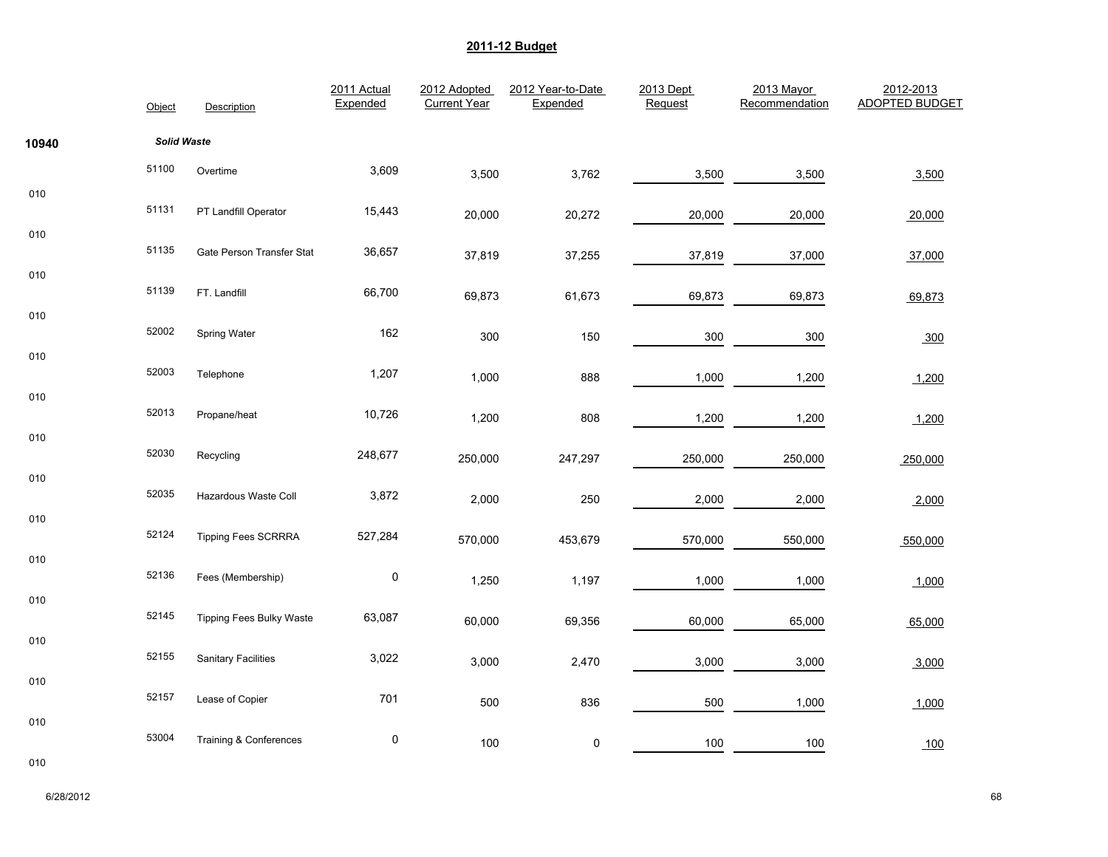|       | Object             | Description                     | 2011 Actual<br>Expended | 2012 Adopted<br><b>Current Year</b> | 2012 Year-to-Date<br>Expended | 2013 Dept<br>Request | 2013 Mayor<br>Recommendation | 2012-2013<br><b>ADOPTED BUDGET</b> |
|-------|--------------------|---------------------------------|-------------------------|-------------------------------------|-------------------------------|----------------------|------------------------------|------------------------------------|
| 10940 | <b>Solid Waste</b> |                                 |                         |                                     |                               |                      |                              |                                    |
|       | 51100              | Overtime                        | 3,609                   | 3,500                               | 3,762                         | 3,500                | 3,500                        | 3,500                              |
| 010   | 51131              | PT Landfill Operator            | 15,443                  | 20,000                              | 20,272                        | 20,000               | 20,000                       | 20,000                             |
| 010   | 51135              | Gate Person Transfer Stat       | 36,657                  | 37,819                              | 37,255                        | 37,819               | 37,000                       | 37,000                             |
| 010   | 51139              | FT. Landfill                    | 66,700                  | 69,873                              | 61,673                        | 69,873               | 69,873                       | 69,873                             |
| 010   | 52002              | Spring Water                    | 162                     | 300                                 | 150                           | 300                  | 300                          | 300                                |
| 010   | 52003              | Telephone                       | 1,207                   | 1,000                               | 888                           | 1,000                | 1,200                        | 1,200                              |
| 010   | 52013              | Propane/heat                    | 10,726                  | 1,200                               | 808                           | 1,200                | 1,200                        | 1,200                              |
| 010   | 52030              | Recycling                       | 248,677                 | 250,000                             | 247,297                       | 250,000              | 250,000                      | 250,000                            |
| 010   | 52035              | Hazardous Waste Coll            | 3,872                   | 2,000                               | 250                           | 2,000                | 2,000                        | 2,000                              |
| 010   | 52124              | <b>Tipping Fees SCRRRA</b>      | 527,284                 | 570,000                             | 453,679                       | 570,000              | 550,000                      | 550,000                            |
| 010   | 52136              | Fees (Membership)               | $\pmb{0}$               | 1,250                               | 1,197                         | 1,000                | 1,000                        | 1,000                              |
| 010   | 52145              | <b>Tipping Fees Bulky Waste</b> | 63,087                  | 60,000                              | 69,356                        | 60,000               | 65,000                       | 65,000                             |
| 010   | 52155              | <b>Sanitary Facilities</b>      | 3,022                   | 3,000                               | 2,470                         | 3,000                | 3,000                        | 3,000                              |
| 010   | 52157              | Lease of Copier                 | 701                     | 500                                 | 836                           | 500                  | 1,000                        | 1,000                              |
| 010   | 53004              | Training & Conferences          | $\pmb{0}$               | 100                                 | $\pmb{0}$                     | 100                  | 100                          | 100                                |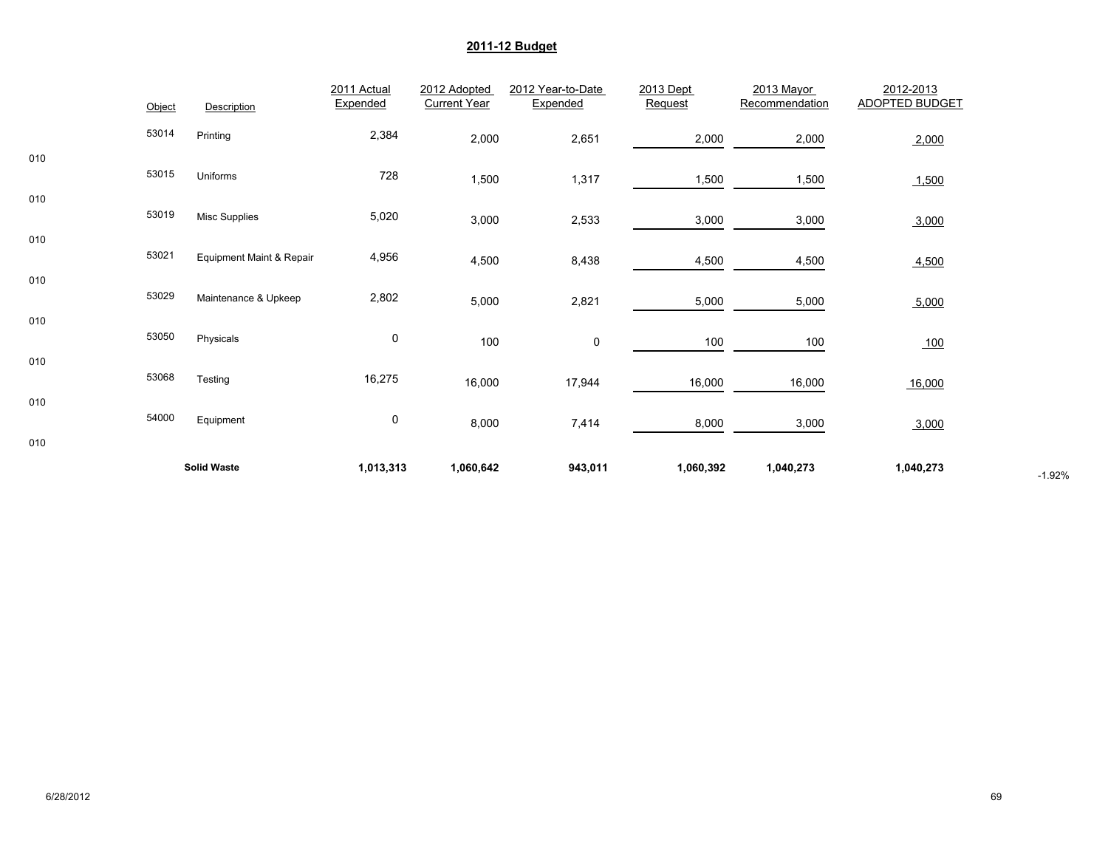|     |        | <b>Solid Waste</b>       | 1,013,313               | 1,060,642                           | 943,011                       | 1,060,392            | 1,040,273                    | 1,040,273                          | $-1.92%$ |
|-----|--------|--------------------------|-------------------------|-------------------------------------|-------------------------------|----------------------|------------------------------|------------------------------------|----------|
| 010 |        |                          |                         |                                     |                               |                      |                              |                                    |          |
|     | 54000  | Equipment                | 0                       | 8,000                               | 7,414                         | 8,000                | 3,000                        | 3,000                              |          |
| 010 | 53068  | Testing                  | 16,275                  | 16,000                              | 17,944                        | 16,000               | 16,000                       | 16,000                             |          |
| 010 |        | Physicals                | 0                       | 100                                 | 0                             | 100                  | 100                          | 100                                |          |
| 010 | 53050  |                          |                         |                                     |                               |                      |                              |                                    |          |
| 010 | 53029  | Maintenance & Upkeep     | 2,802                   | 5,000                               | 2,821                         | 5,000                | 5,000                        | 5,000                              |          |
|     | 53021  | Equipment Maint & Repair | 4,956                   | 4,500                               | 8,438                         | 4,500                | 4,500                        | 4,500                              |          |
| 010 | 53019  | <b>Misc Supplies</b>     | 5,020                   | 3,000                               | 2,533                         | 3,000                | 3,000                        | 3,000                              |          |
| 010 |        |                          |                         | 1,500                               | 1,317                         | 1,500                | 1,500                        | 1,500                              |          |
| 010 | 53015  | Uniforms                 | 728                     |                                     |                               |                      |                              |                                    |          |
|     | 53014  | Printing                 | 2,384                   | 2,000                               | 2,651                         | 2,000                | 2,000                        | 2,000                              |          |
|     | Object | Description              | 2011 Actual<br>Expended | 2012 Adopted<br><b>Current Year</b> | 2012 Year-to-Date<br>Expended | 2013 Dept<br>Request | 2013 Mayor<br>Recommendation | 2012-2013<br><b>ADOPTED BUDGET</b> |          |
|     |        |                          |                         |                                     |                               |                      |                              |                                    |          |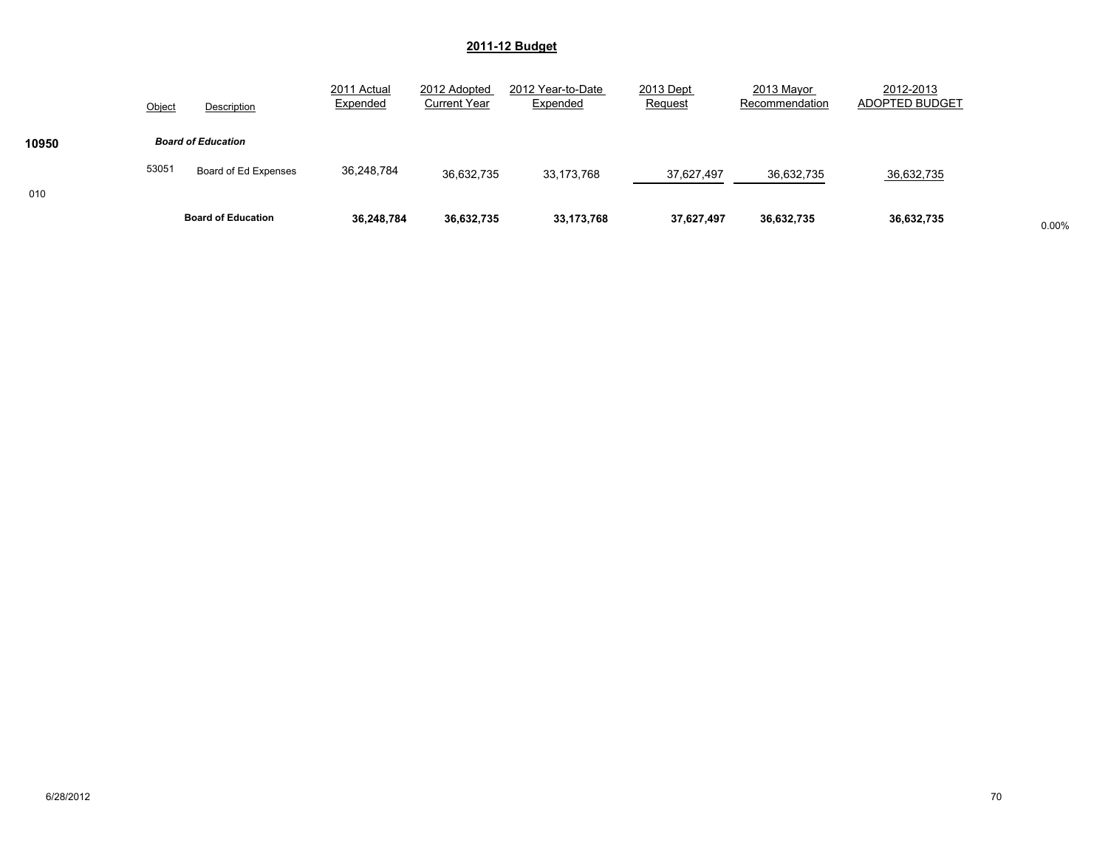|       | Object | Description               | 2011 Actual<br>Expended | 2012 Adopted<br><b>Current Year</b> | 2012 Year-to-Date<br>Expended | 2013 Dept<br>Request | 2013 Mayor<br>Recommendation | 2012-2013<br>ADOPTED BUDGET |       |
|-------|--------|---------------------------|-------------------------|-------------------------------------|-------------------------------|----------------------|------------------------------|-----------------------------|-------|
| 10950 |        | <b>Board of Education</b> |                         |                                     |                               |                      |                              |                             |       |
| 010   | 53051  | Board of Ed Expenses      | 36,248,784              | 36,632,735                          | 33,173,768                    | 37,627,497           | 36,632,735                   | 36,632,735                  |       |
|       |        | <b>Board of Education</b> | 36,248,784              | 36,632,735                          | 33,173,768                    | 37,627,497           | 36,632,735                   | 36,632,735                  | 0.00% |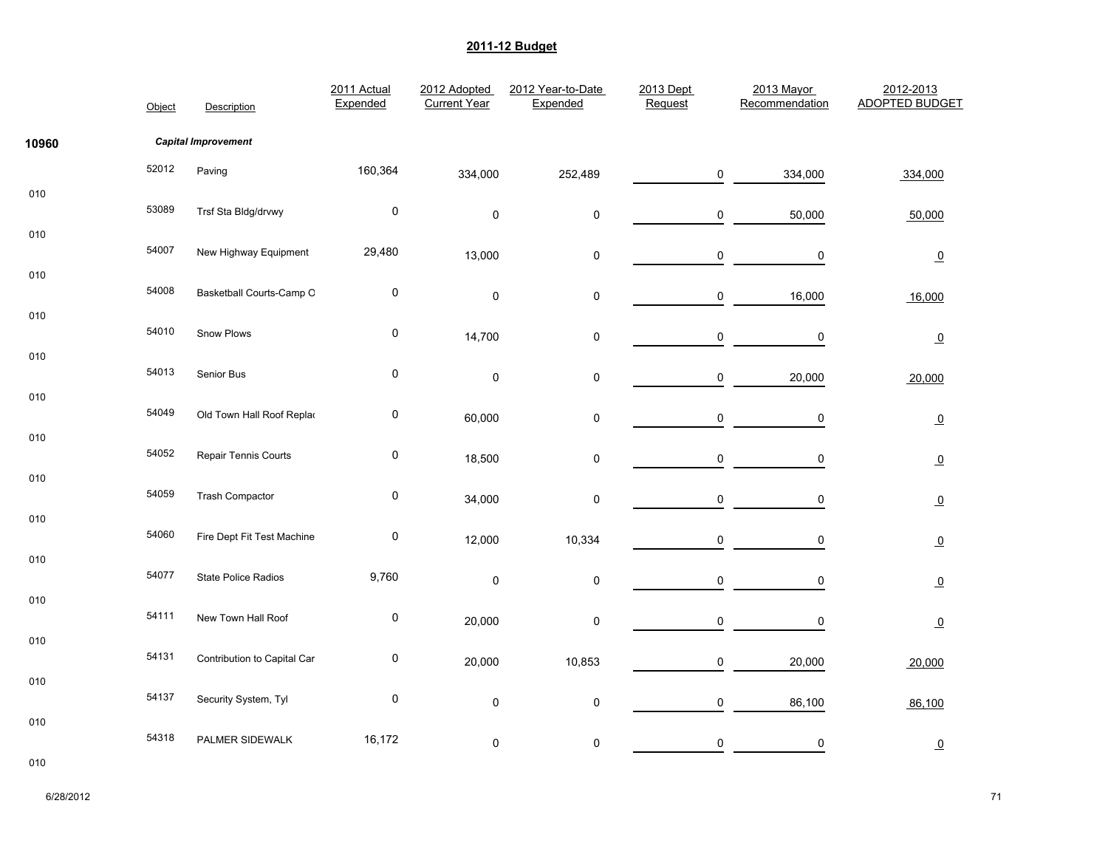|       | Object | Description                 | 2011 Actual<br>Expended | 2012 Adopted<br><b>Current Year</b> | 2012 Year-to-Date<br>Expended | 2013 Dept<br>Request | 2013 Mayor<br>Recommendation | 2012-2013<br>ADOPTED BUDGET |
|-------|--------|-----------------------------|-------------------------|-------------------------------------|-------------------------------|----------------------|------------------------------|-----------------------------|
| 10960 |        | <b>Capital Improvement</b>  |                         |                                     |                               |                      |                              |                             |
|       | 52012  | Paving                      | 160,364                 | 334,000                             | 252,489                       | 0                    | 334,000                      | 334,000                     |
| 010   | 53089  | Trsf Sta Bldg/drvwy         | $\pmb{0}$               | $\pmb{0}$                           | $\pmb{0}$                     | 0                    | 50,000                       | 50,000                      |
| 010   | 54007  | New Highway Equipment       | 29,480                  | 13,000                              | $\pmb{0}$                     | $\mathsf{O}\xspace$  | $\pmb{0}$                    | $\overline{0}$              |
| 010   | 54008  | Basketball Courts-Camp O    | $\pmb{0}$               | $\pmb{0}$                           | 0                             | 0                    | 16,000                       | 16,000                      |
| 010   | 54010  | Snow Plows                  | $\pmb{0}$               | 14,700                              | $\pmb{0}$                     | $\mathsf 0$          | 0                            | $\overline{0}$              |
| 010   | 54013  | Senior Bus                  | $\pmb{0}$               | $\pmb{0}$                           | 0                             | 0                    | 20,000                       | 20,000                      |
| 010   | 54049  | Old Town Hall Roof Replac   | $\pmb{0}$               | 60,000                              | $\pmb{0}$                     | 0                    | 0                            | $\overline{0}$              |
| 010   | 54052  | Repair Tennis Courts        | $\pmb{0}$               | 18,500                              | $\pmb{0}$                     | $\mathsf 0$          | 0                            | $\overline{0}$              |
| 010   | 54059  | <b>Trash Compactor</b>      | $\pmb{0}$               | 34,000                              | $\pmb{0}$                     | $\mathsf 0$          | $\mathbf 0$                  | $\overline{0}$              |
| 010   | 54060  | Fire Dept Fit Test Machine  | 0                       | 12,000                              | 10,334                        | 0                    | 0                            | $\Omega$                    |
| 010   | 54077  | <b>State Police Radios</b>  | 9,760                   | $\mathsf 0$                         | $\mathsf 0$                   | 0                    | 0                            | $\overline{0}$              |
| 010   | 54111  | New Town Hall Roof          | $\pmb{0}$               | 20,000                              | $\pmb{0}$                     | $\mathsf 0$          | $\pmb{0}$                    | $\overline{0}$              |
| 010   | 54131  | Contribution to Capital Car | $\pmb{0}$               | 20,000                              | 10,853                        | $\mathsf{O}\xspace$  | 20,000                       | 20,000                      |
| 010   | 54137  | Security System, Tyl        | $\pmb{0}$               | $\pmb{0}$                           | $\pmb{0}$                     | 0                    | 86,100                       | 86,100                      |
| 010   | 54318  | PALMER SIDEWALK             | 16,172                  | $\pmb{0}$                           | 0                             | $\mathsf 0$          | $\pmb{0}$                    | $\overline{0}$              |